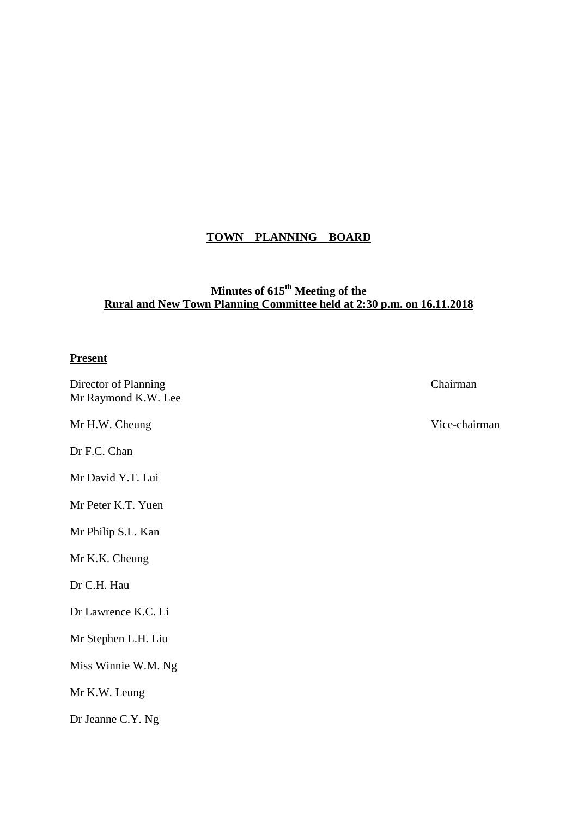# **TOWN PLANNING BOARD**

# **Minutes of 615th Meeting of the Rural and New Town Planning Committee held at 2:30 p.m. on 16.11.2018**

# **Present**

| Director of Planning<br>Mr Raymond K.W. Lee | Chairman      |
|---------------------------------------------|---------------|
| Mr H.W. Cheung                              | Vice-chairman |
| Dr F.C. Chan                                |               |
| Mr David Y.T. Lui                           |               |
| Mr Peter K.T. Yuen                          |               |
| Mr Philip S.L. Kan                          |               |
| Mr K.K. Cheung                              |               |
| Dr C.H. Hau                                 |               |
| Dr Lawrence K.C. Li                         |               |
| Mr Stephen L.H. Liu                         |               |
| Miss Winnie W.M. Ng                         |               |
| Mr K.W. Leung                               |               |
| Dr Jeanne C.Y. Ng                           |               |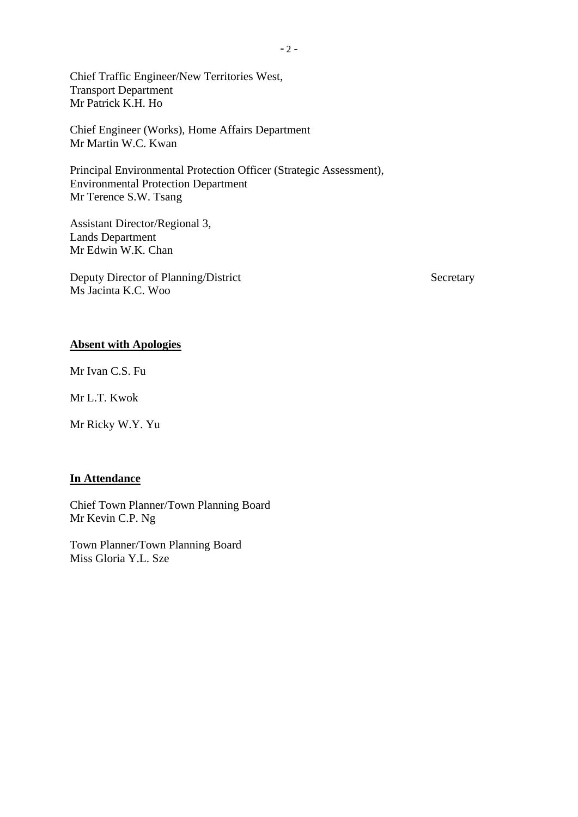Chief Traffic Engineer/New Territories West, Transport Department Mr Patrick K.H. Ho

Chief Engineer (Works), Home Affairs Department Mr Martin W.C. Kwan

Principal Environmental Protection Officer (Strategic Assessment), Environmental Protection Department Mr Terence S.W. Tsang

Assistant Director/Regional 3, Lands Department Mr Edwin W.K. Chan

Deputy Director of Planning/District Secretary Ms Jacinta K.C. Woo

# **Absent with Apologies**

Mr Ivan C.S. Fu

Mr L.T. Kwok

Mr Ricky W.Y. Yu

# **In Attendance**

Chief Town Planner/Town Planning Board Mr Kevin C.P. Ng

Town Planner/Town Planning Board Miss Gloria Y.L. Sze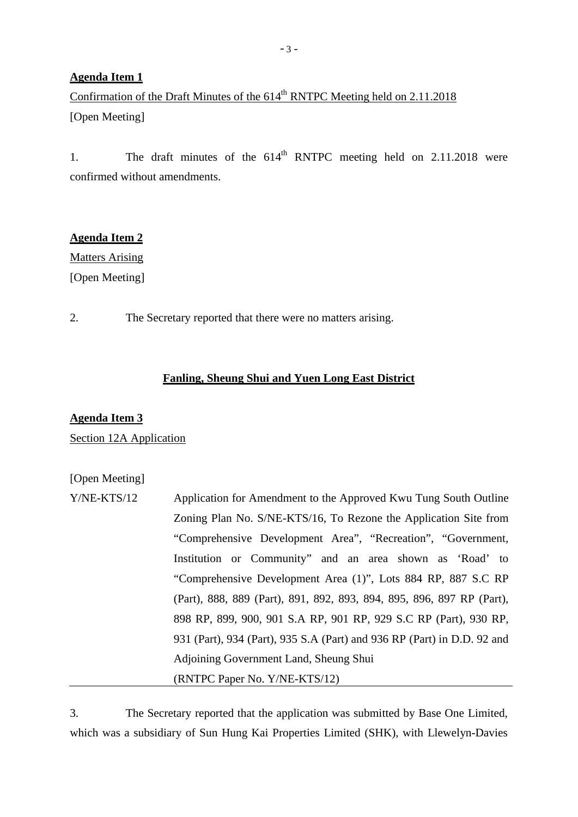# **Agenda Item 1**

Confirmation of the Draft Minutes of the  $614<sup>th</sup>$  RNTPC Meeting held on 2.11.2018 [Open Meeting]

1. The draft minutes of the  $614<sup>th</sup>$  RNTPC meeting held on 2.11.2018 were confirmed without amendments.

# **Agenda Item 2**

**Matters Arising** [Open Meeting]

2. The Secretary reported that there were no matters arising.

# **Fanling, Sheung Shui and Yuen Long East District**

# **Agenda Item 3**

Section 12A Application

# [Open Meeting]

| $Y/NE-KTS/12$ | Application for Amendment to the Approved Kwu Tung South Outline        |
|---------------|-------------------------------------------------------------------------|
|               | Zoning Plan No. S/NE-KTS/16, To Rezone the Application Site from        |
|               | "Comprehensive Development Area", "Recreation", "Government,            |
|               | Institution or Community" and an area shown as 'Road' to                |
|               | "Comprehensive Development Area (1)", Lots 884 RP, 887 S.C RP           |
|               | (Part), 888, 889 (Part), 891, 892, 893, 894, 895, 896, 897 RP (Part),   |
|               | 898 RP, 899, 900, 901 S.A RP, 901 RP, 929 S.C RP (Part), 930 RP,        |
|               | 931 (Part), 934 (Part), 935 S.A (Part) and 936 RP (Part) in D.D. 92 and |
|               | Adjoining Government Land, Sheung Shui                                  |
|               | (RNTPC Paper No. Y/NE-KTS/12)                                           |

3. The Secretary reported that the application was submitted by Base One Limited, which was a subsidiary of Sun Hung Kai Properties Limited (SHK), with Llewelyn-Davies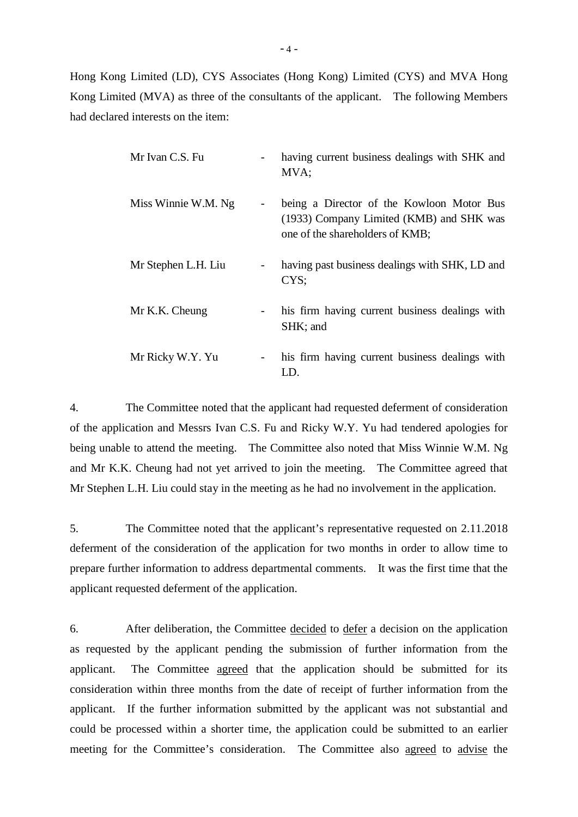Hong Kong Limited (LD), CYS Associates (Hong Kong) Limited (CYS) and MVA Hong Kong Limited (MVA) as three of the consultants of the applicant. The following Members had declared interests on the item:

| Mr Ivan C.S. Fu     |                | having current business dealings with SHK and<br>MVA;                                                                    |
|---------------------|----------------|--------------------------------------------------------------------------------------------------------------------------|
| Miss Winnie W.M. Ng |                | being a Director of the Kowloon Motor Bus<br>(1933) Company Limited (KMB) and SHK was<br>one of the shareholders of KMB; |
| Mr Stephen L.H. Liu |                | having past business dealings with SHK, LD and<br>CYS;                                                                   |
| Mr K.K. Cheung      | $\blacksquare$ | his firm having current business dealings with<br>SHK; and                                                               |
| Mr Ricky W.Y. Yu    | $ -$           | his firm having current business dealings with<br>LD.                                                                    |

4. The Committee noted that the applicant had requested deferment of consideration of the application and Messrs Ivan C.S. Fu and Ricky W.Y. Yu had tendered apologies for being unable to attend the meeting. The Committee also noted that Miss Winnie W.M. Ng and Mr K.K. Cheung had not yet arrived to join the meeting. The Committee agreed that Mr Stephen L.H. Liu could stay in the meeting as he had no involvement in the application.

5. The Committee noted that the applicant's representative requested on 2.11.2018 deferment of the consideration of the application for two months in order to allow time to prepare further information to address departmental comments. It was the first time that the applicant requested deferment of the application.

6. After deliberation, the Committee decided to defer a decision on the application as requested by the applicant pending the submission of further information from the applicant. The Committee agreed that the application should be submitted for its consideration within three months from the date of receipt of further information from the applicant. If the further information submitted by the applicant was not substantial and could be processed within a shorter time, the application could be submitted to an earlier meeting for the Committee's consideration. The Committee also agreed to advise the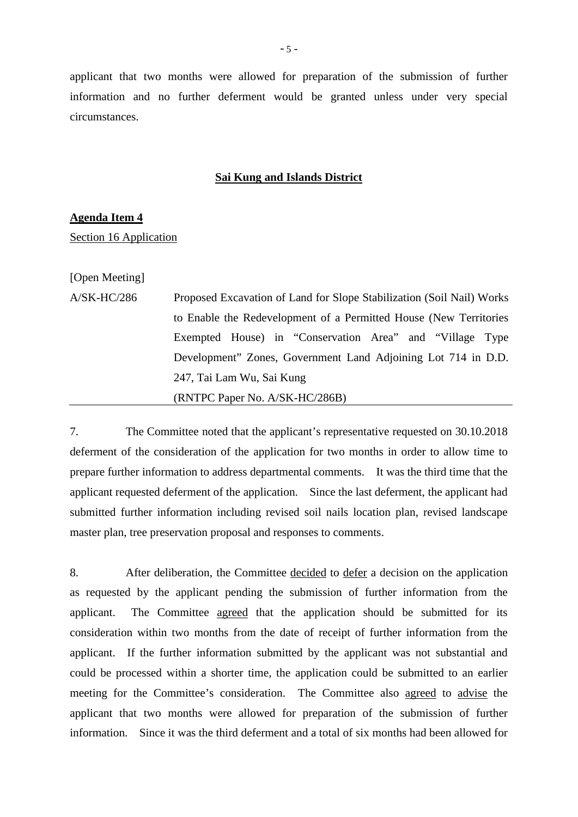applicant that two months were allowed for preparation of the submission of further information and no further deferment would be granted unless under very special circumstances.

## **Sai Kung and Islands District**

#### **Agenda Item 4**

Section 16 Application

[Open Meeting]

A/SK-HC/286 Proposed Excavation of Land for Slope Stabilization (Soil Nail) Works to Enable the Redevelopment of a Permitted House (New Territories Exempted House) in "Conservation Area" and "Village Type Development" Zones, Government Land Adjoining Lot 714 in D.D. 247, Tai Lam Wu, Sai Kung (RNTPC Paper No. A/SK-HC/286B)

7. The Committee noted that the applicant's representative requested on 30.10.2018 deferment of the consideration of the application for two months in order to allow time to prepare further information to address departmental comments. It was the third time that the applicant requested deferment of the application. Since the last deferment, the applicant had submitted further information including revised soil nails location plan, revised landscape master plan, tree preservation proposal and responses to comments.

8. After deliberation, the Committee decided to defer a decision on the application as requested by the applicant pending the submission of further information from the applicant. The Committee agreed that the application should be submitted for its consideration within two months from the date of receipt of further information from the applicant. If the further information submitted by the applicant was not substantial and could be processed within a shorter time, the application could be submitted to an earlier meeting for the Committee's consideration. The Committee also agreed to advise the applicant that two months were allowed for preparation of the submission of further information. Since it was the third deferment and a total of six months had been allowed for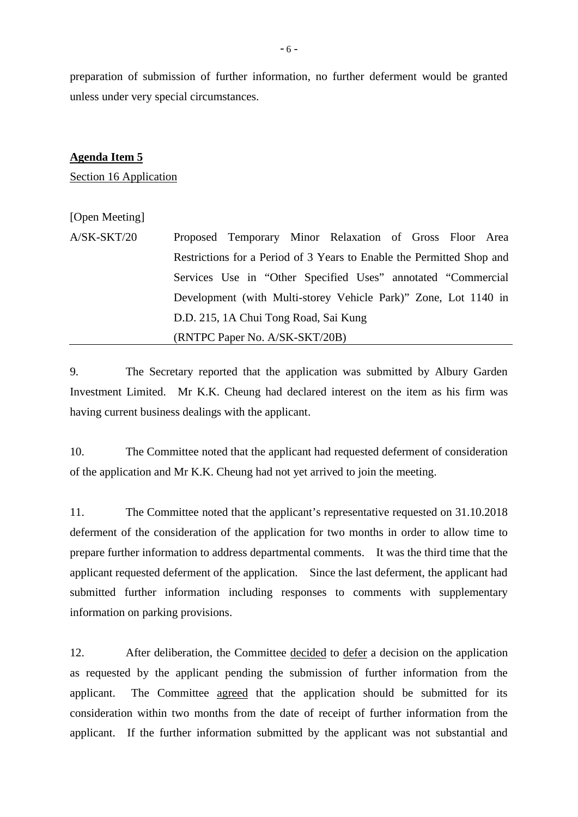preparation of submission of further information, no further deferment would be granted unless under very special circumstances.

#### **Agenda Item 5**

Section 16 Application

# [Open Meeting]

A/SK-SKT/20 Proposed Temporary Minor Relaxation of Gross Floor Area Restrictions for a Period of 3 Years to Enable the Permitted Shop and Services Use in "Other Specified Uses" annotated "Commercial Development (with Multi-storey Vehicle Park)" Zone, Lot 1140 in D.D. 215, 1A Chui Tong Road, Sai Kung (RNTPC Paper No. A/SK-SKT/20B)

9. The Secretary reported that the application was submitted by Albury Garden Investment Limited. Mr K.K. Cheung had declared interest on the item as his firm was having current business dealings with the applicant.

10. The Committee noted that the applicant had requested deferment of consideration of the application and Mr K.K. Cheung had not yet arrived to join the meeting.

11. The Committee noted that the applicant's representative requested on 31.10.2018 deferment of the consideration of the application for two months in order to allow time to prepare further information to address departmental comments. It was the third time that the applicant requested deferment of the application. Since the last deferment, the applicant had submitted further information including responses to comments with supplementary information on parking provisions.

12. After deliberation, the Committee decided to defer a decision on the application as requested by the applicant pending the submission of further information from the applicant. The Committee agreed that the application should be submitted for its consideration within two months from the date of receipt of further information from the applicant. If the further information submitted by the applicant was not substantial and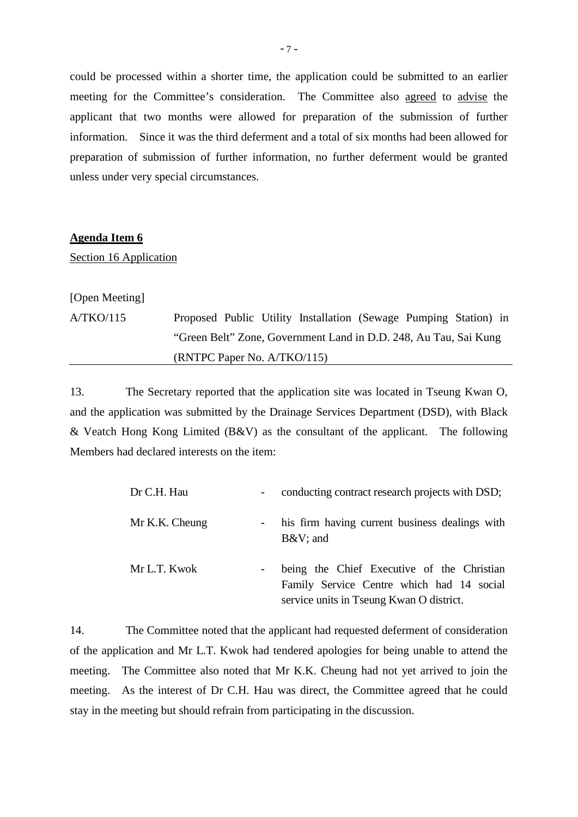could be processed within a shorter time, the application could be submitted to an earlier meeting for the Committee's consideration. The Committee also agreed to advise the applicant that two months were allowed for preparation of the submission of further information. Since it was the third deferment and a total of six months had been allowed for preparation of submission of further information, no further deferment would be granted unless under very special circumstances.

#### **Agenda Item 6**

Section 16 Application

[Open Meeting]

A/TKO/115 Proposed Public Utility Installation (Sewage Pumping Station) in "Green Belt" Zone, Government Land in D.D. 248, Au Tau, Sai Kung (RNTPC Paper No. A/TKO/115)

13. The Secretary reported that the application site was located in Tseung Kwan O, and the application was submitted by the Drainage Services Department (DSD), with Black & Veatch Hong Kong Limited (B&V) as the consultant of the applicant. The following Members had declared interests on the item:

| Dr C.H. Hau    | $\sim$     | conducting contract research projects with DSD;                                                                                     |
|----------------|------------|-------------------------------------------------------------------------------------------------------------------------------------|
| Mr K.K. Cheung |            | - his firm having current business dealings with<br>$B&V$ ; and                                                                     |
| Mr L.T. Kwok   | $\sim$ $-$ | being the Chief Executive of the Christian<br>Family Service Centre which had 14 social<br>service units in Tseung Kwan O district. |

14. The Committee noted that the applicant had requested deferment of consideration of the application and Mr L.T. Kwok had tendered apologies for being unable to attend the meeting. The Committee also noted that Mr K.K. Cheung had not yet arrived to join the meeting. As the interest of Dr C.H. Hau was direct, the Committee agreed that he could stay in the meeting but should refrain from participating in the discussion.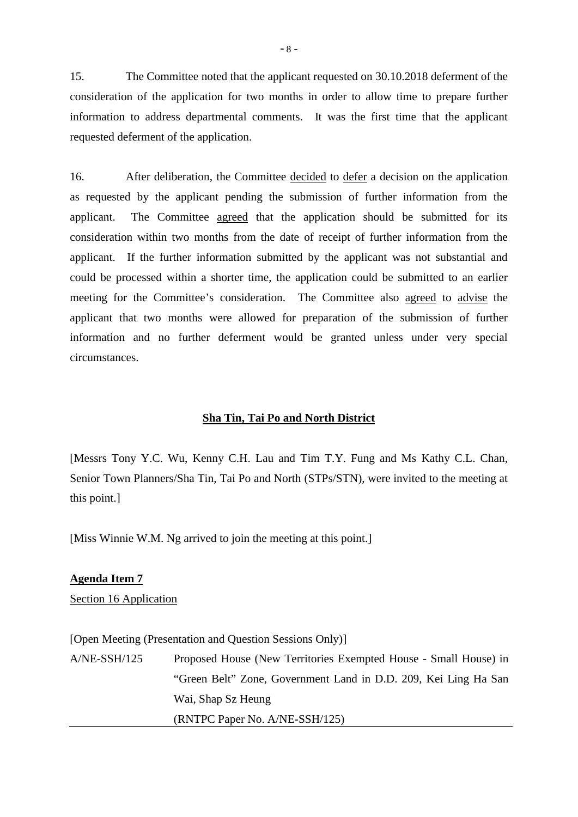15. The Committee noted that the applicant requested on 30.10.2018 deferment of the consideration of the application for two months in order to allow time to prepare further information to address departmental comments. It was the first time that the applicant requested deferment of the application.

16. After deliberation, the Committee decided to defer a decision on the application as requested by the applicant pending the submission of further information from the applicant. The Committee agreed that the application should be submitted for its consideration within two months from the date of receipt of further information from the applicant. If the further information submitted by the applicant was not substantial and could be processed within a shorter time, the application could be submitted to an earlier meeting for the Committee's consideration. The Committee also agreed to advise the applicant that two months were allowed for preparation of the submission of further information and no further deferment would be granted unless under very special circumstances.

#### **Sha Tin, Tai Po and North District**

[Messrs Tony Y.C. Wu, Kenny C.H. Lau and Tim T.Y. Fung and Ms Kathy C.L. Chan, Senior Town Planners/Sha Tin, Tai Po and North (STPs/STN), were invited to the meeting at this point.]

[Miss Winnie W.M. Ng arrived to join the meeting at this point.]

# **Agenda Item 7**

Section 16 Application

[Open Meeting (Presentation and Question Sessions Only)]

A/NE-SSH/125 Proposed House (New Territories Exempted House - Small House) in "Green Belt" Zone, Government Land in D.D. 209, Kei Ling Ha San Wai, Shap Sz Heung (RNTPC Paper No. A/NE-SSH/125)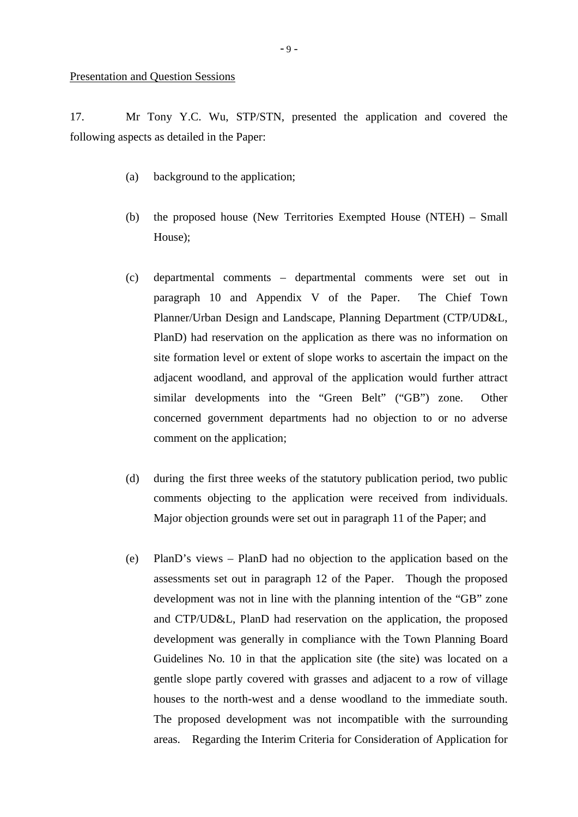17. Mr Tony Y.C. Wu, STP/STN, presented the application and covered the following aspects as detailed in the Paper:

- (a) background to the application;
- (b) the proposed house (New Territories Exempted House (NTEH) Small House);
- (c) departmental comments departmental comments were set out in paragraph 10 and Appendix V of the Paper. The Chief Town Planner/Urban Design and Landscape, Planning Department (CTP/UD&L, PlanD) had reservation on the application as there was no information on site formation level or extent of slope works to ascertain the impact on the adjacent woodland, and approval of the application would further attract similar developments into the "Green Belt" ("GB") zone. Other concerned government departments had no objection to or no adverse comment on the application;
- (d) during the first three weeks of the statutory publication period, two public comments objecting to the application were received from individuals. Major objection grounds were set out in paragraph 11 of the Paper; and
- (e) PlanD's views PlanD had no objection to the application based on the assessments set out in paragraph 12 of the Paper. Though the proposed development was not in line with the planning intention of the "GB" zone and CTP/UD&L, PlanD had reservation on the application, the proposed development was generally in compliance with the Town Planning Board Guidelines No. 10 in that the application site (the site) was located on a gentle slope partly covered with grasses and adjacent to a row of village houses to the north-west and a dense woodland to the immediate south. The proposed development was not incompatible with the surrounding areas. Regarding the Interim Criteria for Consideration of Application for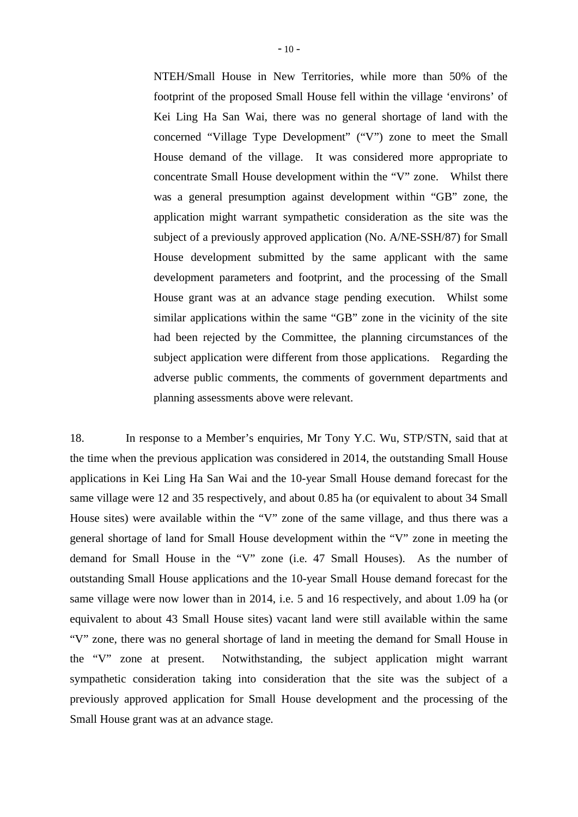NTEH/Small House in New Territories, while more than 50% of the footprint of the proposed Small House fell within the village 'environs' of Kei Ling Ha San Wai, there was no general shortage of land with the concerned "Village Type Development" ("V") zone to meet the Small House demand of the village. It was considered more appropriate to concentrate Small House development within the "V" zone. Whilst there was a general presumption against development within "GB" zone, the application might warrant sympathetic consideration as the site was the subject of a previously approved application (No. A/NE-SSH/87) for Small House development submitted by the same applicant with the same development parameters and footprint, and the processing of the Small House grant was at an advance stage pending execution. Whilst some similar applications within the same "GB" zone in the vicinity of the site had been rejected by the Committee, the planning circumstances of the subject application were different from those applications. Regarding the adverse public comments, the comments of government departments and planning assessments above were relevant.

18. In response to a Member's enquiries, Mr Tony Y.C. Wu, STP/STN, said that at the time when the previous application was considered in 2014, the outstanding Small House applications in Kei Ling Ha San Wai and the 10-year Small House demand forecast for the same village were 12 and 35 respectively, and about 0.85 ha (or equivalent to about 34 Small House sites) were available within the "V" zone of the same village, and thus there was a general shortage of land for Small House development within the "V" zone in meeting the demand for Small House in the "V" zone (i.e. 47 Small Houses). As the number of outstanding Small House applications and the 10-year Small House demand forecast for the same village were now lower than in 2014, i.e. 5 and 16 respectively, and about 1.09 ha (or equivalent to about 43 Small House sites) vacant land were still available within the same "V" zone, there was no general shortage of land in meeting the demand for Small House in the "V" zone at present. Notwithstanding, the subject application might warrant sympathetic consideration taking into consideration that the site was the subject of a previously approved application for Small House development and the processing of the Small House grant was at an advance stage.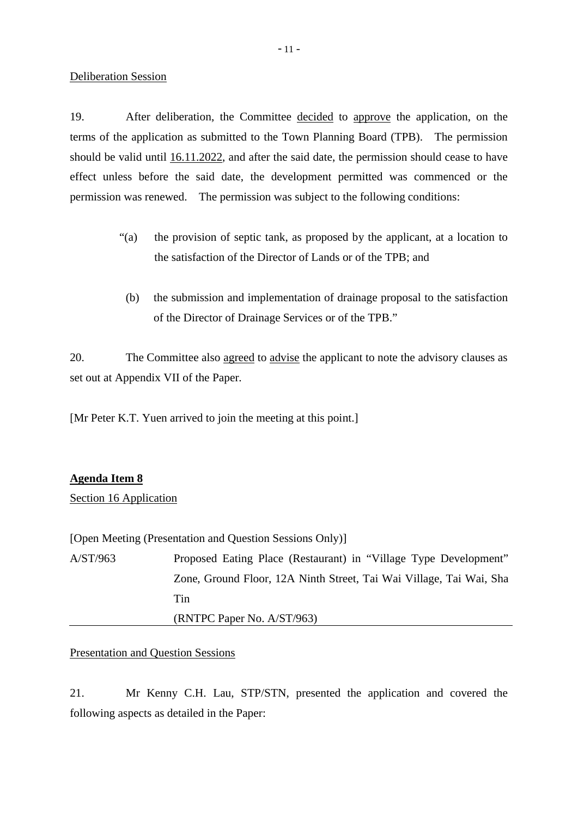#### Deliberation Session

19. After deliberation, the Committee decided to approve the application, on the terms of the application as submitted to the Town Planning Board (TPB). The permission should be valid until 16.11.2022, and after the said date, the permission should cease to have effect unless before the said date, the development permitted was commenced or the permission was renewed. The permission was subject to the following conditions:

- "(a) the provision of septic tank, as proposed by the applicant, at a location to the satisfaction of the Director of Lands or of the TPB; and
- (b) the submission and implementation of drainage proposal to the satisfaction of the Director of Drainage Services or of the TPB."

20. The Committee also agreed to advise the applicant to note the advisory clauses as set out at Appendix VII of the Paper.

[Mr Peter K.T. Yuen arrived to join the meeting at this point.]

# **Agenda Item 8**

# Section 16 Application

[Open Meeting (Presentation and Question Sessions Only)]

A/ST/963 Proposed Eating Place (Restaurant) in "Village Type Development" Zone, Ground Floor, 12A Ninth Street, Tai Wai Village, Tai Wai, Sha Tin

(RNTPC Paper No. A/ST/963)

# Presentation and Question Sessions

21. Mr Kenny C.H. Lau, STP/STN, presented the application and covered the following aspects as detailed in the Paper: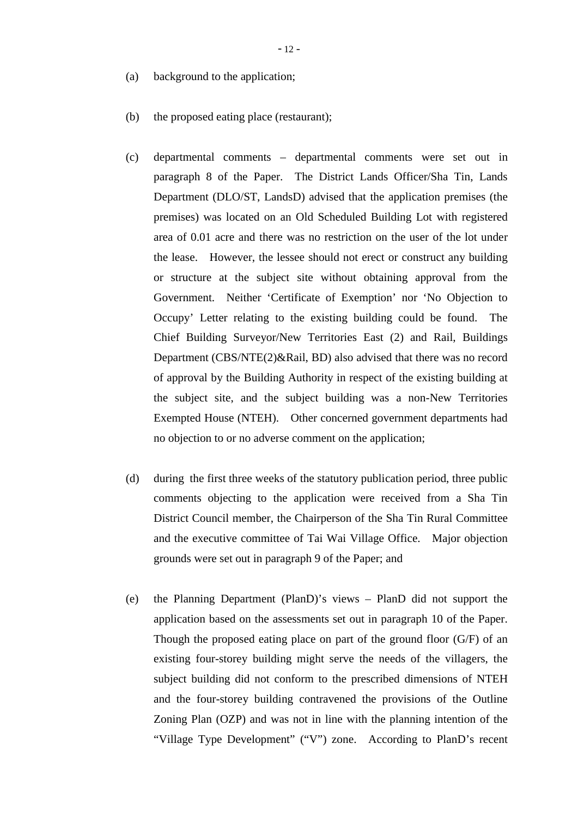- (a) background to the application;
- (b) the proposed eating place (restaurant);
- (c) departmental comments departmental comments were set out in paragraph 8 of the Paper. The District Lands Officer/Sha Tin, Lands Department (DLO/ST, LandsD) advised that the application premises (the premises) was located on an Old Scheduled Building Lot with registered area of 0.01 acre and there was no restriction on the user of the lot under the lease. However, the lessee should not erect or construct any building or structure at the subject site without obtaining approval from the Government. Neither 'Certificate of Exemption' nor 'No Objection to Occupy' Letter relating to the existing building could be found. The Chief Building Surveyor/New Territories East (2) and Rail, Buildings Department (CBS/NTE(2)&Rail, BD) also advised that there was no record of approval by the Building Authority in respect of the existing building at the subject site, and the subject building was a non-New Territories Exempted House (NTEH). Other concerned government departments had no objection to or no adverse comment on the application;
- (d) during the first three weeks of the statutory publication period, three public comments objecting to the application were received from a Sha Tin District Council member, the Chairperson of the Sha Tin Rural Committee and the executive committee of Tai Wai Village Office. Major objection grounds were set out in paragraph 9 of the Paper; and
- (e) the Planning Department (PlanD)'s views PlanD did not support the application based on the assessments set out in paragraph 10 of the Paper. Though the proposed eating place on part of the ground floor (G/F) of an existing four-storey building might serve the needs of the villagers, the subject building did not conform to the prescribed dimensions of NTEH and the four-storey building contravened the provisions of the Outline Zoning Plan (OZP) and was not in line with the planning intention of the "Village Type Development" ("V") zone. According to PlanD's recent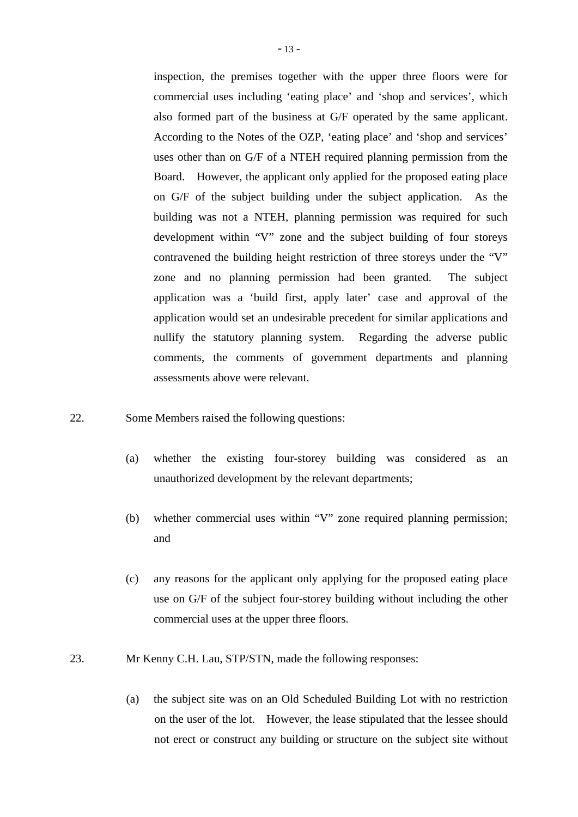inspection, the premises together with the upper three floors were for commercial uses including 'eating place' and 'shop and services', which also formed part of the business at G/F operated by the same applicant. According to the Notes of the OZP, 'eating place' and 'shop and services' uses other than on G/F of a NTEH required planning permission from the Board. However, the applicant only applied for the proposed eating place on G/F of the subject building under the subject application. As the building was not a NTEH, planning permission was required for such development within "V" zone and the subject building of four storeys contravened the building height restriction of three storeys under the "V" zone and no planning permission had been granted. The subject application was a 'build first, apply later' case and approval of the application would set an undesirable precedent for similar applications and nullify the statutory planning system. Regarding the adverse public comments, the comments of government departments and planning assessments above were relevant.

- 22. Some Members raised the following questions:
	- (a) whether the existing four-storey building was considered as an unauthorized development by the relevant departments;
	- (b) whether commercial uses within "V" zone required planning permission; and
	- (c) any reasons for the applicant only applying for the proposed eating place use on G/F of the subject four-storey building without including the other commercial uses at the upper three floors.
- 23. Mr Kenny C.H. Lau, STP/STN, made the following responses:
	- (a) the subject site was on an Old Scheduled Building Lot with no restriction on the user of the lot. However, the lease stipulated that the lessee should not erect or construct any building or structure on the subject site without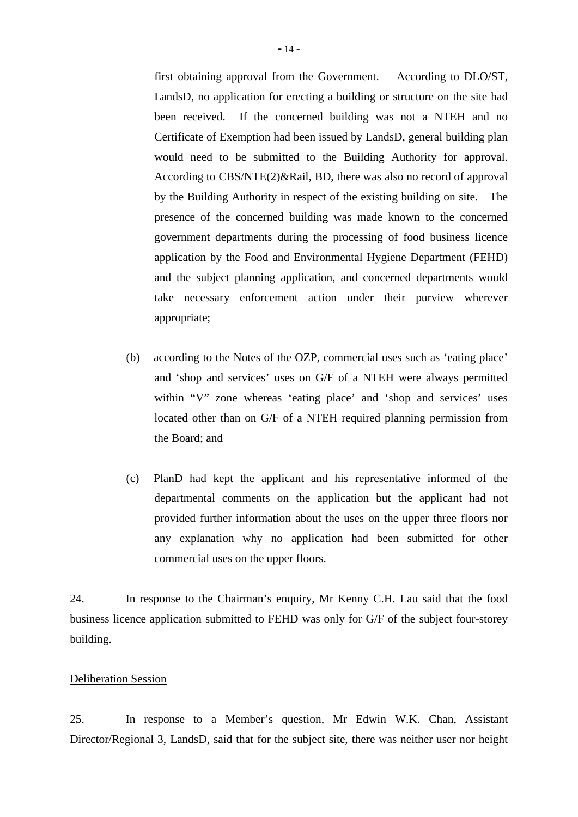first obtaining approval from the Government. According to DLO/ST, LandsD, no application for erecting a building or structure on the site had been received. If the concerned building was not a NTEH and no Certificate of Exemption had been issued by LandsD, general building plan would need to be submitted to the Building Authority for approval. According to CBS/NTE(2)&Rail, BD, there was also no record of approval by the Building Authority in respect of the existing building on site. The presence of the concerned building was made known to the concerned government departments during the processing of food business licence application by the Food and Environmental Hygiene Department (FEHD) and the subject planning application, and concerned departments would take necessary enforcement action under their purview wherever appropriate;

- (b) according to the Notes of the OZP, commercial uses such as 'eating place' and 'shop and services' uses on G/F of a NTEH were always permitted within "V" zone whereas 'eating place' and 'shop and services' uses located other than on G/F of a NTEH required planning permission from the Board; and
- (c) PlanD had kept the applicant and his representative informed of the departmental comments on the application but the applicant had not provided further information about the uses on the upper three floors nor any explanation why no application had been submitted for other commercial uses on the upper floors.

24. In response to the Chairman's enquiry, Mr Kenny C.H. Lau said that the food business licence application submitted to FEHD was only for G/F of the subject four-storey building.

# Deliberation Session

25. In response to a Member's question, Mr Edwin W.K. Chan, Assistant Director/Regional 3, LandsD, said that for the subject site, there was neither user nor height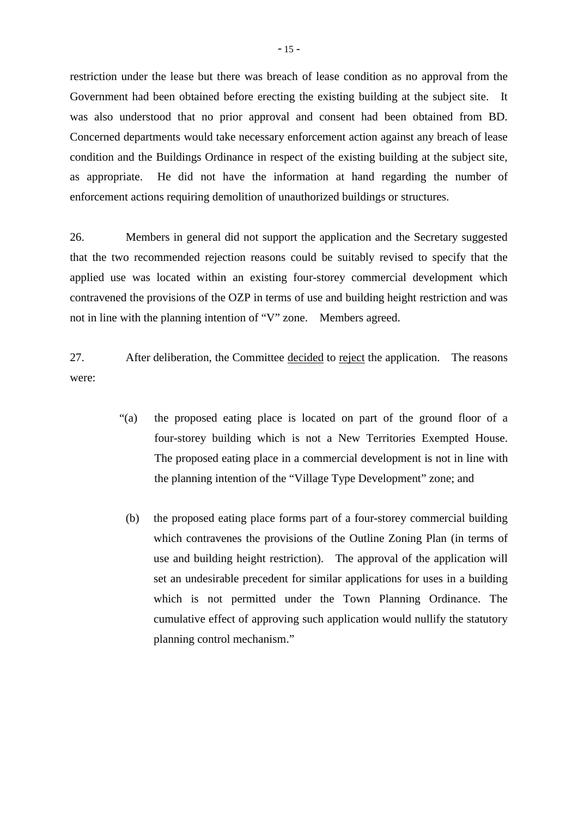restriction under the lease but there was breach of lease condition as no approval from the Government had been obtained before erecting the existing building at the subject site. It was also understood that no prior approval and consent had been obtained from BD. Concerned departments would take necessary enforcement action against any breach of lease condition and the Buildings Ordinance in respect of the existing building at the subject site, as appropriate. He did not have the information at hand regarding the number of enforcement actions requiring demolition of unauthorized buildings or structures.

26. Members in general did not support the application and the Secretary suggested that the two recommended rejection reasons could be suitably revised to specify that the applied use was located within an existing four-storey commercial development which contravened the provisions of the OZP in terms of use and building height restriction and was not in line with the planning intention of "V" zone. Members agreed.

27. After deliberation, the Committee decided to reject the application. The reasons were:

- "(a) the proposed eating place is located on part of the ground floor of a four-storey building which is not a New Territories Exempted House. The proposed eating place in a commercial development is not in line with the planning intention of the "Village Type Development" zone; and
	- (b) the proposed eating place forms part of a four-storey commercial building which contravenes the provisions of the Outline Zoning Plan (in terms of use and building height restriction). The approval of the application will set an undesirable precedent for similar applications for uses in a building which is not permitted under the Town Planning Ordinance. The cumulative effect of approving such application would nullify the statutory planning control mechanism."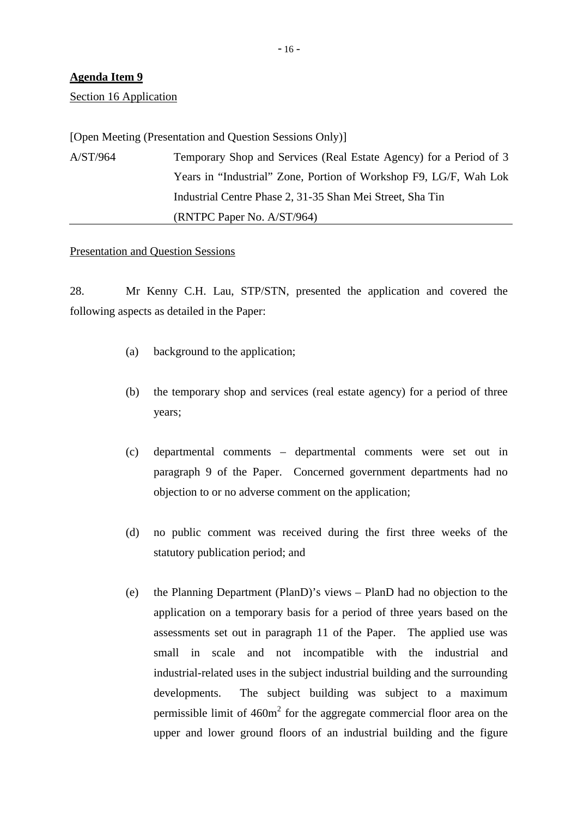# **Agenda Item 9**

Section 16 Application

[Open Meeting (Presentation and Question Sessions Only)] A/ST/964 Temporary Shop and Services (Real Estate Agency) for a Period of 3 Years in "Industrial" Zone, Portion of Workshop F9, LG/F, Wah Lok Industrial Centre Phase 2, 31-35 Shan Mei Street, Sha Tin (RNTPC Paper No. A/ST/964)

#### Presentation and Question Sessions

28. Mr Kenny C.H. Lau, STP/STN, presented the application and covered the following aspects as detailed in the Paper:

- (a) background to the application;
- (b) the temporary shop and services (real estate agency) for a period of three years;
- (c) departmental comments departmental comments were set out in paragraph 9 of the Paper. Concerned government departments had no objection to or no adverse comment on the application;
- (d) no public comment was received during the first three weeks of the statutory publication period; and
- (e) the Planning Department (PlanD)'s views PlanD had no objection to the application on a temporary basis for a period of three years based on the assessments set out in paragraph 11 of the Paper. The applied use was small in scale and not incompatible with the industrial and industrial-related uses in the subject industrial building and the surrounding developments. The subject building was subject to a maximum permissible limit of  $460m<sup>2</sup>$  for the aggregate commercial floor area on the upper and lower ground floors of an industrial building and the figure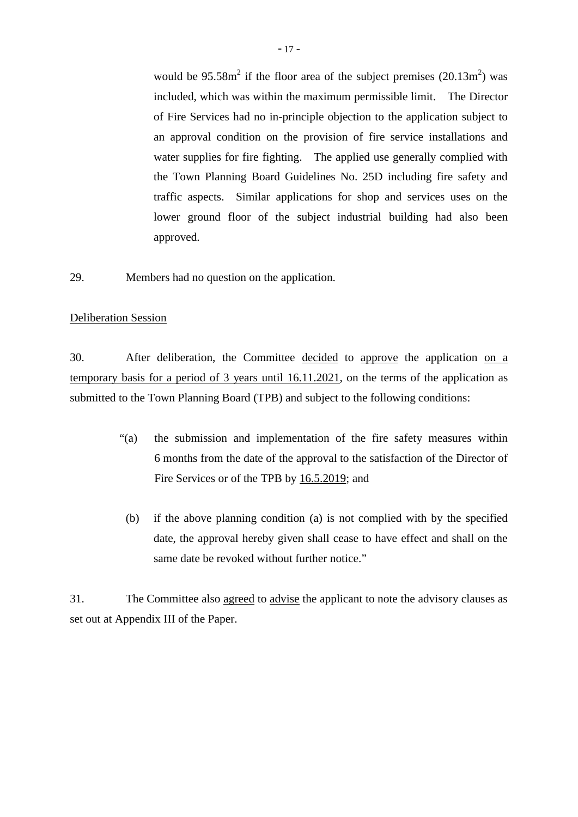would be  $95.58m^2$  if the floor area of the subject premises  $(20.13m^2)$  was included, which was within the maximum permissible limit. The Director of Fire Services had no in-principle objection to the application subject to an approval condition on the provision of fire service installations and water supplies for fire fighting. The applied use generally complied with the Town Planning Board Guidelines No. 25D including fire safety and traffic aspects. Similar applications for shop and services uses on the lower ground floor of the subject industrial building had also been approved.

29. Members had no question on the application.

#### Deliberation Session

30. After deliberation, the Committee decided to approve the application on a temporary basis for a period of 3 years until 16.11.2021, on the terms of the application as submitted to the Town Planning Board (TPB) and subject to the following conditions:

- "(a) the submission and implementation of the fire safety measures within 6 months from the date of the approval to the satisfaction of the Director of Fire Services or of the TPB by 16.5.2019; and
- (b) if the above planning condition (a) is not complied with by the specified date, the approval hereby given shall cease to have effect and shall on the same date be revoked without further notice."

31. The Committee also agreed to advise the applicant to note the advisory clauses as set out at Appendix III of the Paper.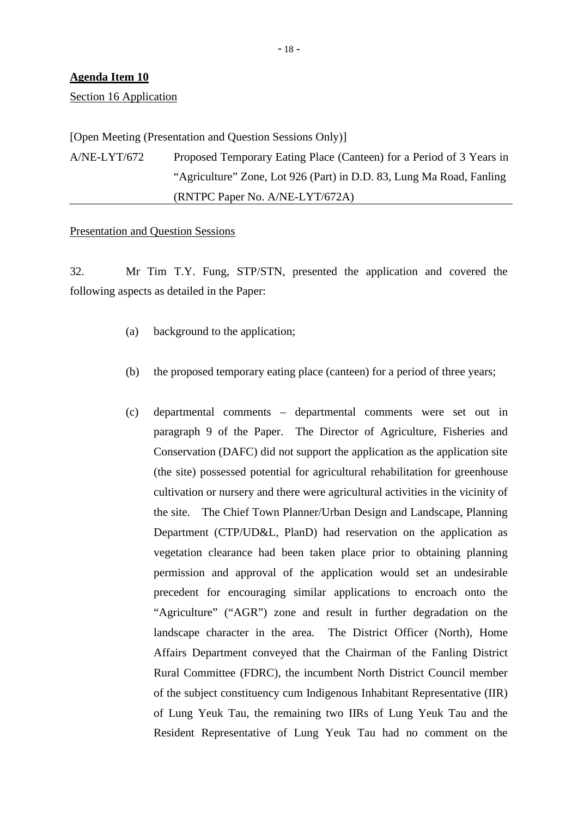## **Agenda Item 10**

Section 16 Application

[Open Meeting (Presentation and Question Sessions Only)]

A/NE-LYT/672 Proposed Temporary Eating Place (Canteen) for a Period of 3 Years in "Agriculture" Zone, Lot 926 (Part) in D.D. 83, Lung Ma Road, Fanling (RNTPC Paper No. A/NE-LYT/672A)

#### Presentation and Question Sessions

32. Mr Tim T.Y. Fung, STP/STN, presented the application and covered the following aspects as detailed in the Paper:

- (a) background to the application;
- (b) the proposed temporary eating place (canteen) for a period of three years;
- (c) departmental comments departmental comments were set out in paragraph 9 of the Paper. The Director of Agriculture, Fisheries and Conservation (DAFC) did not support the application as the application site (the site) possessed potential for agricultural rehabilitation for greenhouse cultivation or nursery and there were agricultural activities in the vicinity of the site. The Chief Town Planner/Urban Design and Landscape, Planning Department (CTP/UD&L, PlanD) had reservation on the application as vegetation clearance had been taken place prior to obtaining planning permission and approval of the application would set an undesirable precedent for encouraging similar applications to encroach onto the "Agriculture" ("AGR") zone and result in further degradation on the landscape character in the area. The District Officer (North), Home Affairs Department conveyed that the Chairman of the Fanling District Rural Committee (FDRC), the incumbent North District Council member of the subject constituency cum Indigenous Inhabitant Representative (IIR) of Lung Yeuk Tau, the remaining two IIRs of Lung Yeuk Tau and the Resident Representative of Lung Yeuk Tau had no comment on the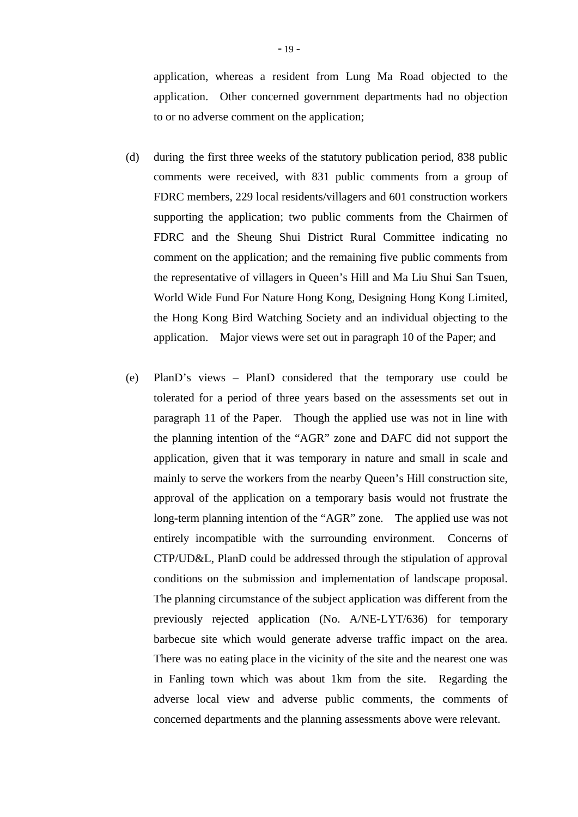application, whereas a resident from Lung Ma Road objected to the application. Other concerned government departments had no objection to or no adverse comment on the application;

- (d) during the first three weeks of the statutory publication period, 838 public comments were received, with 831 public comments from a group of FDRC members, 229 local residents/villagers and 601 construction workers supporting the application; two public comments from the Chairmen of FDRC and the Sheung Shui District Rural Committee indicating no comment on the application; and the remaining five public comments from the representative of villagers in Queen's Hill and Ma Liu Shui San Tsuen, World Wide Fund For Nature Hong Kong, Designing Hong Kong Limited, the Hong Kong Bird Watching Society and an individual objecting to the application. Major views were set out in paragraph 10 of the Paper; and
- (e) PlanD's views PlanD considered that the temporary use could be tolerated for a period of three years based on the assessments set out in paragraph 11 of the Paper. Though the applied use was not in line with the planning intention of the "AGR" zone and DAFC did not support the application, given that it was temporary in nature and small in scale and mainly to serve the workers from the nearby Queen's Hill construction site, approval of the application on a temporary basis would not frustrate the long-term planning intention of the "AGR" zone. The applied use was not entirely incompatible with the surrounding environment. Concerns of CTP/UD&L, PlanD could be addressed through the stipulation of approval conditions on the submission and implementation of landscape proposal. The planning circumstance of the subject application was different from the previously rejected application (No. A/NE-LYT/636) for temporary barbecue site which would generate adverse traffic impact on the area. There was no eating place in the vicinity of the site and the nearest one was in Fanling town which was about 1km from the site. Regarding the adverse local view and adverse public comments, the comments of concerned departments and the planning assessments above were relevant.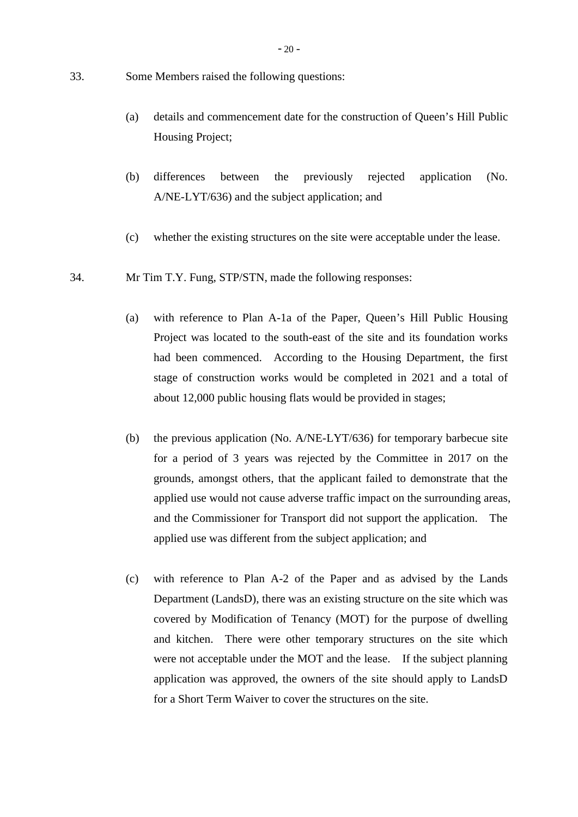- 33. Some Members raised the following questions:
	- (a) details and commencement date for the construction of Queen's Hill Public Housing Project;
	- (b) differences between the previously rejected application (No. A/NE-LYT/636) and the subject application; and
	- (c) whether the existing structures on the site were acceptable under the lease.
- 34. Mr Tim T.Y. Fung, STP/STN, made the following responses:
	- (a) with reference to Plan A-1a of the Paper, Queen's Hill Public Housing Project was located to the south-east of the site and its foundation works had been commenced. According to the Housing Department, the first stage of construction works would be completed in 2021 and a total of about 12,000 public housing flats would be provided in stages;
	- (b) the previous application (No. A/NE-LYT/636) for temporary barbecue site for a period of 3 years was rejected by the Committee in 2017 on the grounds, amongst others, that the applicant failed to demonstrate that the applied use would not cause adverse traffic impact on the surrounding areas, and the Commissioner for Transport did not support the application. The applied use was different from the subject application; and
	- (c) with reference to Plan A-2 of the Paper and as advised by the Lands Department (LandsD), there was an existing structure on the site which was covered by Modification of Tenancy (MOT) for the purpose of dwelling and kitchen. There were other temporary structures on the site which were not acceptable under the MOT and the lease. If the subject planning application was approved, the owners of the site should apply to LandsD for a Short Term Waiver to cover the structures on the site.

- 20 -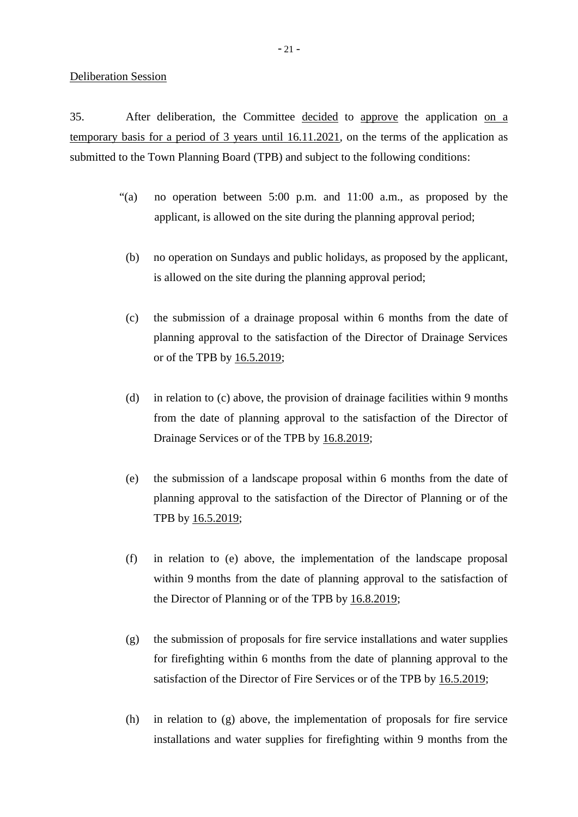#### Deliberation Session

35. After deliberation, the Committee decided to approve the application on a temporary basis for a period of 3 years until 16.11.2021, on the terms of the application as submitted to the Town Planning Board (TPB) and subject to the following conditions:

- "(a) no operation between 5:00 p.m. and 11:00 a.m., as proposed by the applicant, is allowed on the site during the planning approval period;
	- (b) no operation on Sundays and public holidays, as proposed by the applicant, is allowed on the site during the planning approval period;
	- (c) the submission of a drainage proposal within 6 months from the date of planning approval to the satisfaction of the Director of Drainage Services or of the TPB by 16.5.2019;
	- (d) in relation to (c) above, the provision of drainage facilities within 9 months from the date of planning approval to the satisfaction of the Director of Drainage Services or of the TPB by 16.8.2019;
	- (e) the submission of a landscape proposal within 6 months from the date of planning approval to the satisfaction of the Director of Planning or of the TPB by 16.5.2019;
	- (f) in relation to (e) above, the implementation of the landscape proposal within 9 months from the date of planning approval to the satisfaction of the Director of Planning or of the TPB by 16.8.2019;
	- (g) the submission of proposals for fire service installations and water supplies for firefighting within 6 months from the date of planning approval to the satisfaction of the Director of Fire Services or of the TPB by  $16.5.2019$ ;
	- (h) in relation to (g) above, the implementation of proposals for fire service installations and water supplies for firefighting within 9 months from the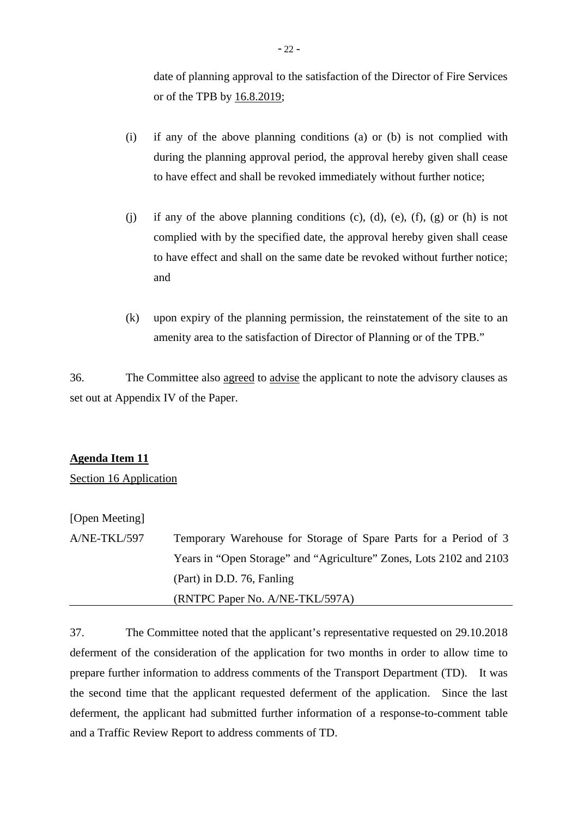date of planning approval to the satisfaction of the Director of Fire Services or of the TPB by 16.8.2019;

- (i) if any of the above planning conditions (a) or (b) is not complied with during the planning approval period, the approval hereby given shall cease to have effect and shall be revoked immediately without further notice;
- (j) if any of the above planning conditions (c), (d), (e), (f), (g) or (h) is not complied with by the specified date, the approval hereby given shall cease to have effect and shall on the same date be revoked without further notice; and
- (k) upon expiry of the planning permission, the reinstatement of the site to an amenity area to the satisfaction of Director of Planning or of the TPB."

36. The Committee also agreed to advise the applicant to note the advisory clauses as set out at Appendix IV of the Paper.

# **Agenda Item 11**

Section 16 Application

# [Open Meeting]

A/NE-TKL/597 Temporary Warehouse for Storage of Spare Parts for a Period of 3 Years in "Open Storage" and "Agriculture" Zones, Lots 2102 and 2103 (Part) in D.D. 76, Fanling (RNTPC Paper No. A/NE-TKL/597A)

37. The Committee noted that the applicant's representative requested on 29.10.2018 deferment of the consideration of the application for two months in order to allow time to prepare further information to address comments of the Transport Department (TD). It was the second time that the applicant requested deferment of the application. Since the last deferment, the applicant had submitted further information of a response-to-comment table and a Traffic Review Report to address comments of TD.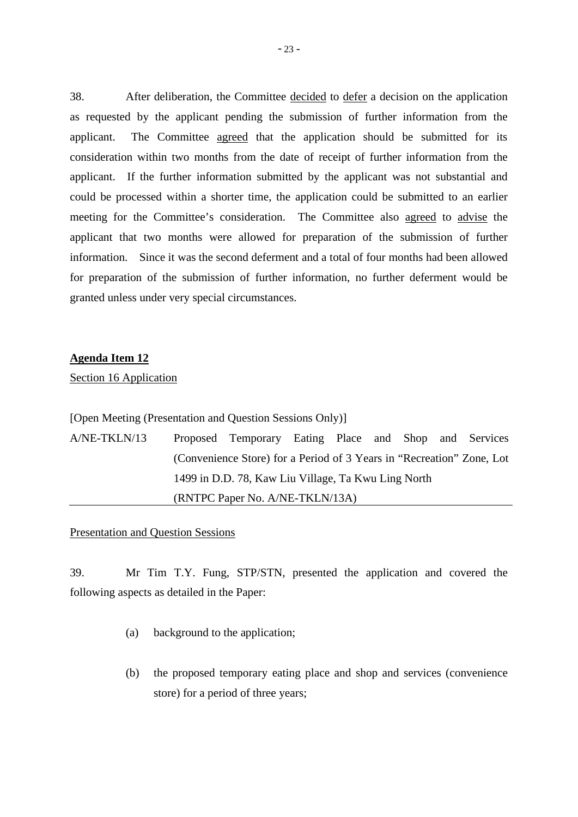38. After deliberation, the Committee decided to defer a decision on the application as requested by the applicant pending the submission of further information from the applicant. The Committee agreed that the application should be submitted for its consideration within two months from the date of receipt of further information from the applicant. If the further information submitted by the applicant was not substantial and could be processed within a shorter time, the application could be submitted to an earlier meeting for the Committee's consideration. The Committee also agreed to advise the applicant that two months were allowed for preparation of the submission of further information. Since it was the second deferment and a total of four months had been allowed for preparation of the submission of further information, no further deferment would be granted unless under very special circumstances.

#### **Agenda Item 12**

Section 16 Application

[Open Meeting (Presentation and Question Sessions Only)]

A/NE-TKLN/13 Proposed Temporary Eating Place and Shop and Services (Convenience Store) for a Period of 3 Years in "Recreation" Zone, Lot 1499 in D.D. 78, Kaw Liu Village, Ta Kwu Ling North (RNTPC Paper No. A/NE-TKLN/13A)

## Presentation and Question Sessions

39. Mr Tim T.Y. Fung, STP/STN, presented the application and covered the following aspects as detailed in the Paper:

- (a) background to the application;
- (b) the proposed temporary eating place and shop and services (convenience store) for a period of three years;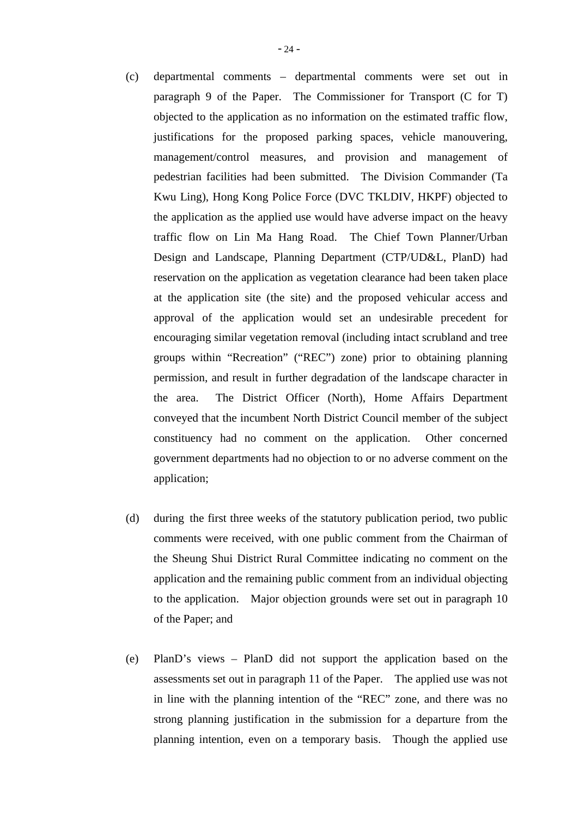- (c) departmental comments departmental comments were set out in paragraph 9 of the Paper. The Commissioner for Transport (C for T) objected to the application as no information on the estimated traffic flow, justifications for the proposed parking spaces, vehicle manouvering, management/control measures, and provision and management of pedestrian facilities had been submitted. The Division Commander (Ta Kwu Ling), Hong Kong Police Force (DVC TKLDIV, HKPF) objected to the application as the applied use would have adverse impact on the heavy traffic flow on Lin Ma Hang Road. The Chief Town Planner/Urban Design and Landscape, Planning Department (CTP/UD&L, PlanD) had reservation on the application as vegetation clearance had been taken place at the application site (the site) and the proposed vehicular access and approval of the application would set an undesirable precedent for encouraging similar vegetation removal (including intact scrubland and tree groups within "Recreation" ("REC") zone) prior to obtaining planning permission, and result in further degradation of the landscape character in the area. The District Officer (North), Home Affairs Department conveyed that the incumbent North District Council member of the subject constituency had no comment on the application. Other concerned government departments had no objection to or no adverse comment on the application;
- (d) during the first three weeks of the statutory publication period, two public comments were received, with one public comment from the Chairman of the Sheung Shui District Rural Committee indicating no comment on the application and the remaining public comment from an individual objecting to the application. Major objection grounds were set out in paragraph 10 of the Paper; and
- (e) PlanD's views PlanD did not support the application based on the assessments set out in paragraph 11 of the Paper. The applied use was not in line with the planning intention of the "REC" zone, and there was no strong planning justification in the submission for a departure from the planning intention, even on a temporary basis. Though the applied use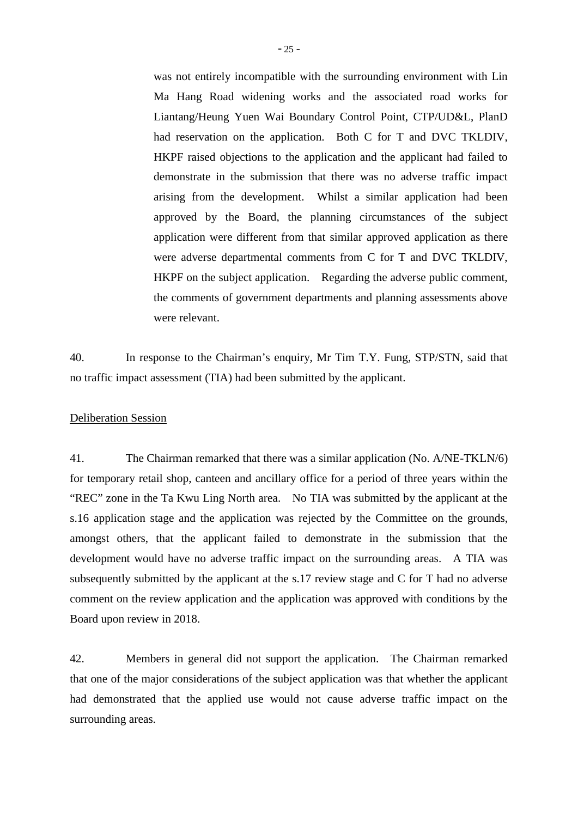was not entirely incompatible with the surrounding environment with Lin Ma Hang Road widening works and the associated road works for Liantang/Heung Yuen Wai Boundary Control Point, CTP/UD&L, PlanD had reservation on the application. Both C for T and DVC TKLDIV, HKPF raised objections to the application and the applicant had failed to demonstrate in the submission that there was no adverse traffic impact arising from the development. Whilst a similar application had been approved by the Board, the planning circumstances of the subject application were different from that similar approved application as there were adverse departmental comments from C for T and DVC TKLDIV, HKPF on the subject application. Regarding the adverse public comment, the comments of government departments and planning assessments above were relevant.

40. In response to the Chairman's enquiry, Mr Tim T.Y. Fung, STP/STN, said that no traffic impact assessment (TIA) had been submitted by the applicant.

#### Deliberation Session

41. The Chairman remarked that there was a similar application (No. A/NE-TKLN/6) for temporary retail shop, canteen and ancillary office for a period of three years within the "REC" zone in the Ta Kwu Ling North area. No TIA was submitted by the applicant at the s.16 application stage and the application was rejected by the Committee on the grounds, amongst others, that the applicant failed to demonstrate in the submission that the development would have no adverse traffic impact on the surrounding areas. A TIA was subsequently submitted by the applicant at the s.17 review stage and C for T had no adverse comment on the review application and the application was approved with conditions by the Board upon review in 2018.

42. Members in general did not support the application. The Chairman remarked that one of the major considerations of the subject application was that whether the applicant had demonstrated that the applied use would not cause adverse traffic impact on the surrounding areas.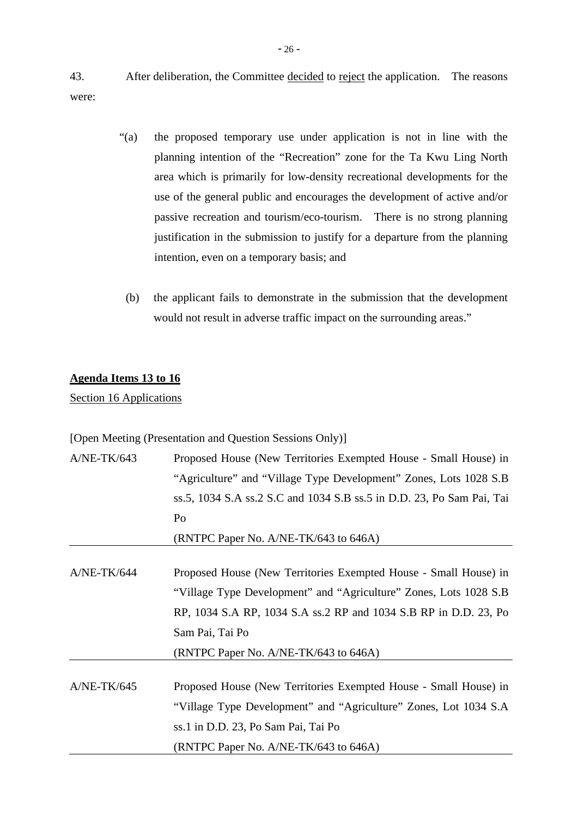43. After deliberation, the Committee decided to reject the application. The reasons were:

- "(a) the proposed temporary use under application is not in line with the planning intention of the "Recreation" zone for the Ta Kwu Ling North area which is primarily for low-density recreational developments for the use of the general public and encourages the development of active and/or passive recreation and tourism/eco-tourism. There is no strong planning justification in the submission to justify for a departure from the planning intention, even on a temporary basis; and
- (b) the applicant fails to demonstrate in the submission that the development would not result in adverse traffic impact on the surrounding areas."

# **Agenda Items 13 to 16**

Section 16 Applications

[Open Meeting (Presentation and Question Sessions Only)]

| $A/NE-TK/643$ | Proposed House (New Territories Exempted House - Small House) in      |  |  |  |  |
|---------------|-----------------------------------------------------------------------|--|--|--|--|
|               | "Agriculture" and "Village Type Development" Zones, Lots 1028 S.B     |  |  |  |  |
|               | ss.5, 1034 S.A ss.2 S.C and 1034 S.B ss.5 in D.D. 23, Po Sam Pai, Tai |  |  |  |  |
|               | Po                                                                    |  |  |  |  |
|               | (RNTPC Paper No. A/NE-TK/643 to 646A)                                 |  |  |  |  |
|               |                                                                       |  |  |  |  |
| $A/NE-TK/644$ | Proposed House (New Territories Exempted House - Small House) in      |  |  |  |  |
|               | "Village Type Development" and "Agriculture" Zones, Lots 1028 S.B     |  |  |  |  |
|               | RP, 1034 S.A RP, 1034 S.A ss.2 RP and 1034 S.B RP in D.D. 23, Po      |  |  |  |  |
|               | Sam Pai, Tai Po                                                       |  |  |  |  |
|               | (RNTPC Paper No. A/NE-TK/643 to 646A)                                 |  |  |  |  |
|               |                                                                       |  |  |  |  |
| $A/NE-TK/645$ | Proposed House (New Territories Exempted House - Small House) in      |  |  |  |  |
|               | "Village Type Development" and "Agriculture" Zones, Lot 1034 S.A      |  |  |  |  |
|               | ss.1 in D.D. 23, Po Sam Pai, Tai Po                                   |  |  |  |  |
|               | (RNTPC Paper No. A/NE-TK/643 to 646A)                                 |  |  |  |  |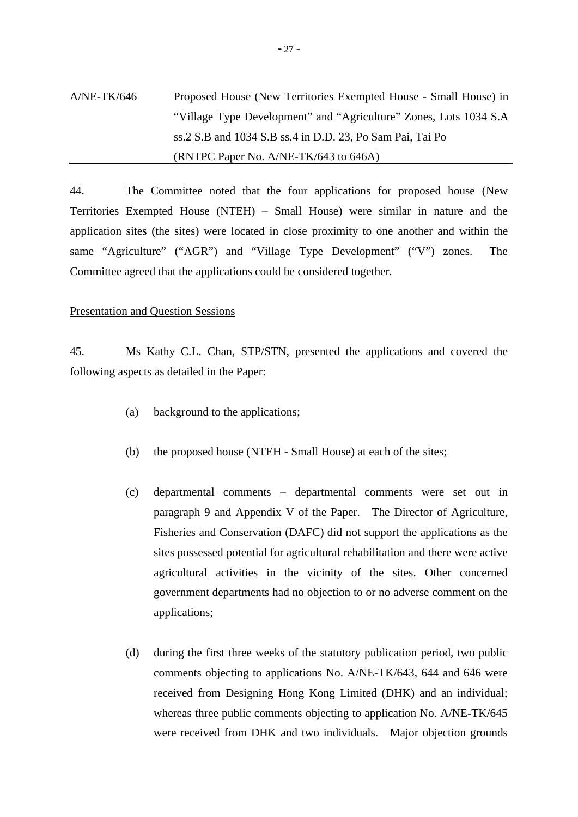# A/NE-TK/646 Proposed House (New Territories Exempted House - Small House) in "Village Type Development" and "Agriculture" Zones, Lots 1034 S.A ss.2 S.B and 1034 S.B ss.4 in D.D. 23, Po Sam Pai, Tai Po (RNTPC Paper No. A/NE-TK/643 to 646A)

44. The Committee noted that the four applications for proposed house (New Territories Exempted House (NTEH) – Small House) were similar in nature and the application sites (the sites) were located in close proximity to one another and within the same "Agriculture" ("AGR") and "Village Type Development" ("V") zones. The Committee agreed that the applications could be considered together.

#### Presentation and Question Sessions

45. Ms Kathy C.L. Chan, STP/STN, presented the applications and covered the following aspects as detailed in the Paper:

- (a) background to the applications;
- (b) the proposed house (NTEH Small House) at each of the sites;
- (c) departmental comments departmental comments were set out in paragraph 9 and Appendix V of the Paper. The Director of Agriculture, Fisheries and Conservation (DAFC) did not support the applications as the sites possessed potential for agricultural rehabilitation and there were active agricultural activities in the vicinity of the sites. Other concerned government departments had no objection to or no adverse comment on the applications;
- (d) during the first three weeks of the statutory publication period, two public comments objecting to applications No. A/NE-TK/643, 644 and 646 were received from Designing Hong Kong Limited (DHK) and an individual; whereas three public comments objecting to application No. A/NE-TK/645 were received from DHK and two individuals. Major objection grounds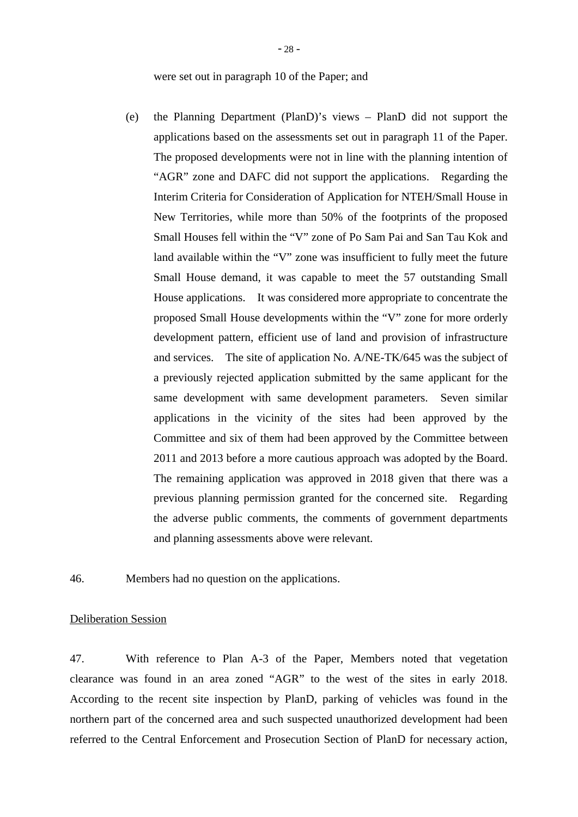were set out in paragraph 10 of the Paper; and

(e) the Planning Department (PlanD)'s views – PlanD did not support the applications based on the assessments set out in paragraph 11 of the Paper. The proposed developments were not in line with the planning intention of "AGR" zone and DAFC did not support the applications. Regarding the Interim Criteria for Consideration of Application for NTEH/Small House in New Territories, while more than 50% of the footprints of the proposed Small Houses fell within the "V" zone of Po Sam Pai and San Tau Kok and land available within the "V" zone was insufficient to fully meet the future Small House demand, it was capable to meet the 57 outstanding Small House applications. It was considered more appropriate to concentrate the proposed Small House developments within the "V" zone for more orderly development pattern, efficient use of land and provision of infrastructure and services. The site of application No. A/NE-TK/645 was the subject of a previously rejected application submitted by the same applicant for the same development with same development parameters. Seven similar applications in the vicinity of the sites had been approved by the Committee and six of them had been approved by the Committee between 2011 and 2013 before a more cautious approach was adopted by the Board. The remaining application was approved in 2018 given that there was a previous planning permission granted for the concerned site. Regarding the adverse public comments, the comments of government departments and planning assessments above were relevant.

46. Members had no question on the applications.

#### Deliberation Session

47. With reference to Plan A-3 of the Paper, Members noted that vegetation clearance was found in an area zoned "AGR" to the west of the sites in early 2018. According to the recent site inspection by PlanD, parking of vehicles was found in the northern part of the concerned area and such suspected unauthorized development had been referred to the Central Enforcement and Prosecution Section of PlanD for necessary action,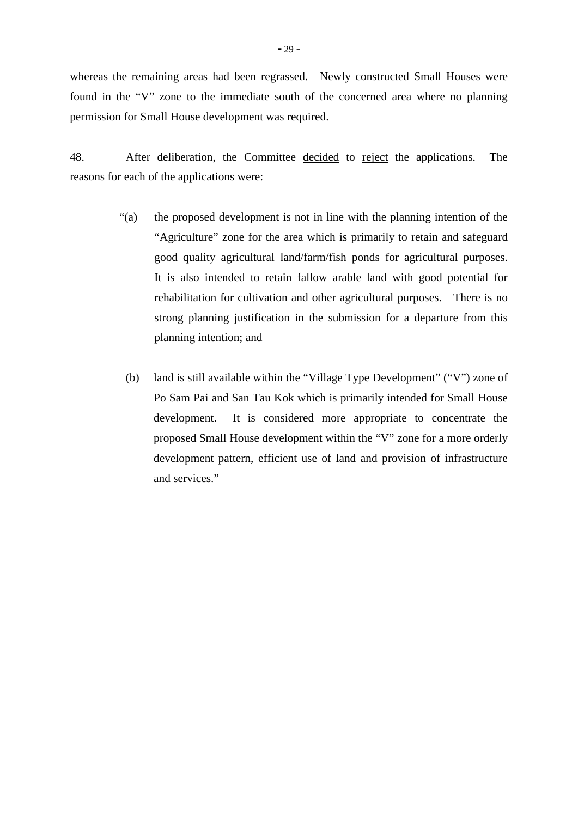- 29 -

found in the "V" zone to the immediate south of the concerned area where no planning permission for Small House development was required.

48. After deliberation, the Committee decided to reject the applications. The reasons for each of the applications were:

- "(a) the proposed development is not in line with the planning intention of the "Agriculture" zone for the area which is primarily to retain and safeguard good quality agricultural land/farm/fish ponds for agricultural purposes. It is also intended to retain fallow arable land with good potential for rehabilitation for cultivation and other agricultural purposes. There is no strong planning justification in the submission for a departure from this planning intention; and
	- (b) land is still available within the "Village Type Development" ("V") zone of Po Sam Pai and San Tau Kok which is primarily intended for Small House development. It is considered more appropriate to concentrate the proposed Small House development within the "V" zone for a more orderly development pattern, efficient use of land and provision of infrastructure and services."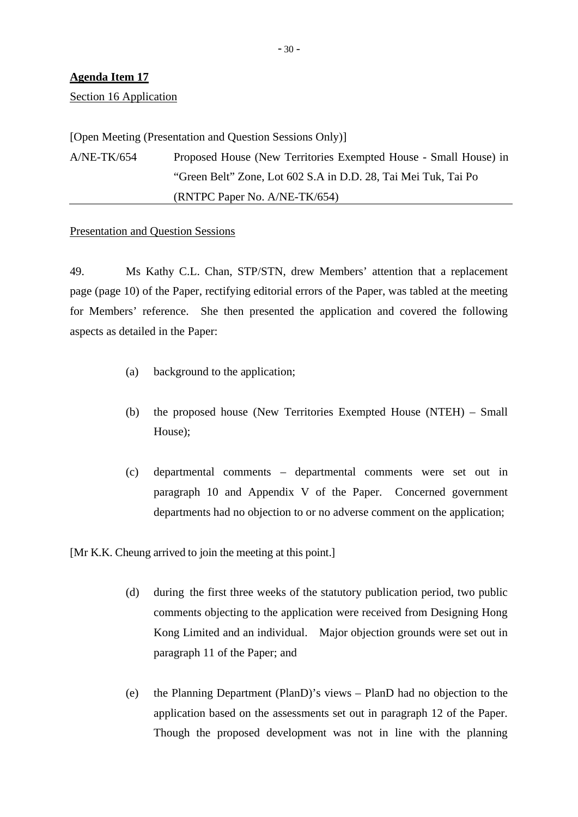# **Agenda Item 17**

Section 16 Application

[Open Meeting (Presentation and Question Sessions Only)]

A/NE-TK/654 Proposed House (New Territories Exempted House - Small House) in "Green Belt" Zone, Lot 602 S.A in D.D. 28, Tai Mei Tuk, Tai Po (RNTPC Paper No. A/NE-TK/654)

#### Presentation and Question Sessions

49. Ms Kathy C.L. Chan, STP/STN, drew Members' attention that a replacement page (page 10) of the Paper, rectifying editorial errors of the Paper, was tabled at the meeting for Members' reference. She then presented the application and covered the following aspects as detailed in the Paper:

- (a) background to the application;
- (b) the proposed house (New Territories Exempted House (NTEH) Small House);
- (c) departmental comments departmental comments were set out in paragraph 10 and Appendix V of the Paper. Concerned government departments had no objection to or no adverse comment on the application;

[Mr K.K. Cheung arrived to join the meeting at this point.]

- (d) during the first three weeks of the statutory publication period, two public comments objecting to the application were received from Designing Hong Kong Limited and an individual. Major objection grounds were set out in paragraph 11 of the Paper; and
- (e) the Planning Department (PlanD)'s views PlanD had no objection to the application based on the assessments set out in paragraph 12 of the Paper. Though the proposed development was not in line with the planning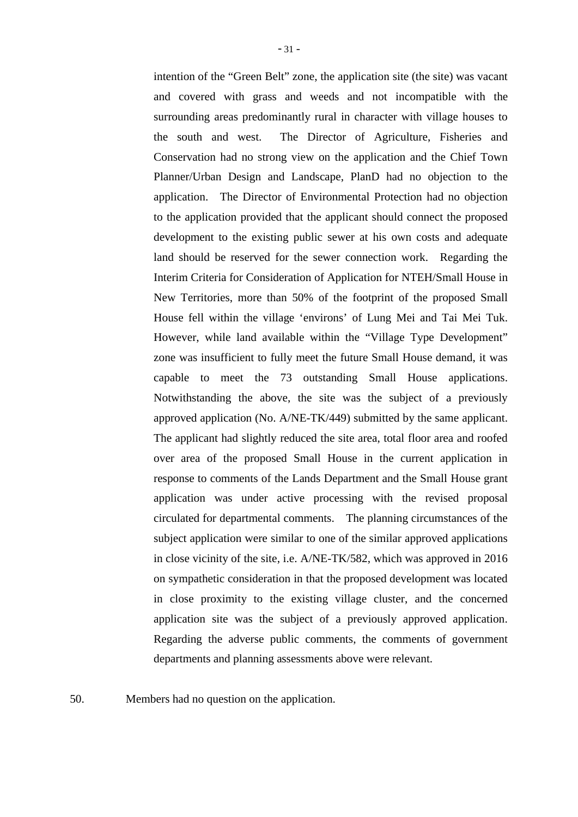intention of the "Green Belt" zone, the application site (the site) was vacant and covered with grass and weeds and not incompatible with the surrounding areas predominantly rural in character with village houses to the south and west. The Director of Agriculture, Fisheries and Conservation had no strong view on the application and the Chief Town Planner/Urban Design and Landscape, PlanD had no objection to the application. The Director of Environmental Protection had no objection to the application provided that the applicant should connect the proposed development to the existing public sewer at his own costs and adequate land should be reserved for the sewer connection work. Regarding the Interim Criteria for Consideration of Application for NTEH/Small House in New Territories, more than 50% of the footprint of the proposed Small House fell within the village 'environs' of Lung Mei and Tai Mei Tuk. However, while land available within the "Village Type Development" zone was insufficient to fully meet the future Small House demand, it was capable to meet the 73 outstanding Small House applications. Notwithstanding the above, the site was the subject of a previously approved application (No. A/NE-TK/449) submitted by the same applicant. The applicant had slightly reduced the site area, total floor area and roofed over area of the proposed Small House in the current application in response to comments of the Lands Department and the Small House grant application was under active processing with the revised proposal circulated for departmental comments. The planning circumstances of the subject application were similar to one of the similar approved applications in close vicinity of the site, i.e. A/NE-TK/582, which was approved in 2016 on sympathetic consideration in that the proposed development was located in close proximity to the existing village cluster, and the concerned application site was the subject of a previously approved application. Regarding the adverse public comments, the comments of government departments and planning assessments above were relevant.

50. Members had no question on the application.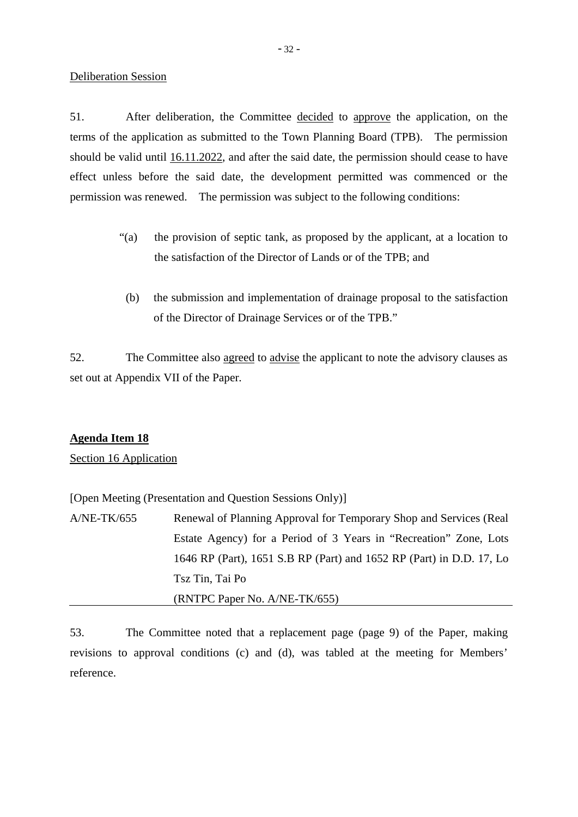## Deliberation Session

51. After deliberation, the Committee decided to approve the application, on the terms of the application as submitted to the Town Planning Board (TPB). The permission should be valid until 16.11.2022, and after the said date, the permission should cease to have effect unless before the said date, the development permitted was commenced or the permission was renewed. The permission was subject to the following conditions:

- "(a) the provision of septic tank, as proposed by the applicant, at a location to the satisfaction of the Director of Lands or of the TPB; and
- (b) the submission and implementation of drainage proposal to the satisfaction of the Director of Drainage Services or of the TPB."

52. The Committee also agreed to advise the applicant to note the advisory clauses as set out at Appendix VII of the Paper.

# **Agenda Item 18**

Section 16 Application

[Open Meeting (Presentation and Question Sessions Only)]

A/NE-TK/655 Renewal of Planning Approval for Temporary Shop and Services (Real Estate Agency) for a Period of 3 Years in "Recreation" Zone, Lots 1646 RP (Part), 1651 S.B RP (Part) and 1652 RP (Part) in D.D. 17, Lo Tsz Tin, Tai Po (RNTPC Paper No. A/NE-TK/655)

53. The Committee noted that a replacement page (page 9) of the Paper, making revisions to approval conditions (c) and (d), was tabled at the meeting for Members' reference.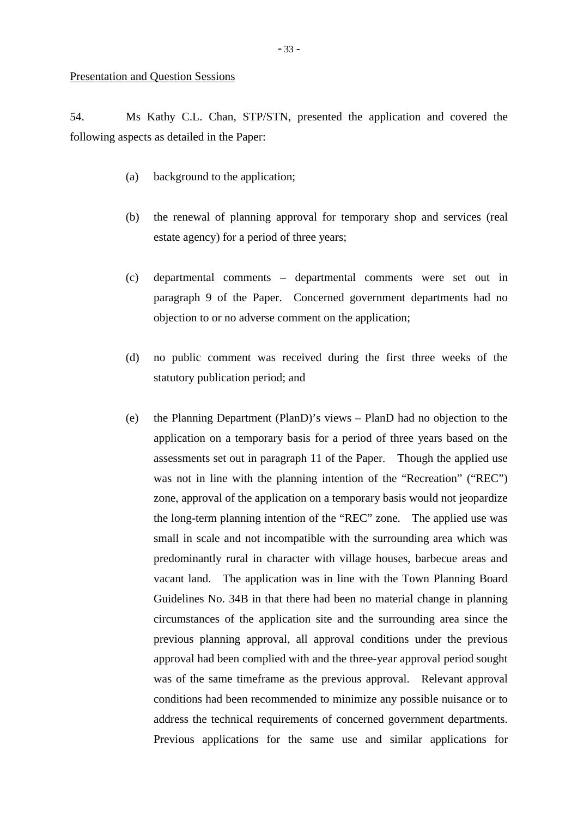54. Ms Kathy C.L. Chan, STP/STN, presented the application and covered the following aspects as detailed in the Paper:

- (a) background to the application;
- (b) the renewal of planning approval for temporary shop and services (real estate agency) for a period of three years;
- (c) departmental comments departmental comments were set out in paragraph 9 of the Paper. Concerned government departments had no objection to or no adverse comment on the application;
- (d) no public comment was received during the first three weeks of the statutory publication period; and
- (e) the Planning Department (PlanD)'s views PlanD had no objection to the application on a temporary basis for a period of three years based on the assessments set out in paragraph 11 of the Paper. Though the applied use was not in line with the planning intention of the "Recreation" ("REC") zone, approval of the application on a temporary basis would not jeopardize the long-term planning intention of the "REC" zone. The applied use was small in scale and not incompatible with the surrounding area which was predominantly rural in character with village houses, barbecue areas and vacant land. The application was in line with the Town Planning Board Guidelines No. 34B in that there had been no material change in planning circumstances of the application site and the surrounding area since the previous planning approval, all approval conditions under the previous approval had been complied with and the three-year approval period sought was of the same timeframe as the previous approval. Relevant approval conditions had been recommended to minimize any possible nuisance or to address the technical requirements of concerned government departments. Previous applications for the same use and similar applications for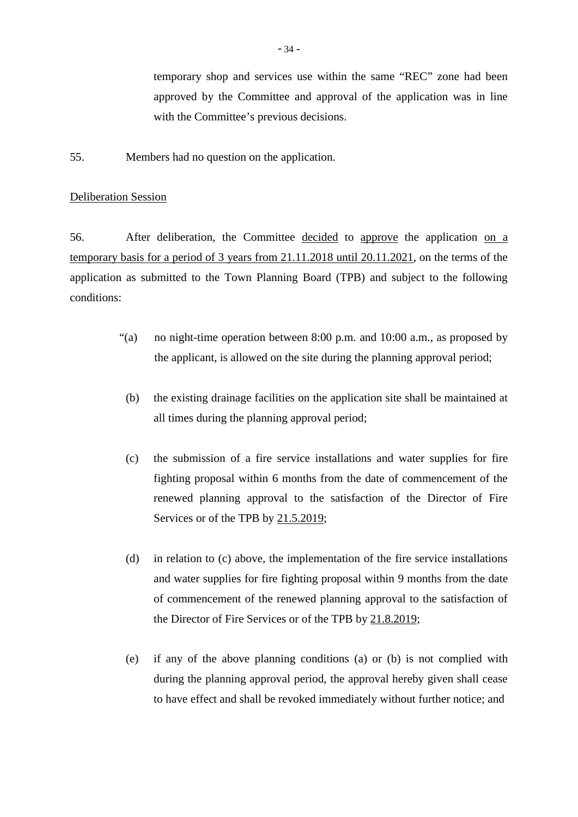temporary shop and services use within the same "REC" zone had been approved by the Committee and approval of the application was in line with the Committee's previous decisions.

55. Members had no question on the application.

## Deliberation Session

56. After deliberation, the Committee decided to approve the application on a temporary basis for a period of 3 years from 21.11.2018 until 20.11.2021, on the terms of the application as submitted to the Town Planning Board (TPB) and subject to the following conditions:

- "(a) no night-time operation between 8:00 p.m. and 10:00 a.m., as proposed by the applicant, is allowed on the site during the planning approval period;
	- (b) the existing drainage facilities on the application site shall be maintained at all times during the planning approval period;
	- (c) the submission of a fire service installations and water supplies for fire fighting proposal within 6 months from the date of commencement of the renewed planning approval to the satisfaction of the Director of Fire Services or of the TPB by 21.5.2019;
	- (d) in relation to (c) above, the implementation of the fire service installations and water supplies for fire fighting proposal within 9 months from the date of commencement of the renewed planning approval to the satisfaction of the Director of Fire Services or of the TPB by 21.8.2019;
	- (e) if any of the above planning conditions (a) or (b) is not complied with during the planning approval period, the approval hereby given shall cease to have effect and shall be revoked immediately without further notice; and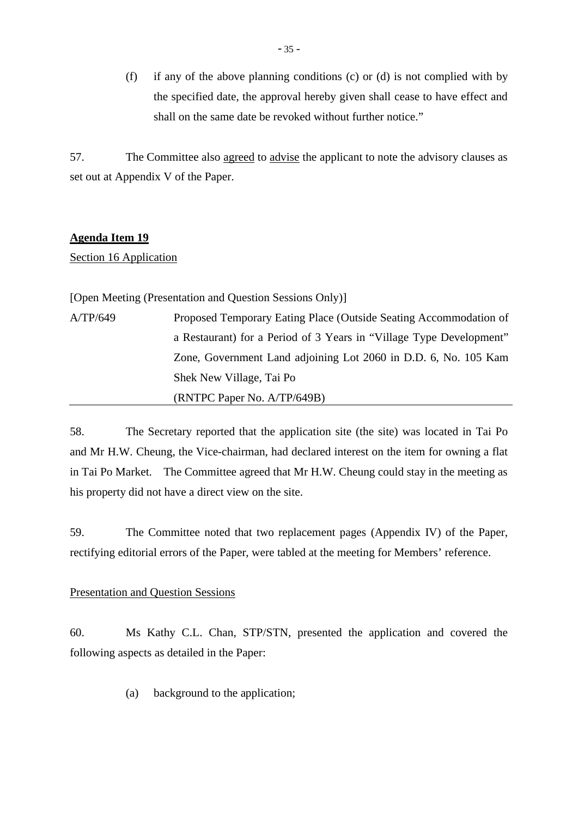(f) if any of the above planning conditions (c) or (d) is not complied with by the specified date, the approval hereby given shall cease to have effect and shall on the same date be revoked without further notice."

57. The Committee also agreed to advise the applicant to note the advisory clauses as set out at Appendix V of the Paper.

## **Agenda Item 19**

Section 16 Application

[Open Meeting (Presentation and Question Sessions Only)]

A/TP/649 Proposed Temporary Eating Place (Outside Seating Accommodation of a Restaurant) for a Period of 3 Years in "Village Type Development" Zone, Government Land adjoining Lot 2060 in D.D. 6, No. 105 Kam Shek New Village, Tai Po (RNTPC Paper No. A/TP/649B)

58. The Secretary reported that the application site (the site) was located in Tai Po and Mr H.W. Cheung, the Vice-chairman, had declared interest on the item for owning a flat in Tai Po Market. The Committee agreed that Mr H.W. Cheung could stay in the meeting as his property did not have a direct view on the site.

59. The Committee noted that two replacement pages (Appendix IV) of the Paper, rectifying editorial errors of the Paper, were tabled at the meeting for Members' reference.

# Presentation and Question Sessions

60. Ms Kathy C.L. Chan, STP/STN, presented the application and covered the following aspects as detailed in the Paper:

(a) background to the application;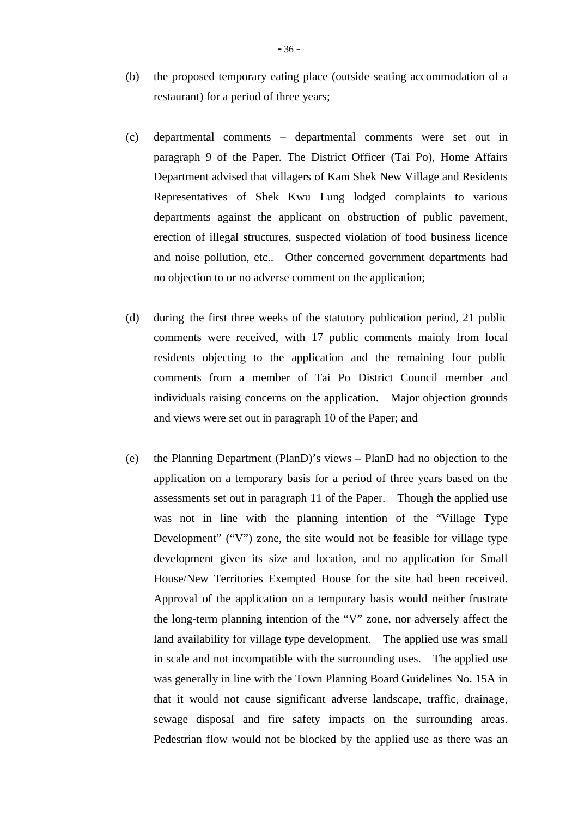- (b) the proposed temporary eating place (outside seating accommodation of a restaurant) for a period of three years;
- (c) departmental comments departmental comments were set out in paragraph 9 of the Paper. The District Officer (Tai Po), Home Affairs Department advised that villagers of Kam Shek New Village and Residents Representatives of Shek Kwu Lung lodged complaints to various departments against the applicant on obstruction of public pavement, erection of illegal structures, suspected violation of food business licence and noise pollution, etc.. Other concerned government departments had no objection to or no adverse comment on the application;
- (d) during the first three weeks of the statutory publication period, 21 public comments were received, with 17 public comments mainly from local residents objecting to the application and the remaining four public comments from a member of Tai Po District Council member and individuals raising concerns on the application. Major objection grounds and views were set out in paragraph 10 of the Paper; and
- (e) the Planning Department (PlanD)'s views PlanD had no objection to the application on a temporary basis for a period of three years based on the assessments set out in paragraph 11 of the Paper. Though the applied use was not in line with the planning intention of the "Village Type Development" ("V") zone, the site would not be feasible for village type development given its size and location, and no application for Small House/New Territories Exempted House for the site had been received. Approval of the application on a temporary basis would neither frustrate the long-term planning intention of the "V" zone, nor adversely affect the land availability for village type development. The applied use was small in scale and not incompatible with the surrounding uses. The applied use was generally in line with the Town Planning Board Guidelines No. 15A in that it would not cause significant adverse landscape, traffic, drainage, sewage disposal and fire safety impacts on the surrounding areas. Pedestrian flow would not be blocked by the applied use as there was an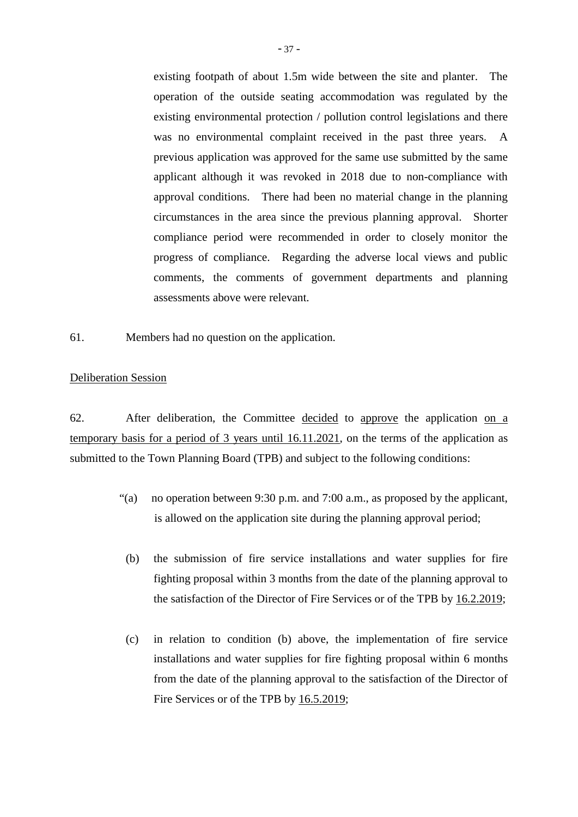existing footpath of about 1.5m wide between the site and planter. The operation of the outside seating accommodation was regulated by the existing environmental protection / pollution control legislations and there was no environmental complaint received in the past three years. A previous application was approved for the same use submitted by the same applicant although it was revoked in 2018 due to non-compliance with approval conditions. There had been no material change in the planning circumstances in the area since the previous planning approval. Shorter compliance period were recommended in order to closely monitor the progress of compliance. Regarding the adverse local views and public comments, the comments of government departments and planning assessments above were relevant.

61. Members had no question on the application.

# Deliberation Session

62. After deliberation, the Committee decided to approve the application on a temporary basis for a period of 3 years until 16.11.2021, on the terms of the application as submitted to the Town Planning Board (TPB) and subject to the following conditions:

- "(a) no operation between 9:30 p.m. and 7:00 a.m., as proposed by the applicant, is allowed on the application site during the planning approval period;
	- (b) the submission of fire service installations and water supplies for fire fighting proposal within 3 months from the date of the planning approval to the satisfaction of the Director of Fire Services or of the TPB by 16.2.2019;
	- (c) in relation to condition (b) above, the implementation of fire service installations and water supplies for fire fighting proposal within 6 months from the date of the planning approval to the satisfaction of the Director of Fire Services or of the TPB by 16.5.2019;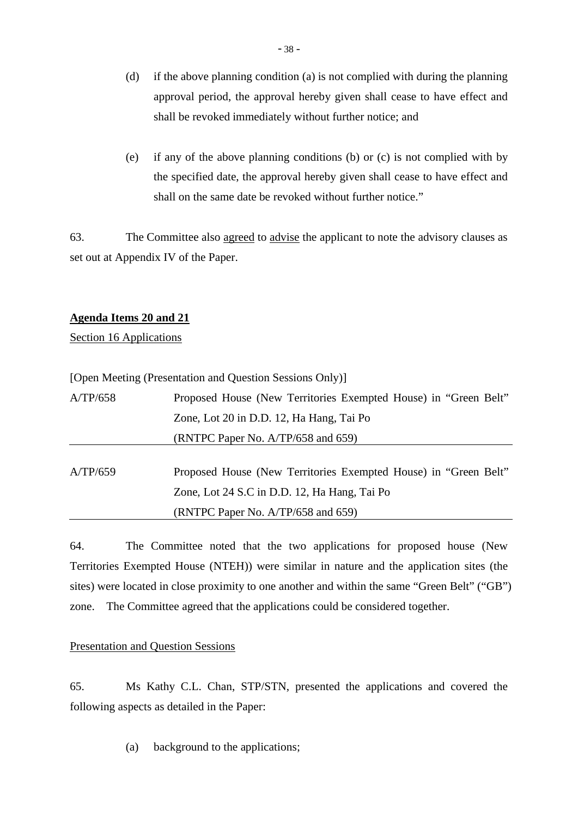- (d) if the above planning condition (a) is not complied with during the planning approval period, the approval hereby given shall cease to have effect and shall be revoked immediately without further notice; and
- (e) if any of the above planning conditions (b) or (c) is not complied with by the specified date, the approval hereby given shall cease to have effect and shall on the same date be revoked without further notice."

63. The Committee also agreed to advise the applicant to note the advisory clauses as set out at Appendix IV of the Paper.

# **Agenda Items 20 and 21**

Section 16 Applications

|          | [Open Meeting (Presentation and Question Sessions Only)]        |
|----------|-----------------------------------------------------------------|
| A/TP/658 | Proposed House (New Territories Exempted House) in "Green Belt" |
|          | Zone, Lot 20 in D.D. 12, Ha Hang, Tai Po                        |
|          | (RNTPC Paper No. $A/TP/658$ and 659)                            |
| A/TP/659 | Proposed House (New Territories Exempted House) in "Green Belt" |

Zone, Lot 24 S.C in D.D. 12, Ha Hang, Tai Po

(RNTPC Paper No. A/TP/658 and 659)

64. The Committee noted that the two applications for proposed house (New Territories Exempted House (NTEH)) were similar in nature and the application sites (the sites) were located in close proximity to one another and within the same "Green Belt" ("GB") zone. The Committee agreed that the applications could be considered together.

# Presentation and Question Sessions

65. Ms Kathy C.L. Chan, STP/STN, presented the applications and covered the following aspects as detailed in the Paper:

(a) background to the applications;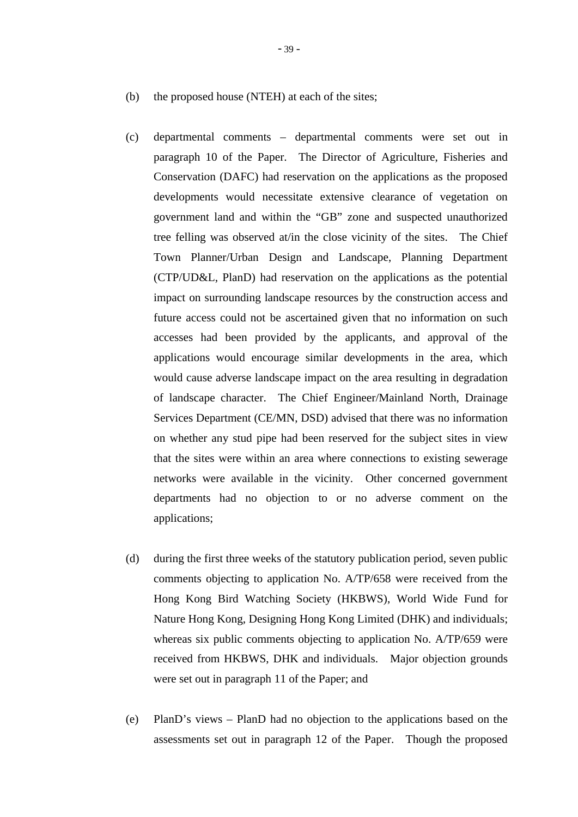- (b) the proposed house (NTEH) at each of the sites;
- (c) departmental comments departmental comments were set out in paragraph 10 of the Paper. The Director of Agriculture, Fisheries and Conservation (DAFC) had reservation on the applications as the proposed developments would necessitate extensive clearance of vegetation on government land and within the "GB" zone and suspected unauthorized tree felling was observed at/in the close vicinity of the sites. The Chief Town Planner/Urban Design and Landscape, Planning Department (CTP/UD&L, PlanD) had reservation on the applications as the potential impact on surrounding landscape resources by the construction access and future access could not be ascertained given that no information on such accesses had been provided by the applicants, and approval of the applications would encourage similar developments in the area, which would cause adverse landscape impact on the area resulting in degradation of landscape character. The Chief Engineer/Mainland North, Drainage Services Department (CE/MN, DSD) advised that there was no information on whether any stud pipe had been reserved for the subject sites in view that the sites were within an area where connections to existing sewerage networks were available in the vicinity. Other concerned government departments had no objection to or no adverse comment on the applications;
- (d) during the first three weeks of the statutory publication period, seven public comments objecting to application No. A/TP/658 were received from the Hong Kong Bird Watching Society (HKBWS), World Wide Fund for Nature Hong Kong, Designing Hong Kong Limited (DHK) and individuals; whereas six public comments objecting to application No. A/TP/659 were received from HKBWS, DHK and individuals. Major objection grounds were set out in paragraph 11 of the Paper; and
- (e) PlanD's views PlanD had no objection to the applications based on the assessments set out in paragraph 12 of the Paper. Though the proposed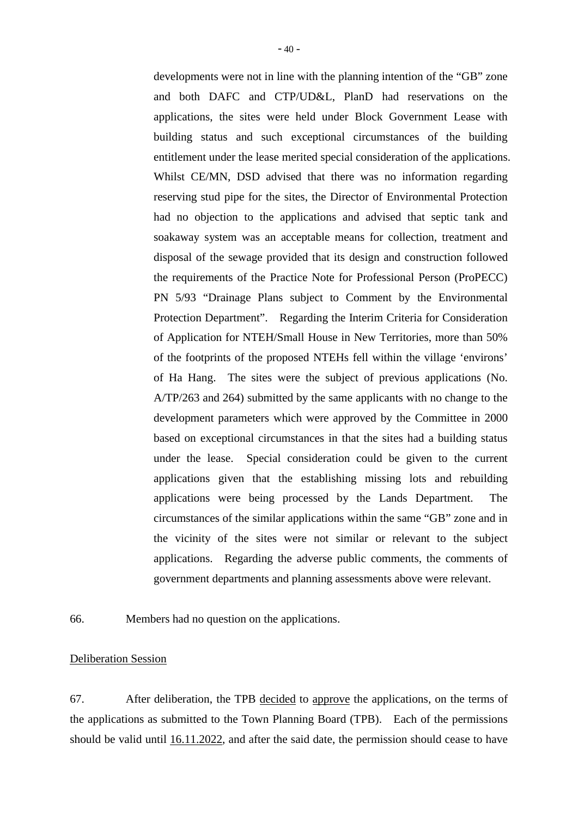developments were not in line with the planning intention of the "GB" zone and both DAFC and CTP/UD&L, PlanD had reservations on the applications, the sites were held under Block Government Lease with building status and such exceptional circumstances of the building entitlement under the lease merited special consideration of the applications. Whilst CE/MN, DSD advised that there was no information regarding reserving stud pipe for the sites, the Director of Environmental Protection had no objection to the applications and advised that septic tank and soakaway system was an acceptable means for collection, treatment and disposal of the sewage provided that its design and construction followed the requirements of the Practice Note for Professional Person (ProPECC) PN 5/93 "Drainage Plans subject to Comment by the Environmental Protection Department". Regarding the Interim Criteria for Consideration of Application for NTEH/Small House in New Territories, more than 50% of the footprints of the proposed NTEHs fell within the village 'environs' of Ha Hang. The sites were the subject of previous applications (No. A/TP/263 and 264) submitted by the same applicants with no change to the development parameters which were approved by the Committee in 2000 based on exceptional circumstances in that the sites had a building status under the lease. Special consideration could be given to the current applications given that the establishing missing lots and rebuilding applications were being processed by the Lands Department. The circumstances of the similar applications within the same "GB" zone and in the vicinity of the sites were not similar or relevant to the subject applications. Regarding the adverse public comments, the comments of government departments and planning assessments above were relevant.

66. Members had no question on the applications.

# Deliberation Session

67. After deliberation, the TPB decided to approve the applications, on the terms of the applications as submitted to the Town Planning Board (TPB). Each of the permissions should be valid until 16.11.2022, and after the said date, the permission should cease to have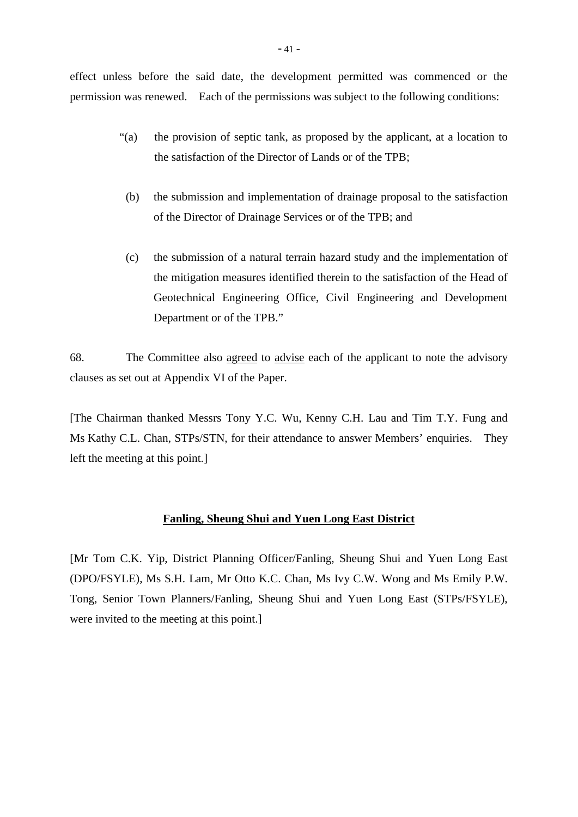effect unless before the said date, the development permitted was commenced or the permission was renewed. Each of the permissions was subject to the following conditions:

- "(a) the provision of septic tank, as proposed by the applicant, at a location to the satisfaction of the Director of Lands or of the TPB;
- (b) the submission and implementation of drainage proposal to the satisfaction of the Director of Drainage Services or of the TPB; and
- (c) the submission of a natural terrain hazard study and the implementation of the mitigation measures identified therein to the satisfaction of the Head of Geotechnical Engineering Office, Civil Engineering and Development Department or of the TPB."

68. The Committee also agreed to advise each of the applicant to note the advisory clauses as set out at Appendix VI of the Paper.

[The Chairman thanked Messrs Tony Y.C. Wu, Kenny C.H. Lau and Tim T.Y. Fung and Ms Kathy C.L. Chan, STPs/STN, for their attendance to answer Members' enquiries. They left the meeting at this point.]

#### **Fanling, Sheung Shui and Yuen Long East District**

[Mr Tom C.K. Yip, District Planning Officer/Fanling, Sheung Shui and Yuen Long East (DPO/FSYLE), Ms S.H. Lam, Mr Otto K.C. Chan, Ms Ivy C.W. Wong and Ms Emily P.W. Tong, Senior Town Planners/Fanling, Sheung Shui and Yuen Long East (STPs/FSYLE), were invited to the meeting at this point.]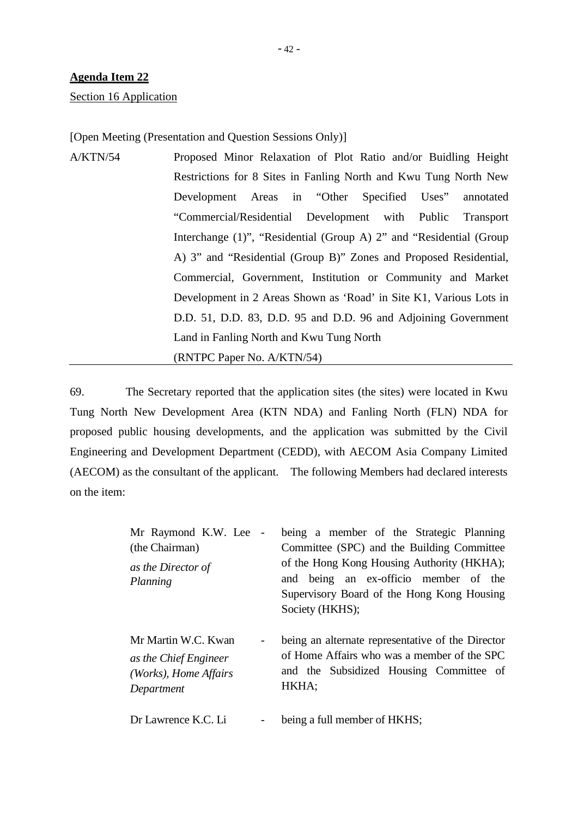#### Section 16 Application

[Open Meeting (Presentation and Question Sessions Only)]

| A/KTN/54 | Proposed Minor Relaxation of Plot Ratio and/or Buidling Height      |
|----------|---------------------------------------------------------------------|
|          | Restrictions for 8 Sites in Fanling North and Kwu Tung North New    |
|          | Development Areas in "Other Specified Uses" annotated               |
|          | "Commercial/Residential Development with Public Transport           |
|          | Interchange (1)", "Residential (Group A) 2" and "Residential (Group |
|          | A) 3" and "Residential (Group B)" Zones and Proposed Residential,   |
|          | Commercial, Government, Institution or Community and Market         |
|          | Development in 2 Areas Shown as 'Road' in Site K1, Various Lots in  |
|          | D.D. 51, D.D. 83, D.D. 95 and D.D. 96 and Adjoining Government      |
|          | Land in Fanling North and Kwu Tung North                            |
|          | (RNTPC Paper No. A/KTN/54)                                          |

69. The Secretary reported that the application sites (the sites) were located in Kwu Tung North New Development Area (KTN NDA) and Fanling North (FLN) NDA for proposed public housing developments, and the application was submitted by the Civil Engineering and Development Department (CEDD), with AECOM Asia Company Limited (AECOM) as the consultant of the applicant. The following Members had declared interests on the item:

| Mr Raymond K.W. Lee -<br>(the Chairman)<br>as the Director of<br>Planning                | being a member of the Strategic Planning<br>Committee (SPC) and the Building Committee<br>of the Hong Kong Housing Authority (HKHA);<br>and being an ex-officio member of the<br>Supervisory Board of the Hong Kong Housing<br>Society (HKHS); |
|------------------------------------------------------------------------------------------|------------------------------------------------------------------------------------------------------------------------------------------------------------------------------------------------------------------------------------------------|
| Mr Martin W.C. Kwan<br>-<br>as the Chief Engineer<br>(Works), Home Affairs<br>Department | being an alternate representative of the Director<br>of Home Affairs who was a member of the SPC<br>and the Subsidized Housing Committee of<br>HKHA;                                                                                           |
| Dr Lawrence K.C. Li                                                                      | being a full member of HKHS;                                                                                                                                                                                                                   |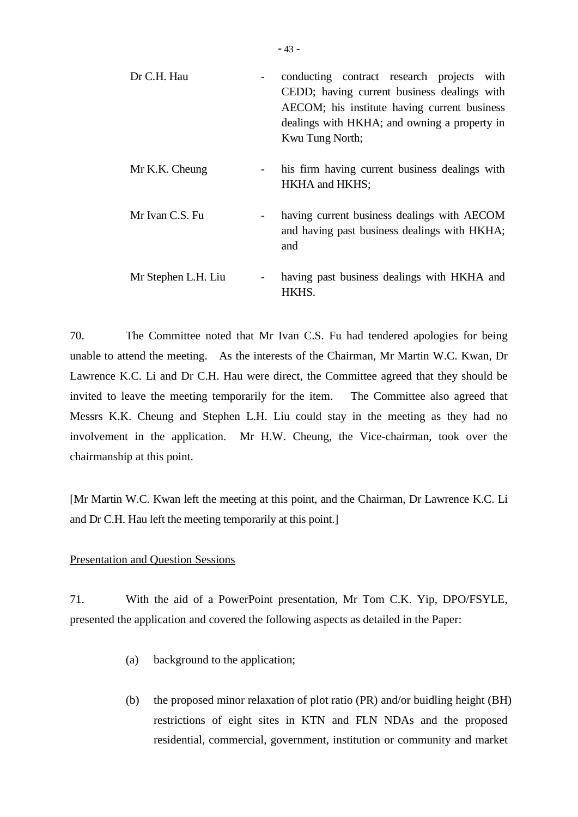| Dr C.H. Hau         | conducting contract research projects with<br>CEDD; having current business dealings with<br>AECOM; his institute having current business<br>dealings with HKHA; and owning a property in<br>Kwu Tung North; |
|---------------------|--------------------------------------------------------------------------------------------------------------------------------------------------------------------------------------------------------------|
| Mr K.K. Cheung      | his firm having current business dealings with<br>HKHA and HKHS;                                                                                                                                             |
| Mr Ivan C.S. Fu     | having current business dealings with AECOM<br>and having past business dealings with HKHA;<br>and                                                                                                           |
| Mr Stephen L.H. Liu | having past business dealings with HKHA and<br>HKHS.                                                                                                                                                         |

70. The Committee noted that Mr Ivan C.S. Fu had tendered apologies for being unable to attend the meeting. As the interests of the Chairman, Mr Martin W.C. Kwan, Dr Lawrence K.C. Li and Dr C.H. Hau were direct, the Committee agreed that they should be invited to leave the meeting temporarily for the item. The Committee also agreed that Messrs K.K. Cheung and Stephen L.H. Liu could stay in the meeting as they had no involvement in the application. Mr H.W. Cheung, the Vice-chairman, took over the chairmanship at this point.

[Mr Martin W.C. Kwan left the meeting at this point, and the Chairman, Dr Lawrence K.C. Li and Dr C.H. Hau left the meeting temporarily at this point.]

# Presentation and Question Sessions

71. With the aid of a PowerPoint presentation, Mr Tom C.K. Yip, DPO/FSYLE, presented the application and covered the following aspects as detailed in the Paper:

- (a) background to the application;
- (b) the proposed minor relaxation of plot ratio (PR) and/or buidling height (BH) restrictions of eight sites in KTN and FLN NDAs and the proposed residential, commercial, government, institution or community and market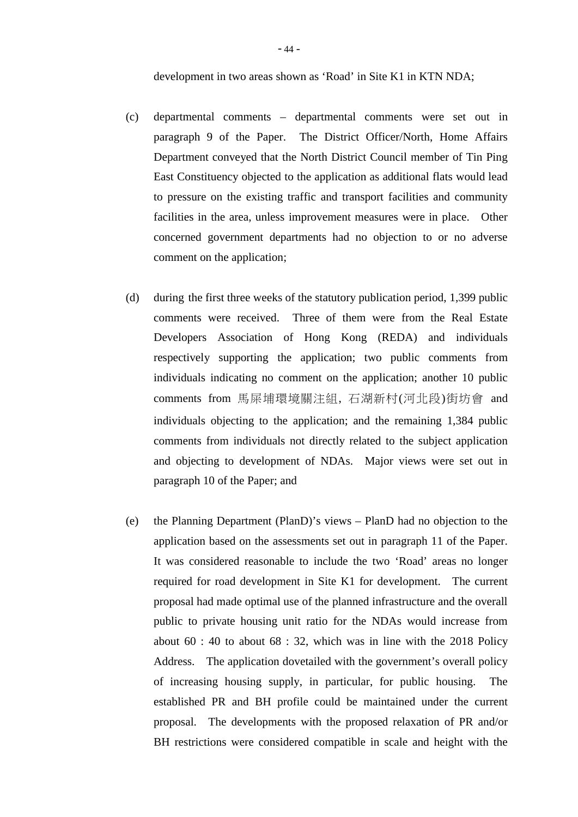development in two areas shown as 'Road' in Site K1 in KTN NDA;

- (c) departmental comments departmental comments were set out in paragraph 9 of the Paper. The District Officer/North, Home Affairs Department conveyed that the North District Council member of Tin Ping East Constituency objected to the application as additional flats would lead to pressure on the existing traffic and transport facilities and community facilities in the area, unless improvement measures were in place. Other concerned government departments had no objection to or no adverse comment on the application;
- (d) during the first three weeks of the statutory publication period, 1,399 public comments were received. Three of them were from the Real Estate Developers Association of Hong Kong (REDA) and individuals respectively supporting the application; two public comments from individuals indicating no comment on the application; another 10 public comments from 馬屎埔環境關注組, 石湖新村(河北段)街坊會 and individuals objecting to the application; and the remaining 1,384 public comments from individuals not directly related to the subject application and objecting to development of NDAs. Major views were set out in paragraph 10 of the Paper; and
- (e) the Planning Department (PlanD)'s views PlanD had no objection to the application based on the assessments set out in paragraph 11 of the Paper. It was considered reasonable to include the two 'Road' areas no longer required for road development in Site K1 for development. The current proposal had made optimal use of the planned infrastructure and the overall public to private housing unit ratio for the NDAs would increase from about  $60$ : 40 to about  $68$ : 32, which was in line with the 2018 Policy Address. The application dovetailed with the government's overall policy of increasing housing supply, in particular, for public housing. The established PR and BH profile could be maintained under the current proposal. The developments with the proposed relaxation of PR and/or BH restrictions were considered compatible in scale and height with the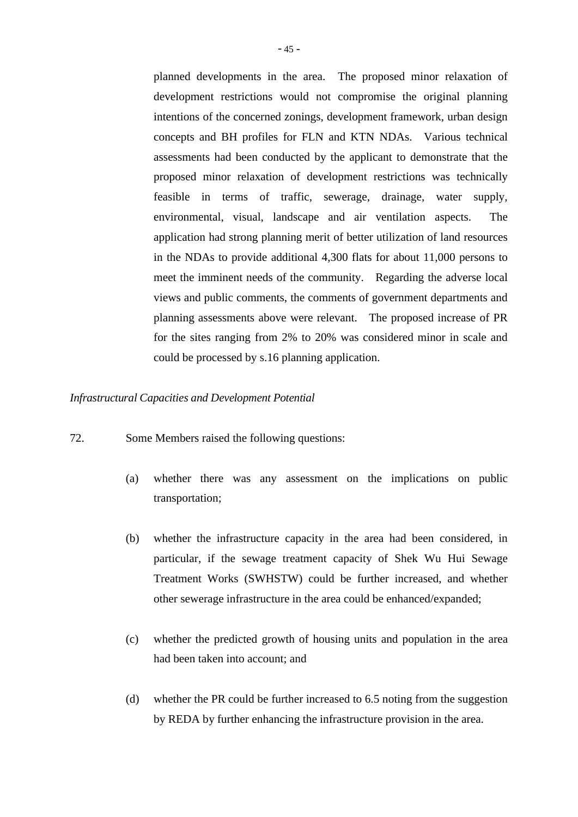planned developments in the area. The proposed minor relaxation of development restrictions would not compromise the original planning intentions of the concerned zonings, development framework, urban design concepts and BH profiles for FLN and KTN NDAs. Various technical assessments had been conducted by the applicant to demonstrate that the proposed minor relaxation of development restrictions was technically feasible in terms of traffic, sewerage, drainage, water supply, environmental, visual, landscape and air ventilation aspects. The application had strong planning merit of better utilization of land resources in the NDAs to provide additional 4,300 flats for about 11,000 persons to meet the imminent needs of the community. Regarding the adverse local views and public comments, the comments of government departments and planning assessments above were relevant. The proposed increase of PR for the sites ranging from 2% to 20% was considered minor in scale and could be processed by s.16 planning application.

#### *Infrastructural Capacities and Development Potential*

- 72. Some Members raised the following questions:
	- (a) whether there was any assessment on the implications on public transportation;
	- (b) whether the infrastructure capacity in the area had been considered, in particular, if the sewage treatment capacity of Shek Wu Hui Sewage Treatment Works (SWHSTW) could be further increased, and whether other sewerage infrastructure in the area could be enhanced/expanded;
	- (c) whether the predicted growth of housing units and population in the area had been taken into account; and
	- (d) whether the PR could be further increased to 6.5 noting from the suggestion by REDA by further enhancing the infrastructure provision in the area.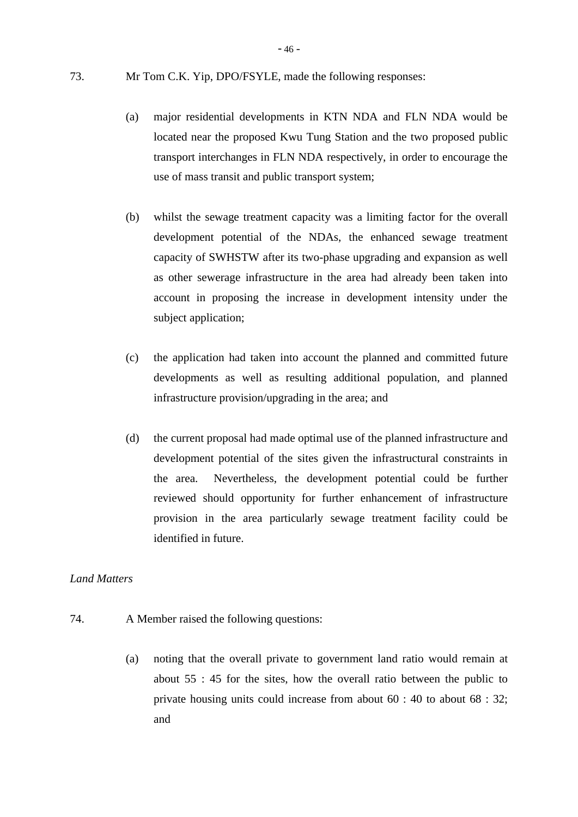- 46 -

- (a) major residential developments in KTN NDA and FLN NDA would be located near the proposed Kwu Tung Station and the two proposed public transport interchanges in FLN NDA respectively, in order to encourage the use of mass transit and public transport system;
- (b) whilst the sewage treatment capacity was a limiting factor for the overall development potential of the NDAs, the enhanced sewage treatment capacity of SWHSTW after its two-phase upgrading and expansion as well as other sewerage infrastructure in the area had already been taken into account in proposing the increase in development intensity under the subject application;
- (c) the application had taken into account the planned and committed future developments as well as resulting additional population, and planned infrastructure provision/upgrading in the area; and
- (d) the current proposal had made optimal use of the planned infrastructure and development potential of the sites given the infrastructural constraints in the area. Nevertheless, the development potential could be further reviewed should opportunity for further enhancement of infrastructure provision in the area particularly sewage treatment facility could be identified in future.

# *Land Matters*

- 74. A Member raised the following questions:
	- (a) noting that the overall private to government land ratio would remain at about 55 : 45 for the sites, how the overall ratio between the public to private housing units could increase from about 60 : 40 to about 68 : 32; and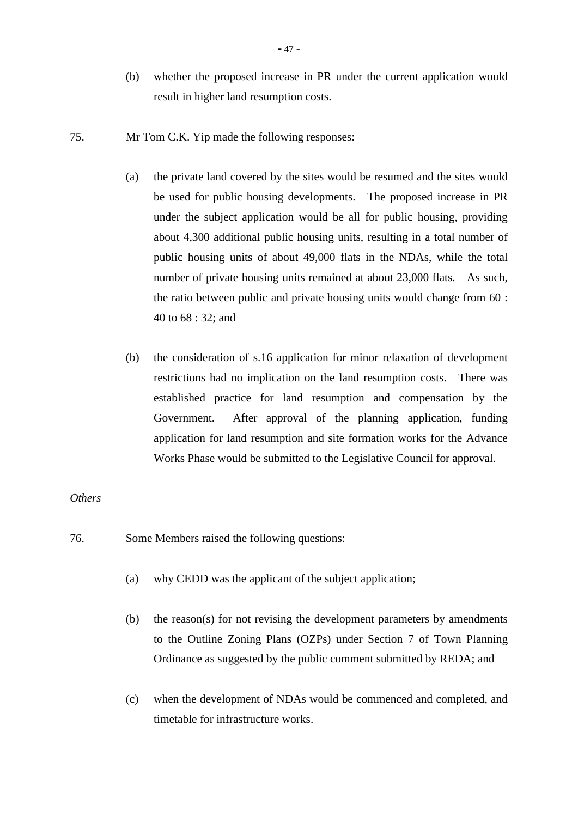- (b) whether the proposed increase in PR under the current application would result in higher land resumption costs.
- 75. Mr Tom C.K. Yip made the following responses:
	- (a) the private land covered by the sites would be resumed and the sites would be used for public housing developments. The proposed increase in PR under the subject application would be all for public housing, providing about 4,300 additional public housing units, resulting in a total number of public housing units of about 49,000 flats in the NDAs, while the total number of private housing units remained at about 23,000 flats. As such, the ratio between public and private housing units would change from 60 : 40 to 68 : 32; and
	- (b) the consideration of s.16 application for minor relaxation of development restrictions had no implication on the land resumption costs. There was established practice for land resumption and compensation by the Government. After approval of the planning application, funding application for land resumption and site formation works for the Advance Works Phase would be submitted to the Legislative Council for approval.

#### *Others*

- 76. Some Members raised the following questions:
	- (a) why CEDD was the applicant of the subject application;
	- (b) the reason(s) for not revising the development parameters by amendments to the Outline Zoning Plans (OZPs) under Section 7 of Town Planning Ordinance as suggested by the public comment submitted by REDA; and
	- (c) when the development of NDAs would be commenced and completed, and timetable for infrastructure works.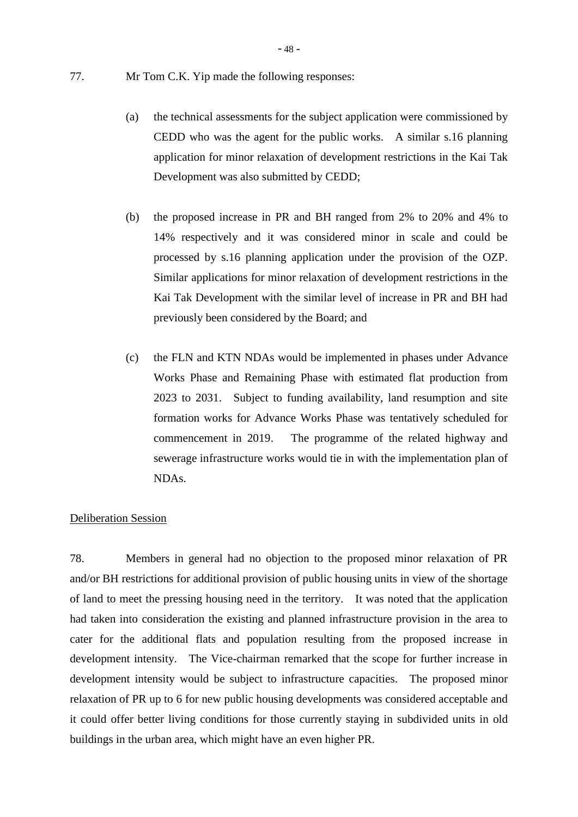- (a) the technical assessments for the subject application were commissioned by CEDD who was the agent for the public works. A similar s.16 planning application for minor relaxation of development restrictions in the Kai Tak Development was also submitted by CEDD;
- (b) the proposed increase in PR and BH ranged from 2% to 20% and 4% to 14% respectively and it was considered minor in scale and could be processed by s.16 planning application under the provision of the OZP. Similar applications for minor relaxation of development restrictions in the Kai Tak Development with the similar level of increase in PR and BH had previously been considered by the Board; and
- (c) the FLN and KTN NDAs would be implemented in phases under Advance Works Phase and Remaining Phase with estimated flat production from 2023 to 2031. Subject to funding availability, land resumption and site formation works for Advance Works Phase was tentatively scheduled for commencement in 2019. The programme of the related highway and sewerage infrastructure works would tie in with the implementation plan of NDAs.

# Deliberation Session

78. Members in general had no objection to the proposed minor relaxation of PR and/or BH restrictions for additional provision of public housing units in view of the shortage of land to meet the pressing housing need in the territory. It was noted that the application had taken into consideration the existing and planned infrastructure provision in the area to cater for the additional flats and population resulting from the proposed increase in development intensity. The Vice-chairman remarked that the scope for further increase in development intensity would be subject to infrastructure capacities. The proposed minor relaxation of PR up to 6 for new public housing developments was considered acceptable and it could offer better living conditions for those currently staying in subdivided units in old buildings in the urban area, which might have an even higher PR.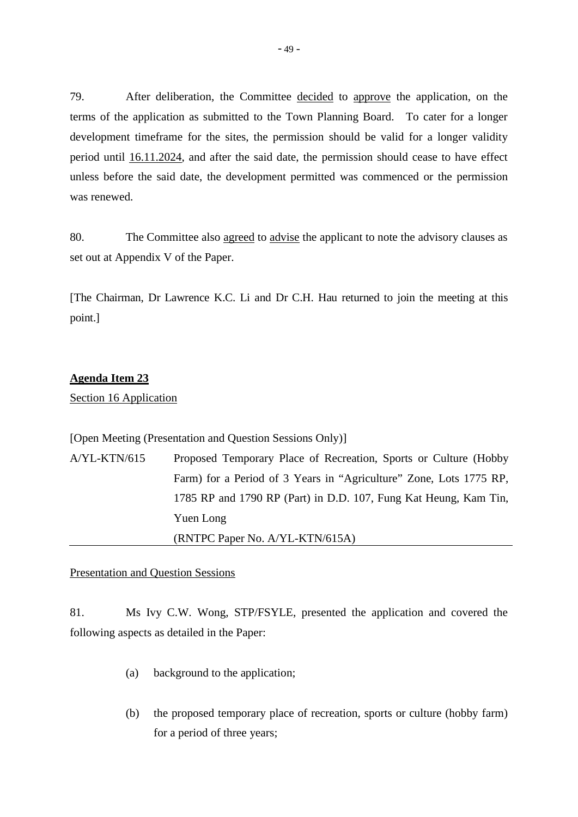79. After deliberation, the Committee decided to approve the application, on the terms of the application as submitted to the Town Planning Board. To cater for a longer development timeframe for the sites, the permission should be valid for a longer validity period until 16.11.2024, and after the said date, the permission should cease to have effect unless before the said date, the development permitted was commenced or the permission was renewed.

80. The Committee also agreed to advise the applicant to note the advisory clauses as set out at Appendix V of the Paper.

[The Chairman, Dr Lawrence K.C. Li and Dr C.H. Hau returned to join the meeting at this point.]

#### **Agenda Item 23**

Section 16 Application

[Open Meeting (Presentation and Question Sessions Only)]

A/YL-KTN/615 Proposed Temporary Place of Recreation, Sports or Culture (Hobby Farm) for a Period of 3 Years in "Agriculture" Zone, Lots 1775 RP, 1785 RP and 1790 RP (Part) in D.D. 107, Fung Kat Heung, Kam Tin, Yuen Long (RNTPC Paper No. A/YL-KTN/615A)

#### Presentation and Question Sessions

81. Ms Ivy C.W. Wong, STP/FSYLE, presented the application and covered the following aspects as detailed in the Paper:

- (a) background to the application;
- (b) the proposed temporary place of recreation, sports or culture (hobby farm) for a period of three years;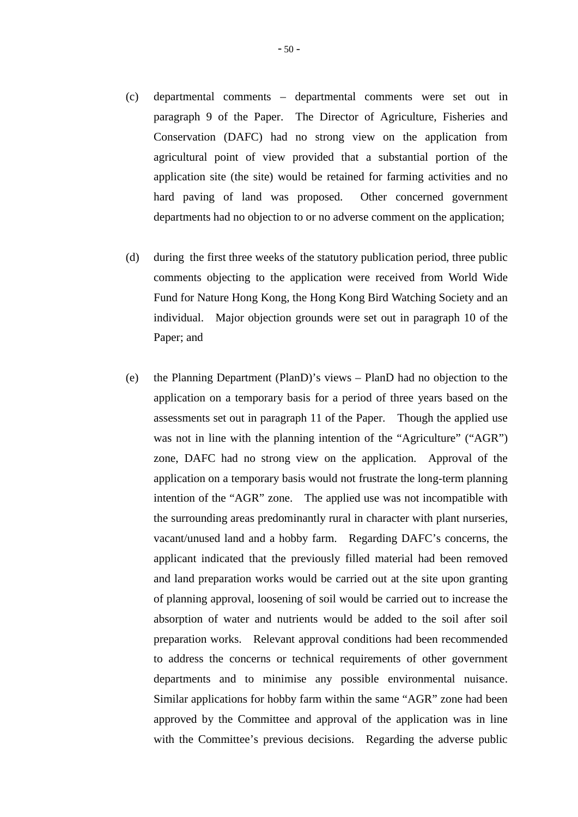- (c) departmental comments departmental comments were set out in paragraph 9 of the Paper. The Director of Agriculture, Fisheries and Conservation (DAFC) had no strong view on the application from agricultural point of view provided that a substantial portion of the application site (the site) would be retained for farming activities and no hard paving of land was proposed. Other concerned government departments had no objection to or no adverse comment on the application;
- (d) during the first three weeks of the statutory publication period, three public comments objecting to the application were received from World Wide Fund for Nature Hong Kong, the Hong Kong Bird Watching Society and an individual. Major objection grounds were set out in paragraph 10 of the Paper; and
- (e) the Planning Department (PlanD)'s views PlanD had no objection to the application on a temporary basis for a period of three years based on the assessments set out in paragraph 11 of the Paper. Though the applied use was not in line with the planning intention of the "Agriculture" ("AGR") zone, DAFC had no strong view on the application. Approval of the application on a temporary basis would not frustrate the long-term planning intention of the "AGR" zone. The applied use was not incompatible with the surrounding areas predominantly rural in character with plant nurseries, vacant/unused land and a hobby farm. Regarding DAFC's concerns, the applicant indicated that the previously filled material had been removed and land preparation works would be carried out at the site upon granting of planning approval, loosening of soil would be carried out to increase the absorption of water and nutrients would be added to the soil after soil preparation works. Relevant approval conditions had been recommended to address the concerns or technical requirements of other government departments and to minimise any possible environmental nuisance. Similar applications for hobby farm within the same "AGR" zone had been approved by the Committee and approval of the application was in line with the Committee's previous decisions. Regarding the adverse public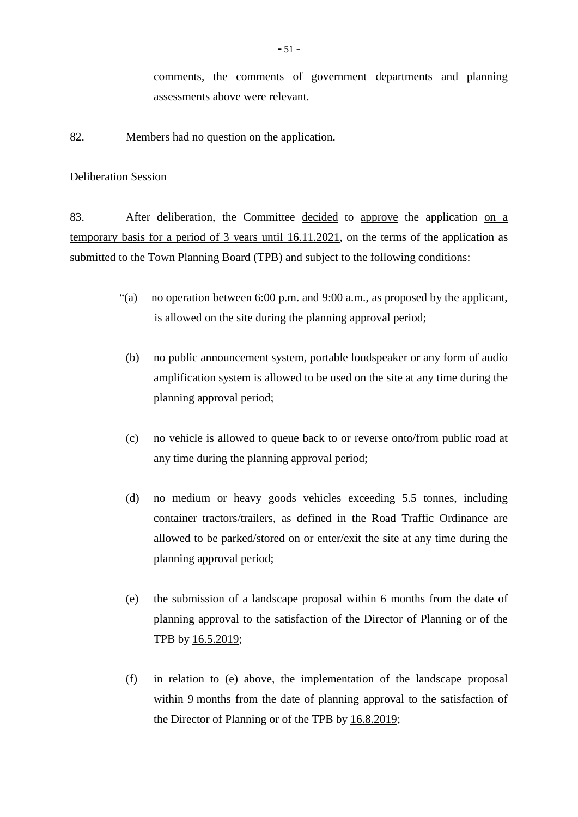comments, the comments of government departments and planning assessments above were relevant.

82. Members had no question on the application.

#### Deliberation Session

83. After deliberation, the Committee decided to approve the application on a temporary basis for a period of 3 years until 16.11.2021, on the terms of the application as submitted to the Town Planning Board (TPB) and subject to the following conditions:

- "(a) no operation between 6:00 p.m. and 9:00 a.m., as proposed by the applicant, is allowed on the site during the planning approval period;
	- (b) no public announcement system, portable loudspeaker or any form of audio amplification system is allowed to be used on the site at any time during the planning approval period;
	- (c) no vehicle is allowed to queue back to or reverse onto/from public road at any time during the planning approval period;
	- (d) no medium or heavy goods vehicles exceeding 5.5 tonnes, including container tractors/trailers, as defined in the Road Traffic Ordinance are allowed to be parked/stored on or enter/exit the site at any time during the planning approval period;
	- (e) the submission of a landscape proposal within 6 months from the date of planning approval to the satisfaction of the Director of Planning or of the TPB by 16.5.2019;
	- (f) in relation to (e) above, the implementation of the landscape proposal within 9 months from the date of planning approval to the satisfaction of the Director of Planning or of the TPB by 16.8.2019;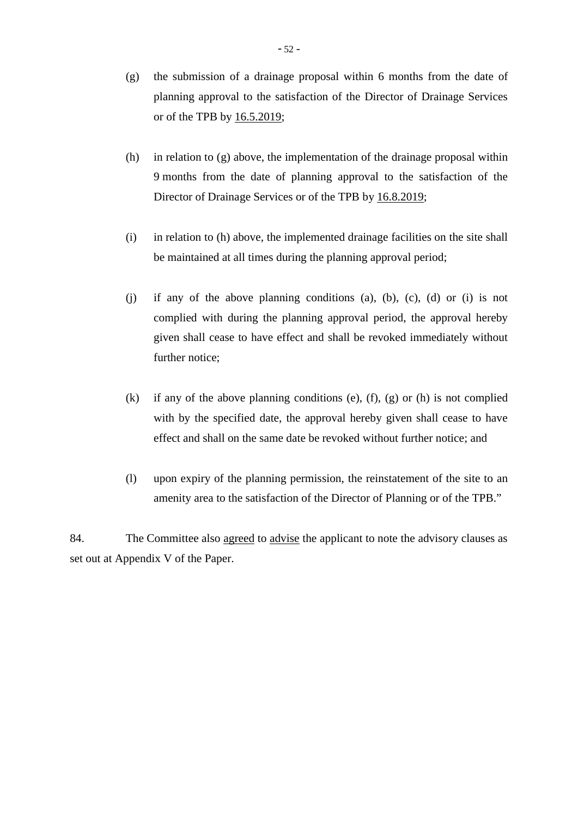- (g) the submission of a drainage proposal within 6 months from the date of planning approval to the satisfaction of the Director of Drainage Services or of the TPB by 16.5.2019;
- (h) in relation to (g) above, the implementation of the drainage proposal within 9 months from the date of planning approval to the satisfaction of the Director of Drainage Services or of the TPB by 16.8.2019;
- (i) in relation to (h) above, the implemented drainage facilities on the site shall be maintained at all times during the planning approval period;
- (j) if any of the above planning conditions (a), (b), (c), (d) or (i) is not complied with during the planning approval period, the approval hereby given shall cease to have effect and shall be revoked immediately without further notice;
- (k) if any of the above planning conditions (e),  $(f)$ ,  $(g)$  or  $(h)$  is not complied with by the specified date, the approval hereby given shall cease to have effect and shall on the same date be revoked without further notice; and
- (l) upon expiry of the planning permission, the reinstatement of the site to an amenity area to the satisfaction of the Director of Planning or of the TPB."

84. The Committee also agreed to advise the applicant to note the advisory clauses as set out at Appendix V of the Paper.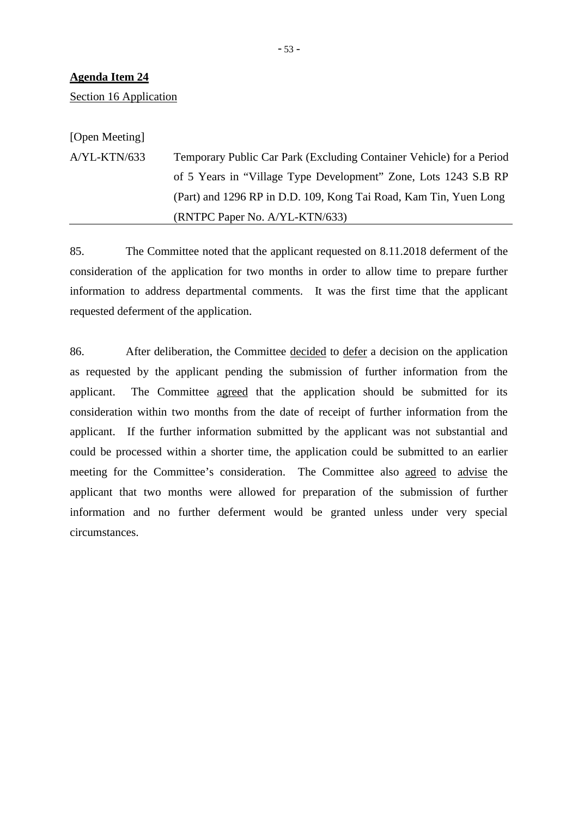Section 16 Application

[Open Meeting] A/YL-KTN/633 Temporary Public Car Park (Excluding Container Vehicle) for a Period of 5 Years in "Village Type Development" Zone, Lots 1243 S.B RP (Part) and 1296 RP in D.D. 109, Kong Tai Road, Kam Tin, Yuen Long (RNTPC Paper No. A/YL-KTN/633)

85. The Committee noted that the applicant requested on 8.11.2018 deferment of the consideration of the application for two months in order to allow time to prepare further information to address departmental comments. It was the first time that the applicant requested deferment of the application.

86. After deliberation, the Committee decided to defer a decision on the application as requested by the applicant pending the submission of further information from the applicant. The Committee agreed that the application should be submitted for its consideration within two months from the date of receipt of further information from the applicant. If the further information submitted by the applicant was not substantial and could be processed within a shorter time, the application could be submitted to an earlier meeting for the Committee's consideration. The Committee also agreed to advise the applicant that two months were allowed for preparation of the submission of further information and no further deferment would be granted unless under very special circumstances.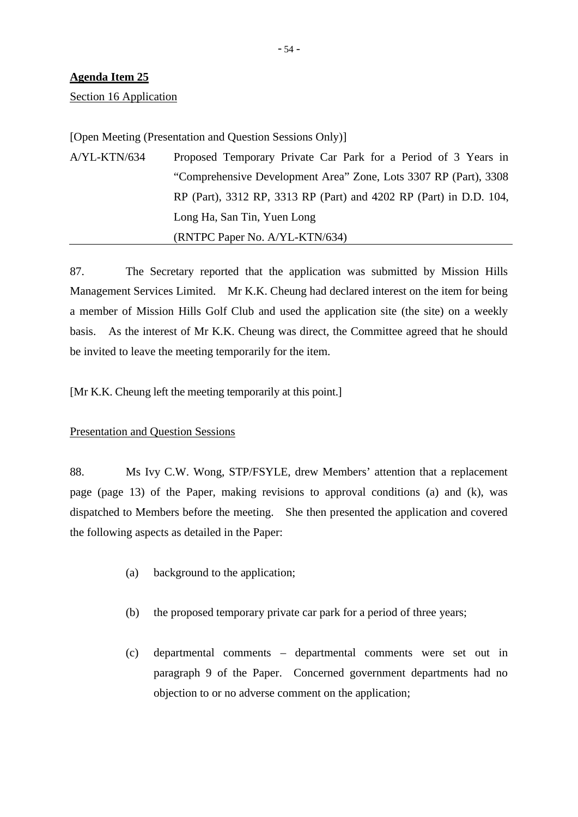Section 16 Application

[Open Meeting (Presentation and Question Sessions Only)]

A/YL-KTN/634 Proposed Temporary Private Car Park for a Period of 3 Years in "Comprehensive Development Area" Zone, Lots 3307 RP (Part), 3308 RP (Part), 3312 RP, 3313 RP (Part) and 4202 RP (Part) in D.D. 104, Long Ha, San Tin, Yuen Long (RNTPC Paper No. A/YL-KTN/634)

87. The Secretary reported that the application was submitted by Mission Hills Management Services Limited. Mr K.K. Cheung had declared interest on the item for being a member of Mission Hills Golf Club and used the application site (the site) on a weekly basis. As the interest of Mr K.K. Cheung was direct, the Committee agreed that he should be invited to leave the meeting temporarily for the item.

[Mr K.K. Cheung left the meeting temporarily at this point.]

# Presentation and Question Sessions

88. Ms Ivy C.W. Wong, STP/FSYLE, drew Members' attention that a replacement page (page 13) of the Paper, making revisions to approval conditions (a) and (k), was dispatched to Members before the meeting. She then presented the application and covered the following aspects as detailed in the Paper:

- (a) background to the application;
- (b) the proposed temporary private car park for a period of three years;
- (c) departmental comments departmental comments were set out in paragraph 9 of the Paper. Concerned government departments had no objection to or no adverse comment on the application;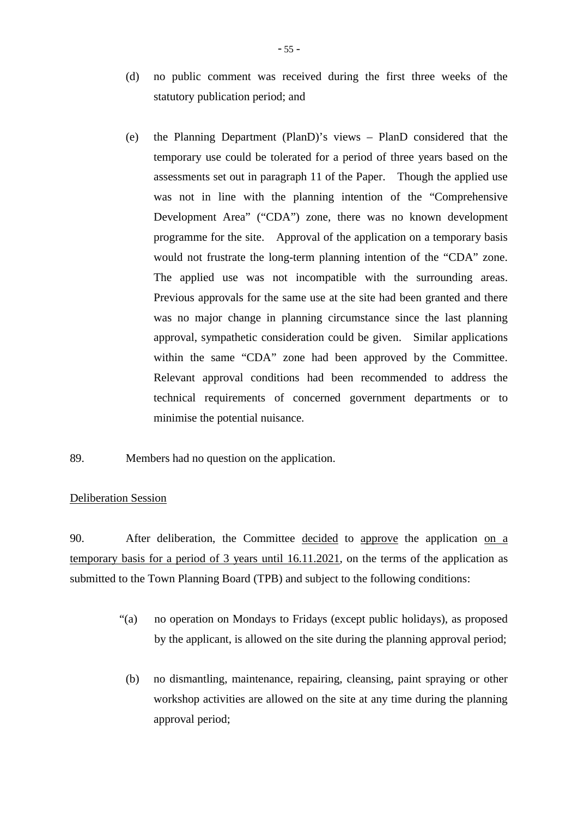- (d) no public comment was received during the first three weeks of the statutory publication period; and
- (e) the Planning Department (PlanD)'s views PlanD considered that the temporary use could be tolerated for a period of three years based on the assessments set out in paragraph 11 of the Paper. Though the applied use was not in line with the planning intention of the "Comprehensive Development Area" ("CDA") zone, there was no known development programme for the site. Approval of the application on a temporary basis would not frustrate the long-term planning intention of the "CDA" zone. The applied use was not incompatible with the surrounding areas. Previous approvals for the same use at the site had been granted and there was no major change in planning circumstance since the last planning approval, sympathetic consideration could be given. Similar applications within the same "CDA" zone had been approved by the Committee. Relevant approval conditions had been recommended to address the technical requirements of concerned government departments or to minimise the potential nuisance.
- 89. Members had no question on the application.

# Deliberation Session

90. After deliberation, the Committee decided to approve the application on a temporary basis for a period of 3 years until 16.11.2021, on the terms of the application as submitted to the Town Planning Board (TPB) and subject to the following conditions:

- "(a) no operation on Mondays to Fridays (except public holidays), as proposed by the applicant, is allowed on the site during the planning approval period;
- (b) no dismantling, maintenance, repairing, cleansing, paint spraying or other workshop activities are allowed on the site at any time during the planning approval period;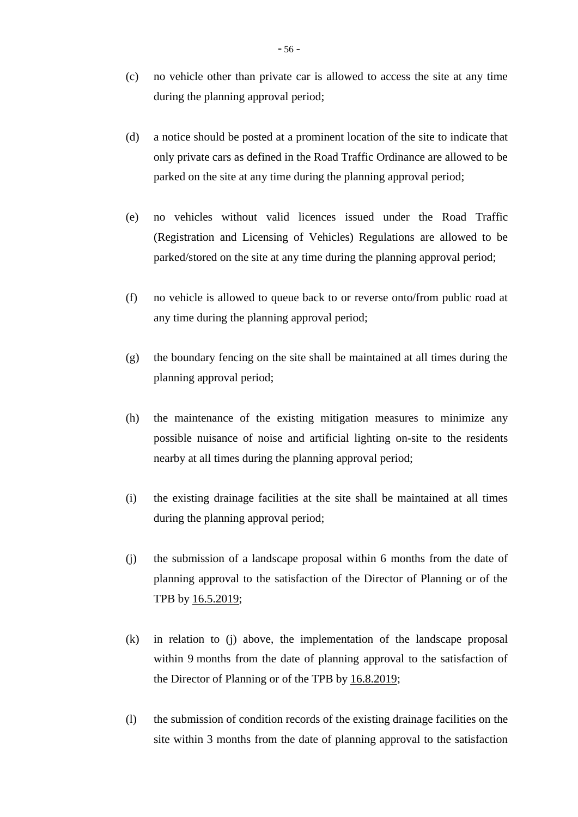- (c) no vehicle other than private car is allowed to access the site at any time during the planning approval period;
- (d) a notice should be posted at a prominent location of the site to indicate that only private cars as defined in the Road Traffic Ordinance are allowed to be parked on the site at any time during the planning approval period;
- (e) no vehicles without valid licences issued under the Road Traffic (Registration and Licensing of Vehicles) Regulations are allowed to be parked/stored on the site at any time during the planning approval period;
- (f) no vehicle is allowed to queue back to or reverse onto/from public road at any time during the planning approval period;
- (g) the boundary fencing on the site shall be maintained at all times during the planning approval period;
- (h) the maintenance of the existing mitigation measures to minimize any possible nuisance of noise and artificial lighting on-site to the residents nearby at all times during the planning approval period;
- (i) the existing drainage facilities at the site shall be maintained at all times during the planning approval period;
- (j) the submission of a landscape proposal within 6 months from the date of planning approval to the satisfaction of the Director of Planning or of the TPB by 16.5.2019;
- (k) in relation to (j) above, the implementation of the landscape proposal within 9 months from the date of planning approval to the satisfaction of the Director of Planning or of the TPB by 16.8.2019;
- (l) the submission of condition records of the existing drainage facilities on the site within 3 months from the date of planning approval to the satisfaction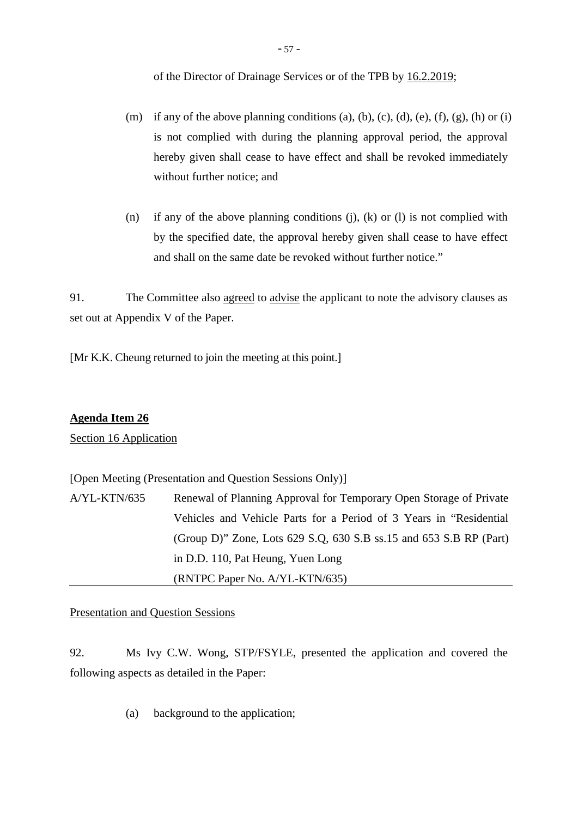of the Director of Drainage Services or of the TPB by 16.2.2019;

- (m) if any of the above planning conditions (a), (b), (c), (d), (e), (f), (g), (h) or (i) is not complied with during the planning approval period, the approval hereby given shall cease to have effect and shall be revoked immediately without further notice; and
- (n) if any of the above planning conditions  $(j)$ ,  $(k)$  or  $(l)$  is not complied with by the specified date, the approval hereby given shall cease to have effect and shall on the same date be revoked without further notice."

91. The Committee also agreed to advise the applicant to note the advisory clauses as set out at Appendix V of the Paper.

[Mr K.K. Cheung returned to join the meeting at this point.]

# **Agenda Item 26**

Section 16 Application

[Open Meeting (Presentation and Question Sessions Only)]

| A/YL-KTN/635 | Renewal of Planning Approval for Temporary Open Storage of Private       |
|--------------|--------------------------------------------------------------------------|
|              | Vehicles and Vehicle Parts for a Period of 3 Years in "Residential"      |
|              | (Group D)" Zone, Lots $629$ S.Q, $630$ S.B ss.15 and $653$ S.B RP (Part) |
|              | in D.D. 110, Pat Heung, Yuen Long                                        |
|              | (RNTPC Paper No. A/YL-KTN/635)                                           |

Presentation and Question Sessions

92. Ms Ivy C.W. Wong, STP/FSYLE, presented the application and covered the following aspects as detailed in the Paper:

(a) background to the application;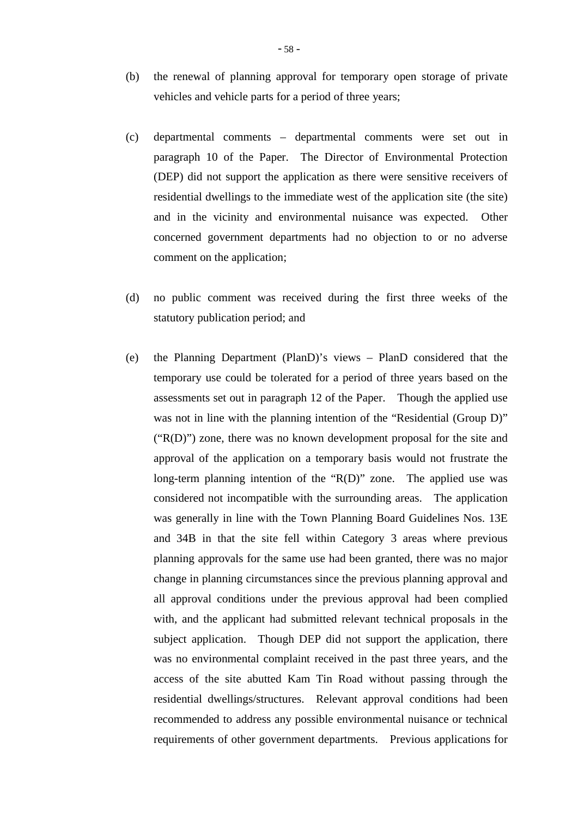- (b) the renewal of planning approval for temporary open storage of private vehicles and vehicle parts for a period of three years;
- (c) departmental comments departmental comments were set out in paragraph 10 of the Paper. The Director of Environmental Protection (DEP) did not support the application as there were sensitive receivers of residential dwellings to the immediate west of the application site (the site) and in the vicinity and environmental nuisance was expected. Other concerned government departments had no objection to or no adverse comment on the application;
- (d) no public comment was received during the first three weeks of the statutory publication period; and
- (e) the Planning Department (PlanD)'s views PlanD considered that the temporary use could be tolerated for a period of three years based on the assessments set out in paragraph 12 of the Paper. Though the applied use was not in line with the planning intention of the "Residential (Group D)"  $("R(D)")$  zone, there was no known development proposal for the site and approval of the application on a temporary basis would not frustrate the long-term planning intention of the "R(D)" zone. The applied use was considered not incompatible with the surrounding areas. The application was generally in line with the Town Planning Board Guidelines Nos. 13E and 34B in that the site fell within Category 3 areas where previous planning approvals for the same use had been granted, there was no major change in planning circumstances since the previous planning approval and all approval conditions under the previous approval had been complied with, and the applicant had submitted relevant technical proposals in the subject application. Though DEP did not support the application, there was no environmental complaint received in the past three years, and the access of the site abutted Kam Tin Road without passing through the residential dwellings/structures. Relevant approval conditions had been recommended to address any possible environmental nuisance or technical requirements of other government departments. Previous applications for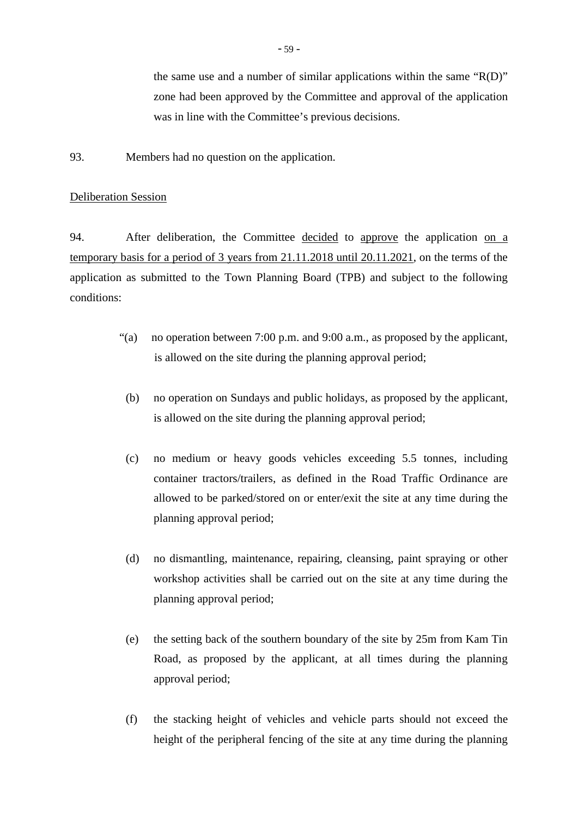the same use and a number of similar applications within the same "R(D)" zone had been approved by the Committee and approval of the application was in line with the Committee's previous decisions.

93. Members had no question on the application.

#### Deliberation Session

94. After deliberation, the Committee decided to approve the application on a temporary basis for a period of 3 years from 21.11.2018 until 20.11.2021, on the terms of the application as submitted to the Town Planning Board (TPB) and subject to the following conditions:

- "(a) no operation between 7:00 p.m. and 9:00 a.m., as proposed by the applicant, is allowed on the site during the planning approval period;
	- (b) no operation on Sundays and public holidays, as proposed by the applicant, is allowed on the site during the planning approval period;
	- (c) no medium or heavy goods vehicles exceeding 5.5 tonnes, including container tractors/trailers, as defined in the Road Traffic Ordinance are allowed to be parked/stored on or enter/exit the site at any time during the planning approval period;
	- (d) no dismantling, maintenance, repairing, cleansing, paint spraying or other workshop activities shall be carried out on the site at any time during the planning approval period;
	- (e) the setting back of the southern boundary of the site by 25m from Kam Tin Road, as proposed by the applicant, at all times during the planning approval period;
	- (f) the stacking height of vehicles and vehicle parts should not exceed the height of the peripheral fencing of the site at any time during the planning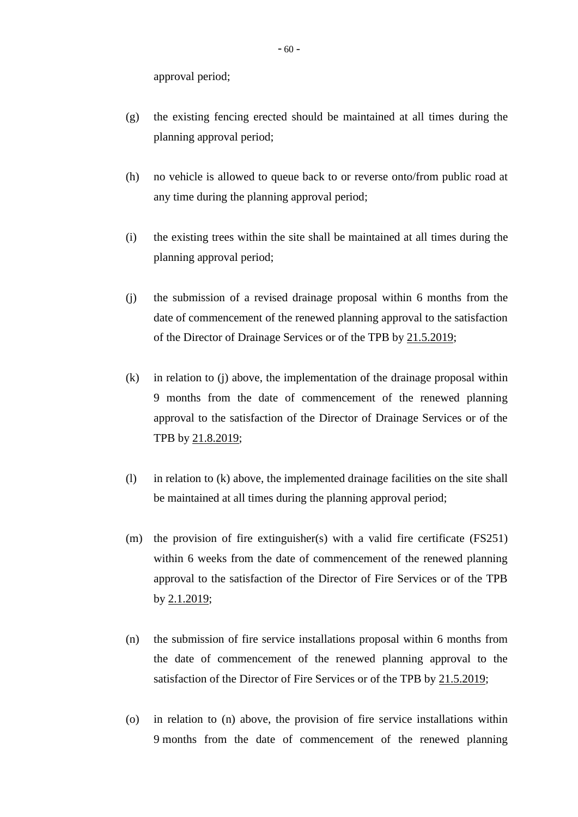approval period;

- (g) the existing fencing erected should be maintained at all times during the planning approval period;
- (h) no vehicle is allowed to queue back to or reverse onto/from public road at any time during the planning approval period;
- (i) the existing trees within the site shall be maintained at all times during the planning approval period;
- (j) the submission of a revised drainage proposal within 6 months from the date of commencement of the renewed planning approval to the satisfaction of the Director of Drainage Services or of the TPB by 21.5.2019;
- (k) in relation to (j) above, the implementation of the drainage proposal within 9 months from the date of commencement of the renewed planning approval to the satisfaction of the Director of Drainage Services or of the TPB by 21.8.2019;
- (l) in relation to (k) above, the implemented drainage facilities on the site shall be maintained at all times during the planning approval period;
- (m) the provision of fire extinguisher(s) with a valid fire certificate (FS251) within 6 weeks from the date of commencement of the renewed planning approval to the satisfaction of the Director of Fire Services or of the TPB by 2.1.2019;
- (n) the submission of fire service installations proposal within 6 months from the date of commencement of the renewed planning approval to the satisfaction of the Director of Fire Services or of the TPB by 21.5.2019;
- (o) in relation to (n) above, the provision of fire service installations within 9 months from the date of commencement of the renewed planning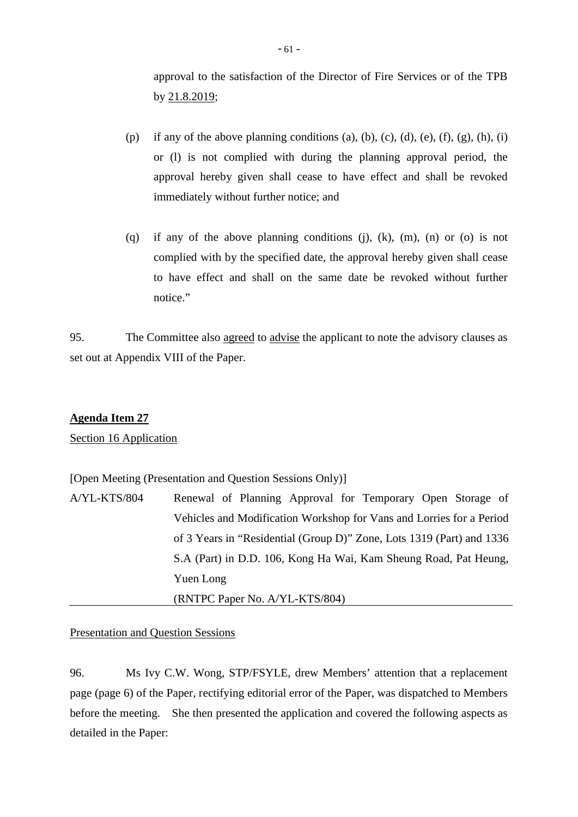approval to the satisfaction of the Director of Fire Services or of the TPB by 21.8.2019;

- (p) if any of the above planning conditions (a), (b), (c), (d), (e), (f), (g), (h), (i) or (l) is not complied with during the planning approval period, the approval hereby given shall cease to have effect and shall be revoked immediately without further notice; and
- (q) if any of the above planning conditions (j), (k), (m), (n) or (o) is not complied with by the specified date, the approval hereby given shall cease to have effect and shall on the same date be revoked without further notice."

95. The Committee also agreed to advise the applicant to note the advisory clauses as set out at Appendix VIII of the Paper.

# **Agenda Item 27**

Section 16 Application

[Open Meeting (Presentation and Question Sessions Only)]

| A/YL-KTS/804 | Renewal of Planning Approval for Temporary Open Storage of            |
|--------------|-----------------------------------------------------------------------|
|              | Vehicles and Modification Workshop for Vans and Lorries for a Period  |
|              | of 3 Years in "Residential (Group D)" Zone, Lots 1319 (Part) and 1336 |
|              | S.A (Part) in D.D. 106, Kong Ha Wai, Kam Sheung Road, Pat Heung,      |
|              | Yuen Long                                                             |
|              | (RNTPC Paper No. A/YL-KTS/804)                                        |

# Presentation and Question Sessions

96. Ms Ivy C.W. Wong, STP/FSYLE, drew Members' attention that a replacement page (page 6) of the Paper, rectifying editorial error of the Paper, was dispatched to Members before the meeting. She then presented the application and covered the following aspects as detailed in the Paper: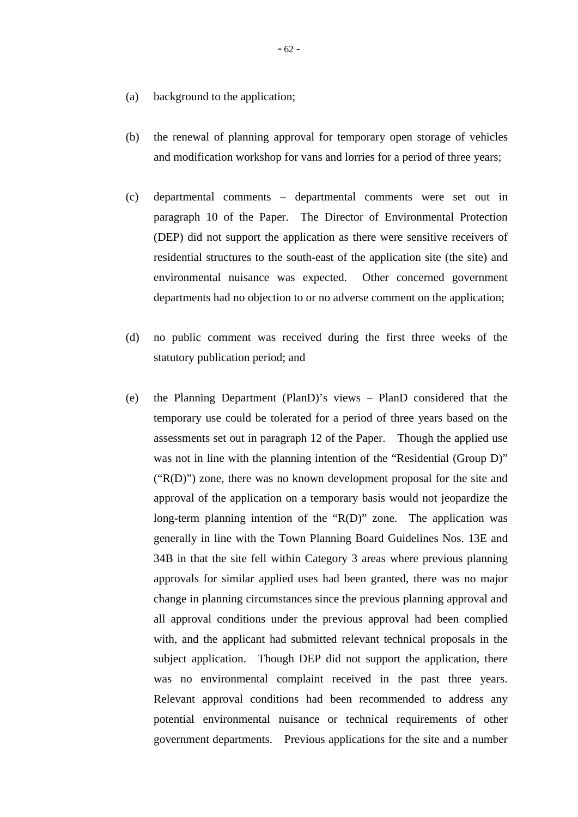- (a) background to the application;
- (b) the renewal of planning approval for temporary open storage of vehicles and modification workshop for vans and lorries for a period of three years;
- (c) departmental comments departmental comments were set out in paragraph 10 of the Paper. The Director of Environmental Protection (DEP) did not support the application as there were sensitive receivers of residential structures to the south-east of the application site (the site) and environmental nuisance was expected. Other concerned government departments had no objection to or no adverse comment on the application;
- (d) no public comment was received during the first three weeks of the statutory publication period; and
- (e) the Planning Department (PlanD)'s views PlanD considered that the temporary use could be tolerated for a period of three years based on the assessments set out in paragraph 12 of the Paper. Though the applied use was not in line with the planning intention of the "Residential (Group D)"  $("R(D)")$  zone, there was no known development proposal for the site and approval of the application on a temporary basis would not jeopardize the long-term planning intention of the "R(D)" zone. The application was generally in line with the Town Planning Board Guidelines Nos. 13E and 34B in that the site fell within Category 3 areas where previous planning approvals for similar applied uses had been granted, there was no major change in planning circumstances since the previous planning approval and all approval conditions under the previous approval had been complied with, and the applicant had submitted relevant technical proposals in the subject application. Though DEP did not support the application, there was no environmental complaint received in the past three years. Relevant approval conditions had been recommended to address any potential environmental nuisance or technical requirements of other government departments. Previous applications for the site and a number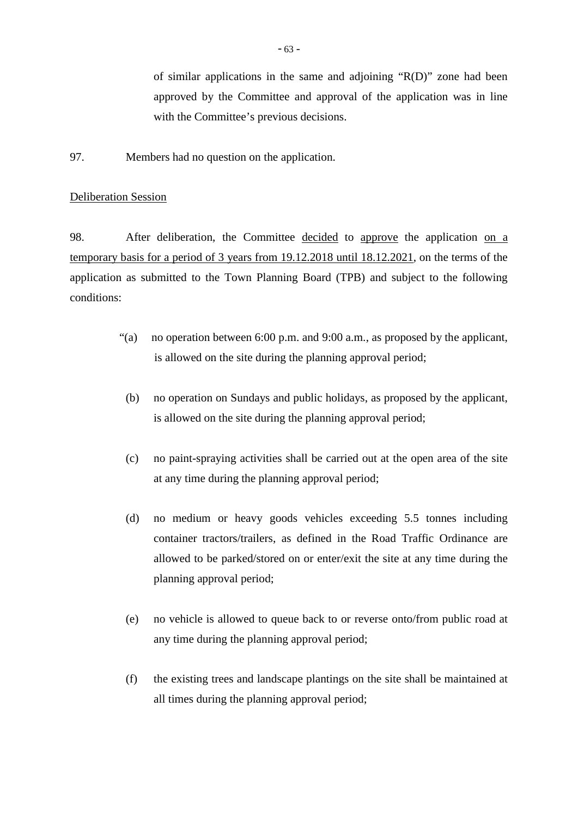of similar applications in the same and adjoining "R(D)" zone had been approved by the Committee and approval of the application was in line with the Committee's previous decisions.

97. Members had no question on the application.

## Deliberation Session

98. After deliberation, the Committee decided to approve the application on a temporary basis for a period of 3 years from 19.12.2018 until 18.12.2021, on the terms of the application as submitted to the Town Planning Board (TPB) and subject to the following conditions:

- "(a) no operation between 6:00 p.m. and 9:00 a.m., as proposed by the applicant, is allowed on the site during the planning approval period;
	- (b) no operation on Sundays and public holidays, as proposed by the applicant, is allowed on the site during the planning approval period;
	- (c) no paint-spraying activities shall be carried out at the open area of the site at any time during the planning approval period;
	- (d) no medium or heavy goods vehicles exceeding 5.5 tonnes including container tractors/trailers, as defined in the Road Traffic Ordinance are allowed to be parked/stored on or enter/exit the site at any time during the planning approval period;
	- (e) no vehicle is allowed to queue back to or reverse onto/from public road at any time during the planning approval period;
	- (f) the existing trees and landscape plantings on the site shall be maintained at all times during the planning approval period;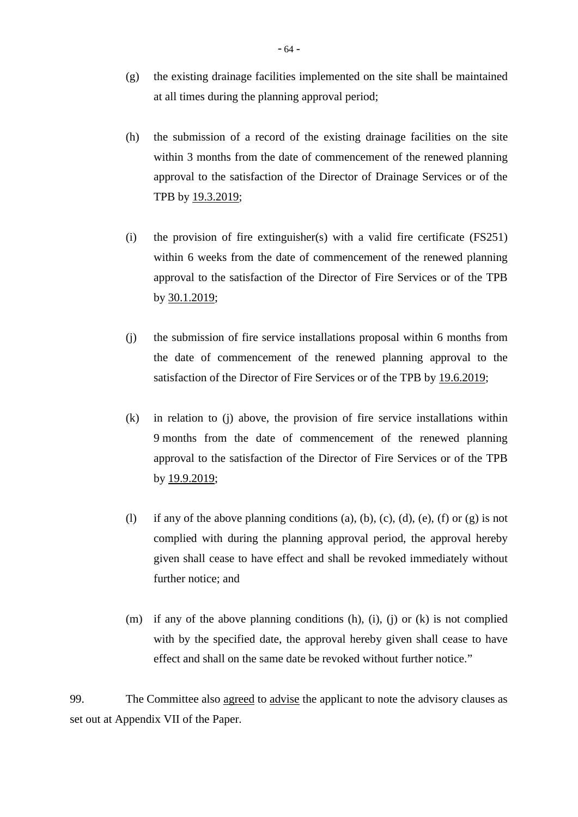- (g) the existing drainage facilities implemented on the site shall be maintained at all times during the planning approval period;
- (h) the submission of a record of the existing drainage facilities on the site within 3 months from the date of commencement of the renewed planning approval to the satisfaction of the Director of Drainage Services or of the TPB by 19.3.2019;
- (i) the provision of fire extinguisher(s) with a valid fire certificate (FS251) within 6 weeks from the date of commencement of the renewed planning approval to the satisfaction of the Director of Fire Services or of the TPB by 30.1.2019;
- (j) the submission of fire service installations proposal within 6 months from the date of commencement of the renewed planning approval to the satisfaction of the Director of Fire Services or of the TPB by 19.6.2019;
- (k) in relation to (j) above, the provision of fire service installations within 9 months from the date of commencement of the renewed planning approval to the satisfaction of the Director of Fire Services or of the TPB by 19.9.2019;
- (l) if any of the above planning conditions (a), (b), (c), (d), (e), (f) or (g) is not complied with during the planning approval period, the approval hereby given shall cease to have effect and shall be revoked immediately without further notice; and
- (m) if any of the above planning conditions  $(h)$ ,  $(i)$ ,  $(i)$  or  $(k)$  is not complied with by the specified date, the approval hereby given shall cease to have effect and shall on the same date be revoked without further notice."

99. The Committee also agreed to advise the applicant to note the advisory clauses as set out at Appendix VII of the Paper.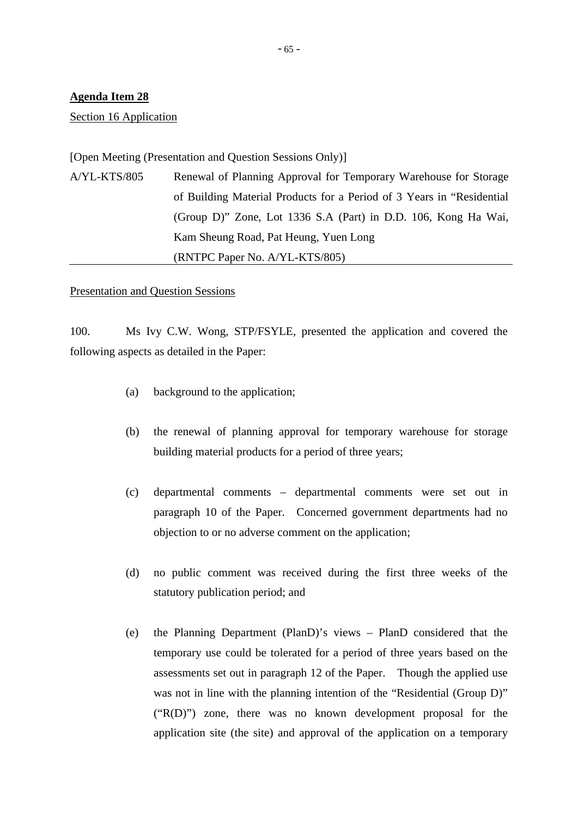Section 16 Application

[Open Meeting (Presentation and Question Sessions Only)]

A/YL-KTS/805 Renewal of Planning Approval for Temporary Warehouse for Storage of Building Material Products for a Period of 3 Years in "Residential (Group D)" Zone, Lot 1336 S.A (Part) in D.D. 106, Kong Ha Wai, Kam Sheung Road, Pat Heung, Yuen Long (RNTPC Paper No. A/YL-KTS/805)

#### Presentation and Question Sessions

100. Ms Ivy C.W. Wong, STP/FSYLE, presented the application and covered the following aspects as detailed in the Paper:

- (a) background to the application;
- (b) the renewal of planning approval for temporary warehouse for storage building material products for a period of three years;
- (c) departmental comments departmental comments were set out in paragraph 10 of the Paper. Concerned government departments had no objection to or no adverse comment on the application;
- (d) no public comment was received during the first three weeks of the statutory publication period; and
- (e) the Planning Department (PlanD)'s views PlanD considered that the temporary use could be tolerated for a period of three years based on the assessments set out in paragraph 12 of the Paper. Though the applied use was not in line with the planning intention of the "Residential (Group D)" ("R(D)") zone, there was no known development proposal for the application site (the site) and approval of the application on a temporary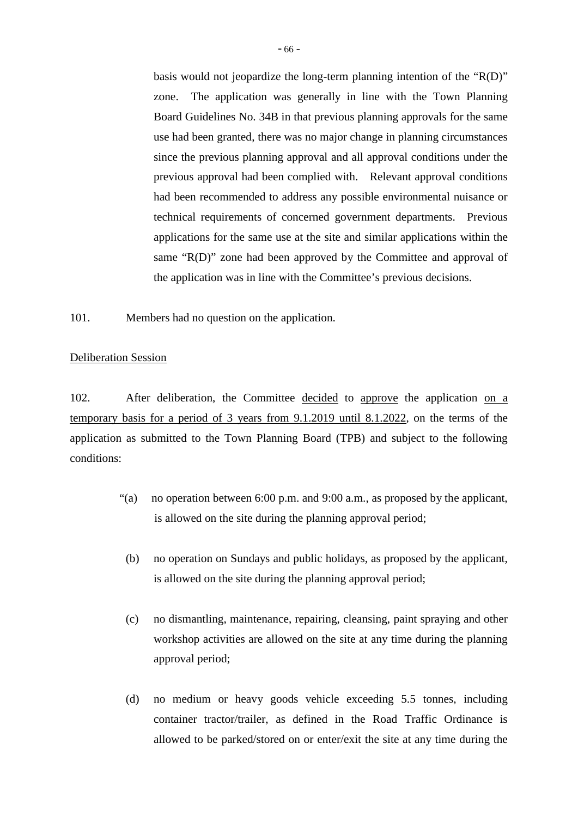basis would not jeopardize the long-term planning intention of the "R(D)" zone. The application was generally in line with the Town Planning Board Guidelines No. 34B in that previous planning approvals for the same use had been granted, there was no major change in planning circumstances since the previous planning approval and all approval conditions under the previous approval had been complied with. Relevant approval conditions had been recommended to address any possible environmental nuisance or technical requirements of concerned government departments. Previous applications for the same use at the site and similar applications within the same "R(D)" zone had been approved by the Committee and approval of the application was in line with the Committee's previous decisions.

101. Members had no question on the application.

# Deliberation Session

102. After deliberation, the Committee decided to approve the application on a temporary basis for a period of 3 years from 9.1.2019 until 8.1.2022, on the terms of the application as submitted to the Town Planning Board (TPB) and subject to the following conditions:

- "(a) no operation between 6:00 p.m. and 9:00 a.m., as proposed by the applicant, is allowed on the site during the planning approval period;
	- (b) no operation on Sundays and public holidays, as proposed by the applicant, is allowed on the site during the planning approval period;
	- (c) no dismantling, maintenance, repairing, cleansing, paint spraying and other workshop activities are allowed on the site at any time during the planning approval period;
	- (d) no medium or heavy goods vehicle exceeding 5.5 tonnes, including container tractor/trailer, as defined in the Road Traffic Ordinance is allowed to be parked/stored on or enter/exit the site at any time during the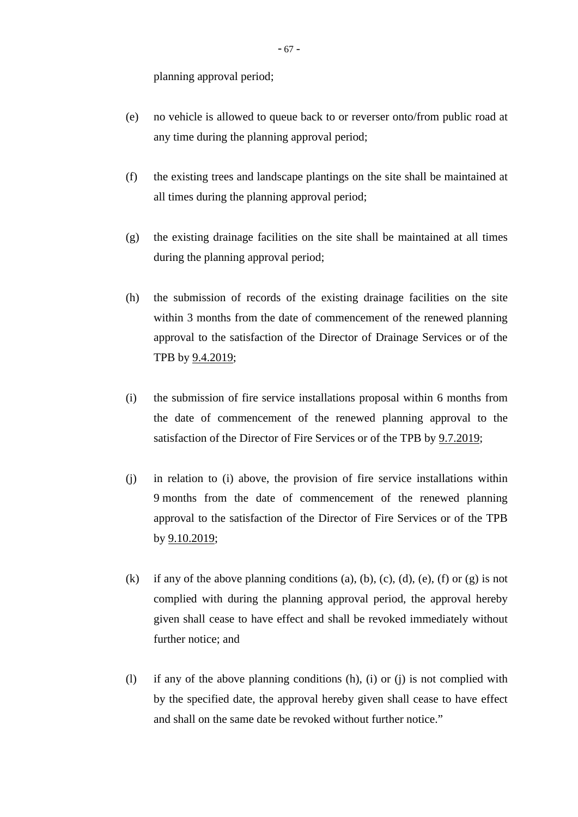planning approval period;

- (e) no vehicle is allowed to queue back to or reverser onto/from public road at any time during the planning approval period;
- (f) the existing trees and landscape plantings on the site shall be maintained at all times during the planning approval period;
- (g) the existing drainage facilities on the site shall be maintained at all times during the planning approval period;
- (h) the submission of records of the existing drainage facilities on the site within 3 months from the date of commencement of the renewed planning approval to the satisfaction of the Director of Drainage Services or of the TPB by 9.4.2019;
- (i) the submission of fire service installations proposal within 6 months from the date of commencement of the renewed planning approval to the satisfaction of the Director of Fire Services or of the TPB by 9.7.2019;
- (j) in relation to (i) above, the provision of fire service installations within 9 months from the date of commencement of the renewed planning approval to the satisfaction of the Director of Fire Services or of the TPB by 9.10.2019;
- (k) if any of the above planning conditions (a), (b), (c), (d), (e), (f) or (g) is not complied with during the planning approval period, the approval hereby given shall cease to have effect and shall be revoked immediately without further notice; and
- (l) if any of the above planning conditions (h), (i) or (j) is not complied with by the specified date, the approval hereby given shall cease to have effect and shall on the same date be revoked without further notice."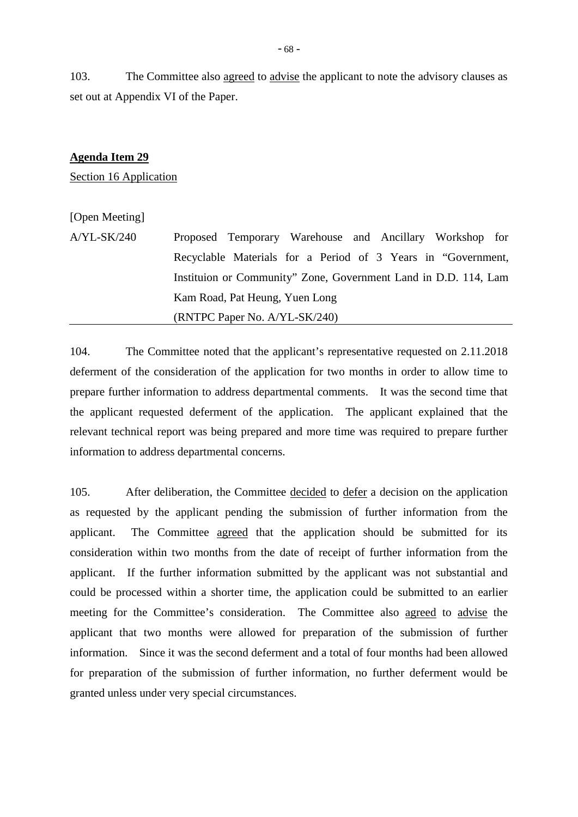103. The Committee also agreed to advise the applicant to note the advisory clauses as set out at Appendix VI of the Paper.

#### **Agenda Item 29**

Section 16 Application

# [Open Meeting]

A/YL-SK/240 Proposed Temporary Warehouse and Ancillary Workshop for Recyclable Materials for a Period of 3 Years in "Government, Instituion or Community" Zone, Government Land in D.D. 114, Lam Kam Road, Pat Heung, Yuen Long (RNTPC Paper No. A/YL-SK/240)

104. The Committee noted that the applicant's representative requested on 2.11.2018 deferment of the consideration of the application for two months in order to allow time to prepare further information to address departmental comments. It was the second time that the applicant requested deferment of the application. The applicant explained that the relevant technical report was being prepared and more time was required to prepare further information to address departmental concerns.

105. After deliberation, the Committee decided to defer a decision on the application as requested by the applicant pending the submission of further information from the applicant. The Committee agreed that the application should be submitted for its consideration within two months from the date of receipt of further information from the applicant. If the further information submitted by the applicant was not substantial and could be processed within a shorter time, the application could be submitted to an earlier meeting for the Committee's consideration. The Committee also agreed to advise the applicant that two months were allowed for preparation of the submission of further information. Since it was the second deferment and a total of four months had been allowed for preparation of the submission of further information, no further deferment would be granted unless under very special circumstances.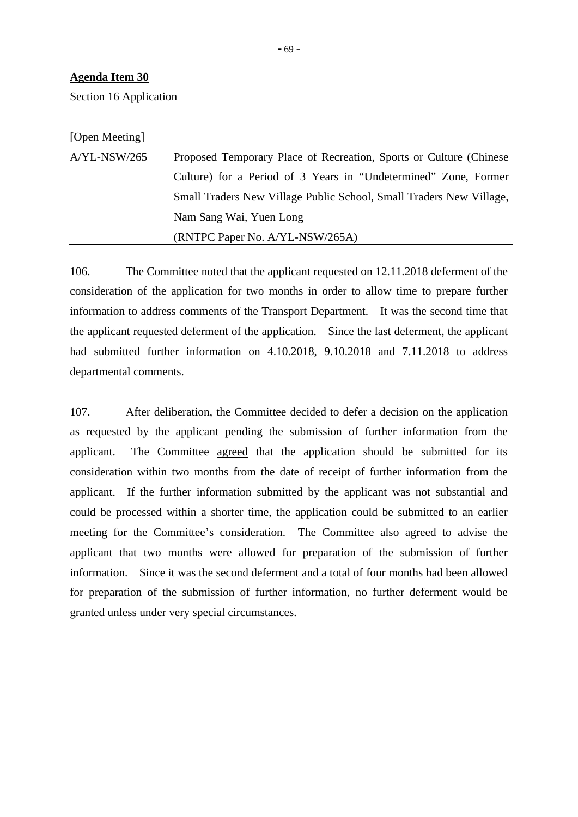Section 16 Application

[Open Meeting]

A/YL-NSW/265 Proposed Temporary Place of Recreation, Sports or Culture (Chinese Culture) for a Period of 3 Years in "Undetermined" Zone, Former Small Traders New Village Public School, Small Traders New Village, Nam Sang Wai, Yuen Long (RNTPC Paper No. A/YL-NSW/265A)

106. The Committee noted that the applicant requested on 12.11.2018 deferment of the consideration of the application for two months in order to allow time to prepare further information to address comments of the Transport Department. It was the second time that the applicant requested deferment of the application. Since the last deferment, the applicant had submitted further information on 4.10.2018, 9.10.2018 and 7.11.2018 to address departmental comments.

107. After deliberation, the Committee decided to defer a decision on the application as requested by the applicant pending the submission of further information from the applicant. The Committee agreed that the application should be submitted for its consideration within two months from the date of receipt of further information from the applicant. If the further information submitted by the applicant was not substantial and could be processed within a shorter time, the application could be submitted to an earlier meeting for the Committee's consideration. The Committee also agreed to advise the applicant that two months were allowed for preparation of the submission of further information. Since it was the second deferment and a total of four months had been allowed for preparation of the submission of further information, no further deferment would be granted unless under very special circumstances.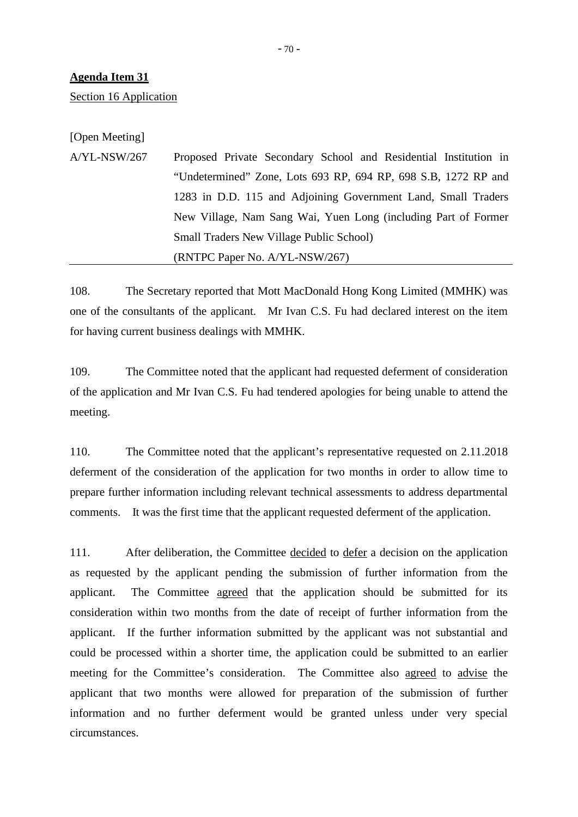Section 16 Application

[Open Meeting]

A/YL-NSW/267 Proposed Private Secondary School and Residential Institution in "Undetermined" Zone, Lots 693 RP, 694 RP, 698 S.B, 1272 RP and 1283 in D.D. 115 and Adjoining Government Land, Small Traders New Village, Nam Sang Wai, Yuen Long (including Part of Former Small Traders New Village Public School) (RNTPC Paper No. A/YL-NSW/267)

108. The Secretary reported that Mott MacDonald Hong Kong Limited (MMHK) was one of the consultants of the applicant. Mr Ivan C.S. Fu had declared interest on the item for having current business dealings with MMHK.

109. The Committee noted that the applicant had requested deferment of consideration of the application and Mr Ivan C.S. Fu had tendered apologies for being unable to attend the meeting.

110. The Committee noted that the applicant's representative requested on 2.11.2018 deferment of the consideration of the application for two months in order to allow time to prepare further information including relevant technical assessments to address departmental comments. It was the first time that the applicant requested deferment of the application.

111. After deliberation, the Committee decided to defer a decision on the application as requested by the applicant pending the submission of further information from the applicant. The Committee agreed that the application should be submitted for its consideration within two months from the date of receipt of further information from the applicant. If the further information submitted by the applicant was not substantial and could be processed within a shorter time, the application could be submitted to an earlier meeting for the Committee's consideration. The Committee also agreed to advise the applicant that two months were allowed for preparation of the submission of further information and no further deferment would be granted unless under very special circumstances.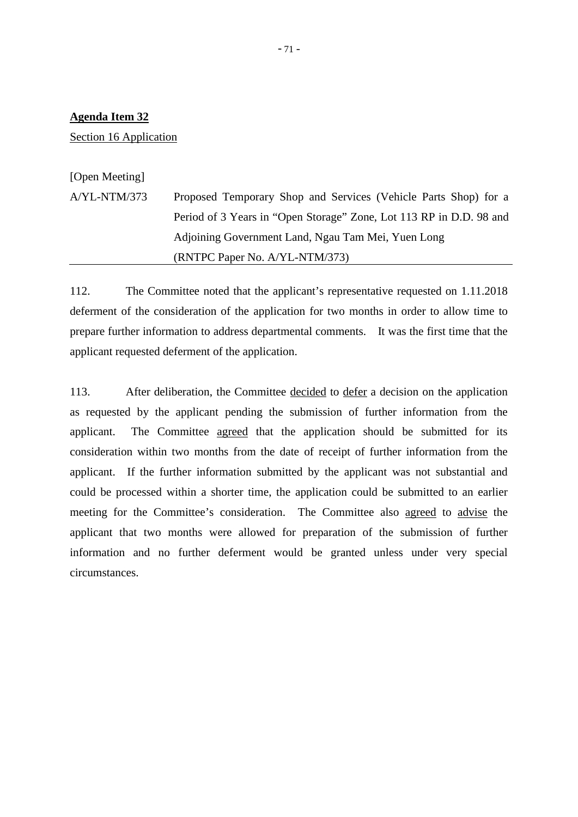Section 16 Application

[Open Meeting]

A/YL-NTM/373 Proposed Temporary Shop and Services (Vehicle Parts Shop) for a Period of 3 Years in "Open Storage" Zone, Lot 113 RP in D.D. 98 and Adjoining Government Land, Ngau Tam Mei, Yuen Long (RNTPC Paper No. A/YL-NTM/373)

112. The Committee noted that the applicant's representative requested on 1.11.2018 deferment of the consideration of the application for two months in order to allow time to prepare further information to address departmental comments. It was the first time that the applicant requested deferment of the application.

113. After deliberation, the Committee decided to defer a decision on the application as requested by the applicant pending the submission of further information from the applicant. The Committee agreed that the application should be submitted for its consideration within two months from the date of receipt of further information from the applicant. If the further information submitted by the applicant was not substantial and could be processed within a shorter time, the application could be submitted to an earlier meeting for the Committee's consideration. The Committee also agreed to advise the applicant that two months were allowed for preparation of the submission of further information and no further deferment would be granted unless under very special circumstances.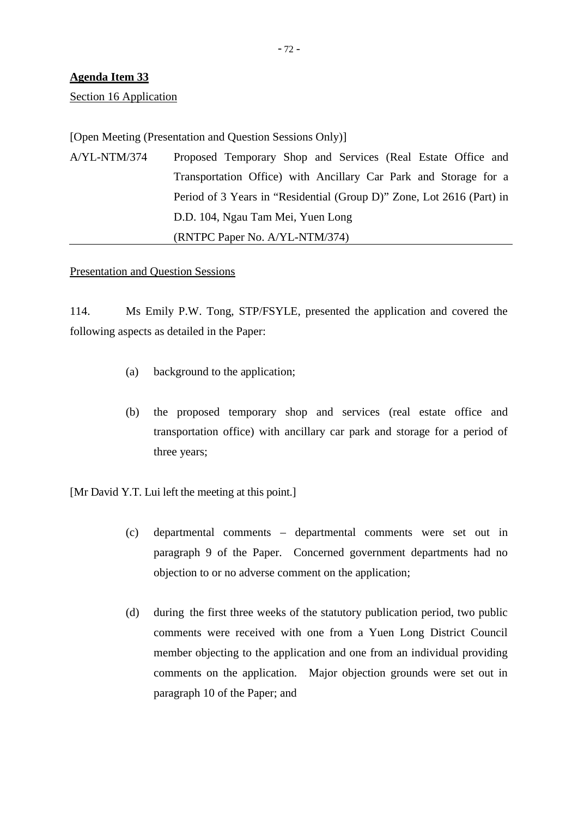Section 16 Application

## [Open Meeting (Presentation and Question Sessions Only)]

A/YL-NTM/374 Proposed Temporary Shop and Services (Real Estate Office and Transportation Office) with Ancillary Car Park and Storage for a Period of 3 Years in "Residential (Group D)" Zone, Lot 2616 (Part) in D.D. 104, Ngau Tam Mei, Yuen Long (RNTPC Paper No. A/YL-NTM/374)

#### Presentation and Question Sessions

114. Ms Emily P.W. Tong, STP/FSYLE, presented the application and covered the following aspects as detailed in the Paper:

- (a) background to the application;
- (b) the proposed temporary shop and services (real estate office and transportation office) with ancillary car park and storage for a period of three years;

[Mr David Y.T. Lui left the meeting at this point.]

- (c) departmental comments departmental comments were set out in paragraph 9 of the Paper. Concerned government departments had no objection to or no adverse comment on the application;
- (d) during the first three weeks of the statutory publication period, two public comments were received with one from a Yuen Long District Council member objecting to the application and one from an individual providing comments on the application. Major objection grounds were set out in paragraph 10 of the Paper; and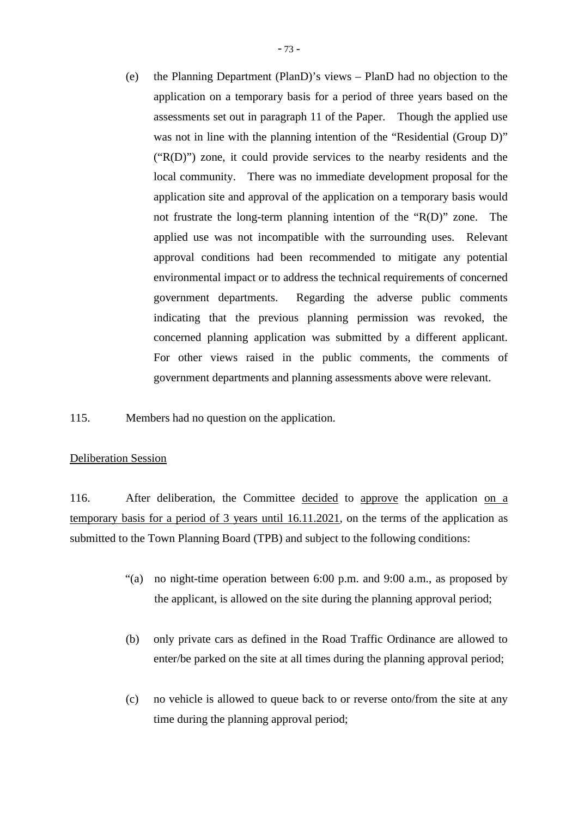(e) the Planning Department (PlanD)'s views – PlanD had no objection to the application on a temporary basis for a period of three years based on the assessments set out in paragraph 11 of the Paper. Though the applied use was not in line with the planning intention of the "Residential (Group D)" ("R(D)") zone, it could provide services to the nearby residents and the local community. There was no immediate development proposal for the application site and approval of the application on a temporary basis would not frustrate the long-term planning intention of the "R(D)" zone. The applied use was not incompatible with the surrounding uses. Relevant approval conditions had been recommended to mitigate any potential environmental impact or to address the technical requirements of concerned government departments. Regarding the adverse public comments indicating that the previous planning permission was revoked, the concerned planning application was submitted by a different applicant. For other views raised in the public comments, the comments of government departments and planning assessments above were relevant.

115. Members had no question on the application.

## Deliberation Session

116. After deliberation, the Committee decided to approve the application on a temporary basis for a period of 3 years until 16.11.2021, on the terms of the application as submitted to the Town Planning Board (TPB) and subject to the following conditions:

- "(a) no night-time operation between 6:00 p.m. and 9:00 a.m., as proposed by the applicant, is allowed on the site during the planning approval period;
- (b) only private cars as defined in the Road Traffic Ordinance are allowed to enter/be parked on the site at all times during the planning approval period;
- (c) no vehicle is allowed to queue back to or reverse onto/from the site at any time during the planning approval period;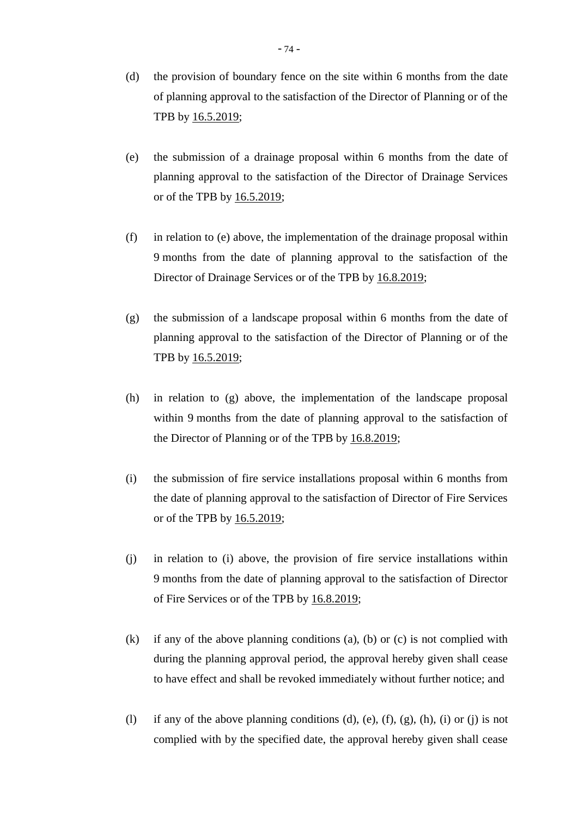- (d) the provision of boundary fence on the site within 6 months from the date of planning approval to the satisfaction of the Director of Planning or of the TPB by 16.5.2019;
- (e) the submission of a drainage proposal within 6 months from the date of planning approval to the satisfaction of the Director of Drainage Services or of the TPB by 16.5.2019;
- (f) in relation to (e) above, the implementation of the drainage proposal within 9 months from the date of planning approval to the satisfaction of the Director of Drainage Services or of the TPB by 16.8.2019;
- (g) the submission of a landscape proposal within 6 months from the date of planning approval to the satisfaction of the Director of Planning or of the TPB by 16.5.2019;
- (h) in relation to (g) above, the implementation of the landscape proposal within 9 months from the date of planning approval to the satisfaction of the Director of Planning or of the TPB by 16.8.2019;
- (i) the submission of fire service installations proposal within 6 months from the date of planning approval to the satisfaction of Director of Fire Services or of the TPB by 16.5.2019;
- (j) in relation to (i) above, the provision of fire service installations within 9 months from the date of planning approval to the satisfaction of Director of Fire Services or of the TPB by 16.8.2019;
- (k) if any of the above planning conditions (a), (b) or (c) is not complied with during the planning approval period, the approval hereby given shall cease to have effect and shall be revoked immediately without further notice; and
- (l) if any of the above planning conditions (d), (e),  $(f)$ ,  $(g)$ ,  $(h)$ ,  $(i)$  or  $(i)$  is not complied with by the specified date, the approval hereby given shall cease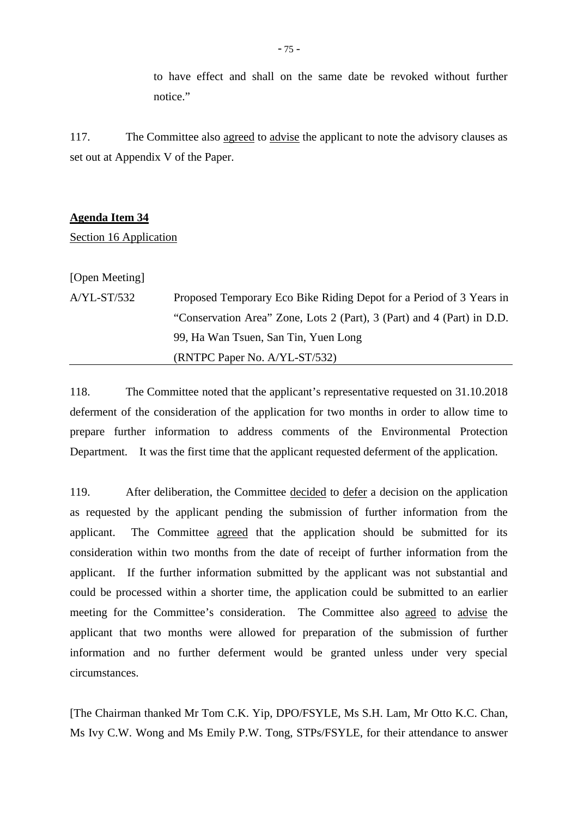to have effect and shall on the same date be revoked without further notice."

117. The Committee also agreed to advise the applicant to note the advisory clauses as set out at Appendix V of the Paper.

#### **Agenda Item 34**

Section 16 Application

[Open Meeting]

| $A/YL$ -ST/532 | Proposed Temporary Eco Bike Riding Depot for a Period of 3 Years in    |
|----------------|------------------------------------------------------------------------|
|                | "Conservation Area" Zone, Lots 2 (Part), 3 (Part) and 4 (Part) in D.D. |
|                | 99, Ha Wan Tsuen, San Tin, Yuen Long                                   |
|                | $(RNTPC Paper No. A/YL-ST/532)$                                        |

118. The Committee noted that the applicant's representative requested on 31.10.2018 deferment of the consideration of the application for two months in order to allow time to prepare further information to address comments of the Environmental Protection Department. It was the first time that the applicant requested deferment of the application.

119. After deliberation, the Committee decided to defer a decision on the application as requested by the applicant pending the submission of further information from the applicant. The Committee agreed that the application should be submitted for its consideration within two months from the date of receipt of further information from the applicant. If the further information submitted by the applicant was not substantial and could be processed within a shorter time, the application could be submitted to an earlier meeting for the Committee's consideration. The Committee also agreed to advise the applicant that two months were allowed for preparation of the submission of further information and no further deferment would be granted unless under very special circumstances.

[The Chairman thanked Mr Tom C.K. Yip, DPO/FSYLE, Ms S.H. Lam, Mr Otto K.C. Chan, Ms Ivy C.W. Wong and Ms Emily P.W. Tong, STPs/FSYLE, for their attendance to answer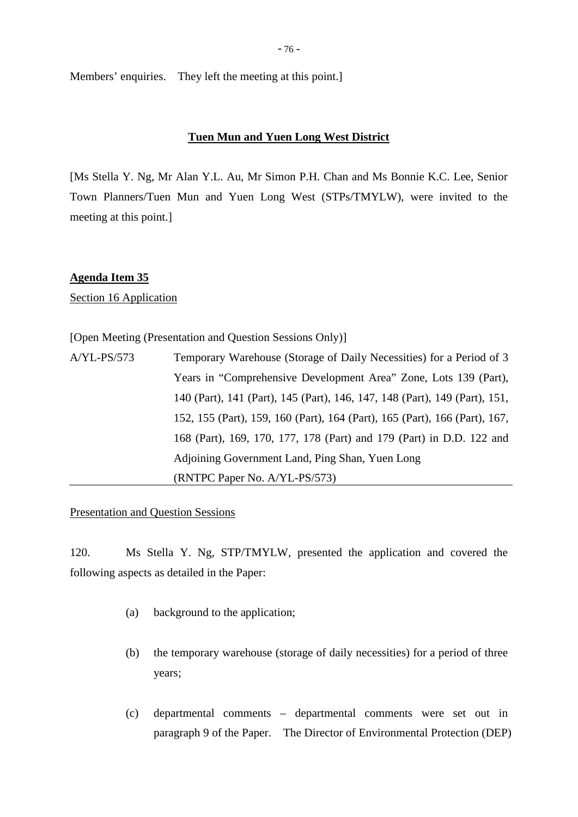Members' enquiries. They left the meeting at this point.]

## **Tuen Mun and Yuen Long West District**

[Ms Stella Y. Ng, Mr Alan Y.L. Au, Mr Simon P.H. Chan and Ms Bonnie K.C. Lee, Senior Town Planners/Tuen Mun and Yuen Long West (STPs/TMYLW), were invited to the meeting at this point.]

## **Agenda Item 35**

Section 16 Application

[Open Meeting (Presentation and Question Sessions Only)]

| $A/YL-PS/573$ | Temporary Warehouse (Storage of Daily Necessities) for a Period of 3       |
|---------------|----------------------------------------------------------------------------|
|               | Years in "Comprehensive Development Area" Zone, Lots 139 (Part),           |
|               | 140 (Part), 141 (Part), 145 (Part), 146, 147, 148 (Part), 149 (Part), 151, |
|               | 152, 155 (Part), 159, 160 (Part), 164 (Part), 165 (Part), 166 (Part), 167, |
|               | 168 (Part), 169, 170, 177, 178 (Part) and 179 (Part) in D.D. 122 and       |
|               | Adjoining Government Land, Ping Shan, Yuen Long                            |
|               | (RNTPC Paper No. A/YL-PS/573)                                              |

## Presentation and Question Sessions

120. Ms Stella Y. Ng, STP/TMYLW, presented the application and covered the following aspects as detailed in the Paper:

- (a) background to the application;
- (b) the temporary warehouse (storage of daily necessities) for a period of three years;
- (c) departmental comments departmental comments were set out in paragraph 9 of the Paper. The Director of Environmental Protection (DEP)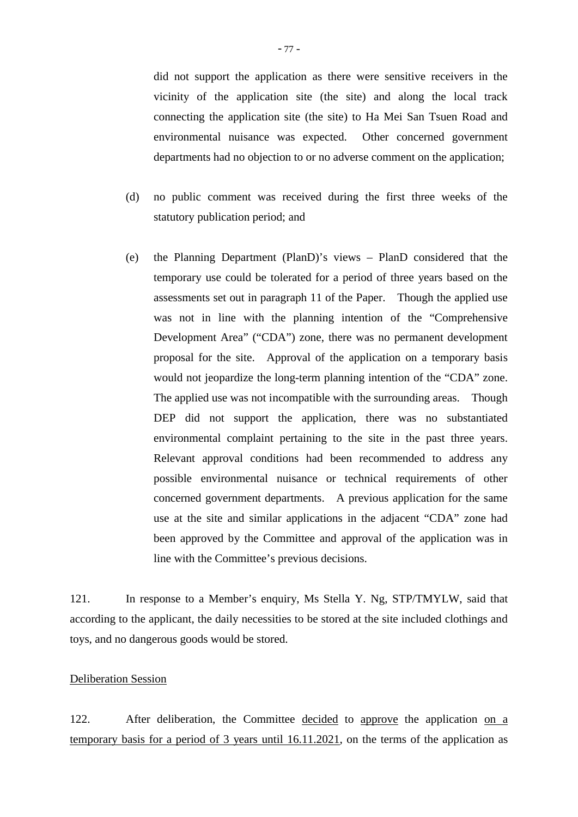did not support the application as there were sensitive receivers in the vicinity of the application site (the site) and along the local track connecting the application site (the site) to Ha Mei San Tsuen Road and environmental nuisance was expected. Other concerned government departments had no objection to or no adverse comment on the application;

- (d) no public comment was received during the first three weeks of the statutory publication period; and
- (e) the Planning Department (PlanD)'s views PlanD considered that the temporary use could be tolerated for a period of three years based on the assessments set out in paragraph 11 of the Paper. Though the applied use was not in line with the planning intention of the "Comprehensive Development Area" ("CDA") zone, there was no permanent development proposal for the site. Approval of the application on a temporary basis would not jeopardize the long-term planning intention of the "CDA" zone. The applied use was not incompatible with the surrounding areas. Though DEP did not support the application, there was no substantiated environmental complaint pertaining to the site in the past three years. Relevant approval conditions had been recommended to address any possible environmental nuisance or technical requirements of other concerned government departments. A previous application for the same use at the site and similar applications in the adjacent "CDA" zone had been approved by the Committee and approval of the application was in line with the Committee's previous decisions.

121. In response to a Member's enquiry, Ms Stella Y. Ng, STP/TMYLW, said that according to the applicant, the daily necessities to be stored at the site included clothings and toys, and no dangerous goods would be stored.

## Deliberation Session

122. After deliberation, the Committee decided to approve the application on a temporary basis for a period of 3 years until 16.11.2021, on the terms of the application as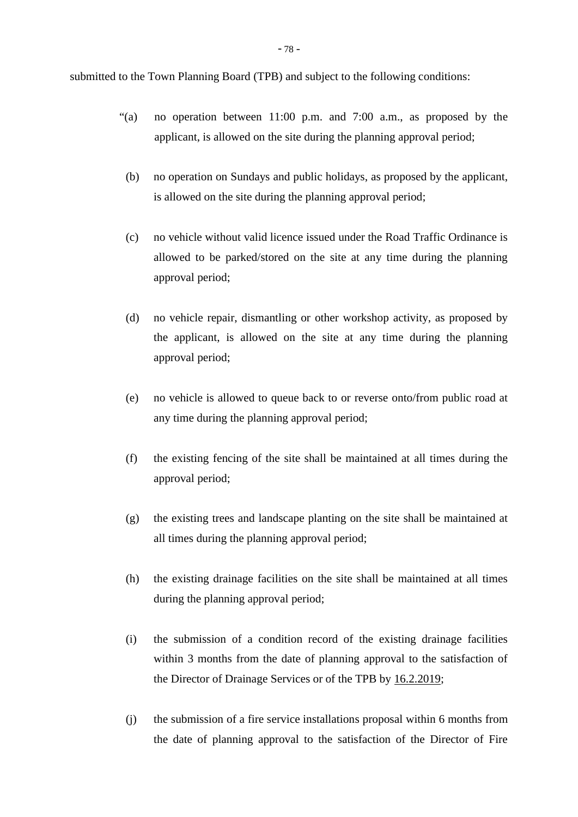submitted to the Town Planning Board (TPB) and subject to the following conditions:

- "(a) no operation between 11:00 p.m. and 7:00 a.m., as proposed by the applicant, is allowed on the site during the planning approval period;
- (b) no operation on Sundays and public holidays, as proposed by the applicant, is allowed on the site during the planning approval period;
- (c) no vehicle without valid licence issued under the Road Traffic Ordinance is allowed to be parked/stored on the site at any time during the planning approval period;
- (d) no vehicle repair, dismantling or other workshop activity, as proposed by the applicant, is allowed on the site at any time during the planning approval period;
- (e) no vehicle is allowed to queue back to or reverse onto/from public road at any time during the planning approval period;
- (f) the existing fencing of the site shall be maintained at all times during the approval period;
- (g) the existing trees and landscape planting on the site shall be maintained at all times during the planning approval period;
- (h) the existing drainage facilities on the site shall be maintained at all times during the planning approval period;
- (i) the submission of a condition record of the existing drainage facilities within 3 months from the date of planning approval to the satisfaction of the Director of Drainage Services or of the TPB by 16.2.2019;
- (j) the submission of a fire service installations proposal within 6 months from the date of planning approval to the satisfaction of the Director of Fire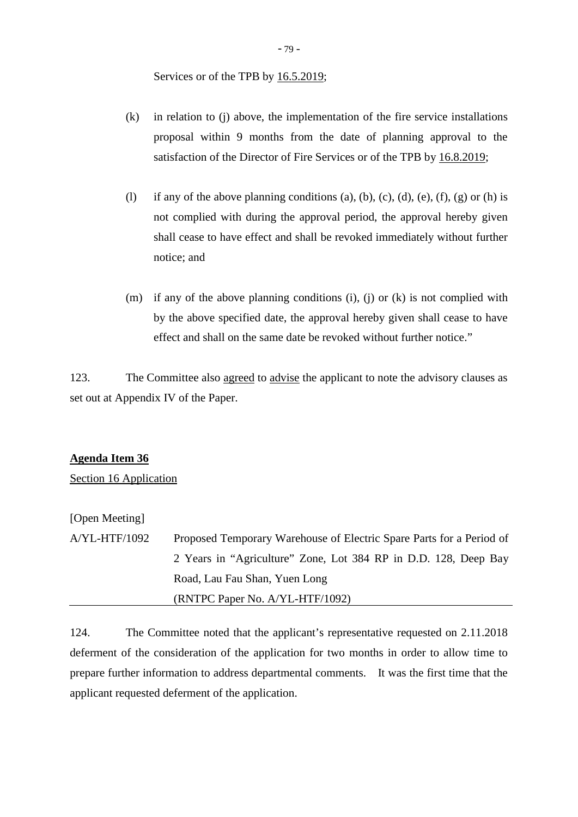Services or of the TPB by  $16.5.2019$ ;

- (k) in relation to (j) above, the implementation of the fire service installations proposal within 9 months from the date of planning approval to the satisfaction of the Director of Fire Services or of the TPB by 16.8.2019;
- (l) if any of the above planning conditions (a), (b), (c), (d), (e), (f), (g) or (h) is not complied with during the approval period, the approval hereby given shall cease to have effect and shall be revoked immediately without further notice; and
- (m) if any of the above planning conditions (i), (j) or (k) is not complied with by the above specified date, the approval hereby given shall cease to have effect and shall on the same date be revoked without further notice."

123. The Committee also agreed to advise the applicant to note the advisory clauses as set out at Appendix IV of the Paper.

## **Agenda Item 36**

Section 16 Application

# [Open Meeting]

A/YL-HTF/1092 Proposed Temporary Warehouse of Electric Spare Parts for a Period of 2 Years in "Agriculture" Zone, Lot 384 RP in D.D. 128, Deep Bay Road, Lau Fau Shan, Yuen Long (RNTPC Paper No. A/YL-HTF/1092)

124. The Committee noted that the applicant's representative requested on 2.11.2018 deferment of the consideration of the application for two months in order to allow time to prepare further information to address departmental comments. It was the first time that the applicant requested deferment of the application.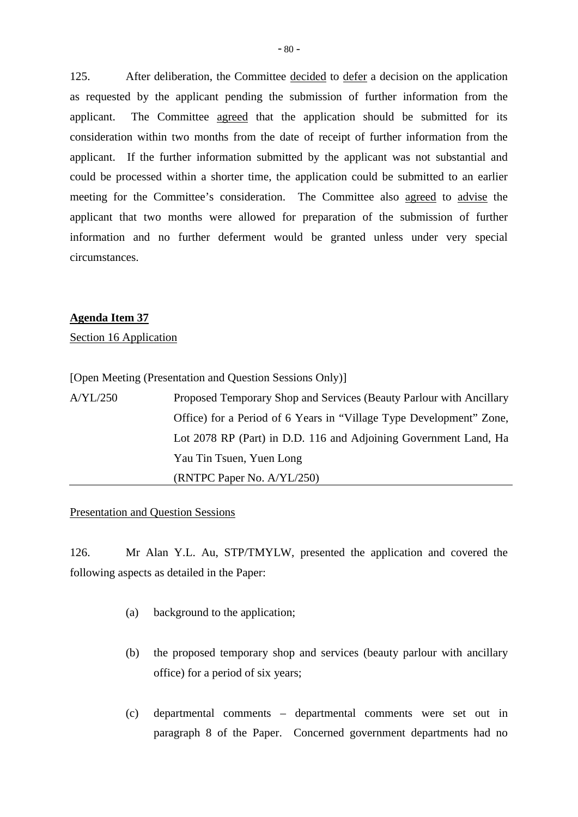125. After deliberation, the Committee decided to defer a decision on the application as requested by the applicant pending the submission of further information from the applicant. The Committee agreed that the application should be submitted for its consideration within two months from the date of receipt of further information from the applicant. If the further information submitted by the applicant was not substantial and could be processed within a shorter time, the application could be submitted to an earlier meeting for the Committee's consideration. The Committee also agreed to advise the applicant that two months were allowed for preparation of the submission of further information and no further deferment would be granted unless under very special circumstances.

### **Agenda Item 37**

Section 16 Application

[Open Meeting (Presentation and Question Sessions Only)]

| A/YL/250 | Proposed Temporary Shop and Services (Beauty Parlour with Ancillary |
|----------|---------------------------------------------------------------------|
|          | Office) for a Period of 6 Years in "Village Type Development" Zone, |
|          | Lot 2078 RP (Part) in D.D. 116 and Adjoining Government Land, Ha    |
|          | Yau Tin Tsuen, Yuen Long                                            |
|          | (RNTPC Paper No. A/YL/250)                                          |

### Presentation and Question Sessions

126. Mr Alan Y.L. Au, STP/TMYLW, presented the application and covered the following aspects as detailed in the Paper:

- (a) background to the application;
- (b) the proposed temporary shop and services (beauty parlour with ancillary office) for a period of six years;
- (c) departmental comments departmental comments were set out in paragraph 8 of the Paper. Concerned government departments had no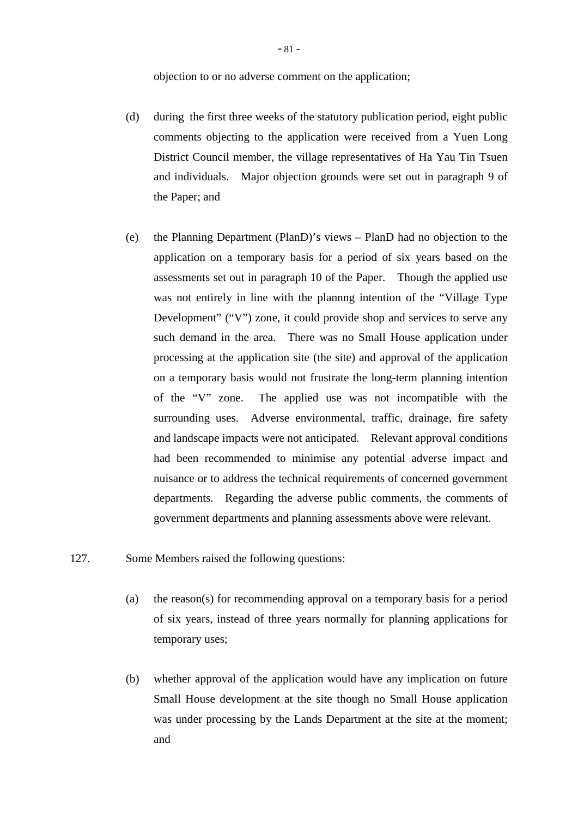objection to or no adverse comment on the application;

- (d) during the first three weeks of the statutory publication period, eight public comments objecting to the application were received from a Yuen Long District Council member, the village representatives of Ha Yau Tin Tsuen and individuals. Major objection grounds were set out in paragraph 9 of the Paper; and
- (e) the Planning Department (PlanD)'s views PlanD had no objection to the application on a temporary basis for a period of six years based on the assessments set out in paragraph 10 of the Paper. Though the applied use was not entirely in line with the plannng intention of the "Village Type Development" ("V") zone, it could provide shop and services to serve any such demand in the area. There was no Small House application under processing at the application site (the site) and approval of the application on a temporary basis would not frustrate the long-term planning intention of the "V" zone. The applied use was not incompatible with the surrounding uses. Adverse environmental, traffic, drainage, fire safety and landscape impacts were not anticipated. Relevant approval conditions had been recommended to minimise any potential adverse impact and nuisance or to address the technical requirements of concerned government departments. Regarding the adverse public comments, the comments of government departments and planning assessments above were relevant.
- 127. Some Members raised the following questions:
	- (a) the reason(s) for recommending approval on a temporary basis for a period of six years, instead of three years normally for planning applications for temporary uses;
	- (b) whether approval of the application would have any implication on future Small House development at the site though no Small House application was under processing by the Lands Department at the site at the moment; and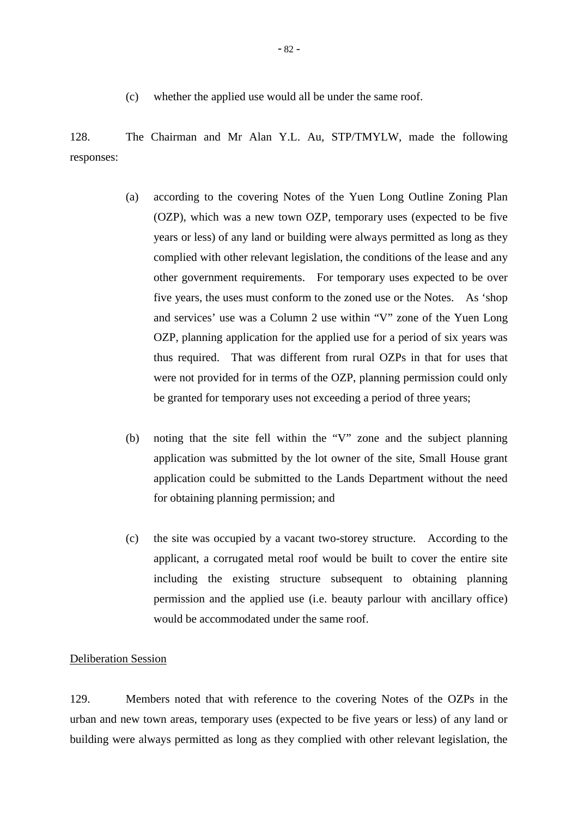(c) whether the applied use would all be under the same roof.

128. The Chairman and Mr Alan Y.L. Au, STP/TMYLW, made the following responses:

- (a) according to the covering Notes of the Yuen Long Outline Zoning Plan (OZP), which was a new town OZP, temporary uses (expected to be five years or less) of any land or building were always permitted as long as they complied with other relevant legislation, the conditions of the lease and any other government requirements. For temporary uses expected to be over five years, the uses must conform to the zoned use or the Notes. As 'shop and services' use was a Column 2 use within "V" zone of the Yuen Long OZP, planning application for the applied use for a period of six years was thus required. That was different from rural OZPs in that for uses that were not provided for in terms of the OZP, planning permission could only be granted for temporary uses not exceeding a period of three years;
- (b) noting that the site fell within the "V" zone and the subject planning application was submitted by the lot owner of the site, Small House grant application could be submitted to the Lands Department without the need for obtaining planning permission; and
- (c) the site was occupied by a vacant two-storey structure. According to the applicant, a corrugated metal roof would be built to cover the entire site including the existing structure subsequent to obtaining planning permission and the applied use (i.e. beauty parlour with ancillary office) would be accommodated under the same roof.

### Deliberation Session

129. Members noted that with reference to the covering Notes of the OZPs in the urban and new town areas, temporary uses (expected to be five years or less) of any land or building were always permitted as long as they complied with other relevant legislation, the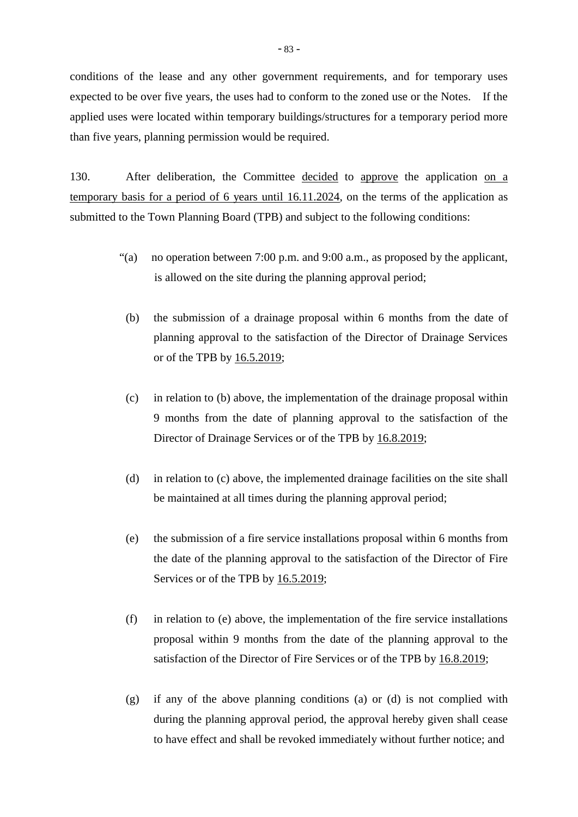conditions of the lease and any other government requirements, and for temporary uses expected to be over five years, the uses had to conform to the zoned use or the Notes. If the applied uses were located within temporary buildings/structures for a temporary period more than five years, planning permission would be required.

130. After deliberation, the Committee decided to approve the application on a temporary basis for a period of 6 years until 16.11.2024, on the terms of the application as submitted to the Town Planning Board (TPB) and subject to the following conditions:

- "(a) no operation between 7:00 p.m. and 9:00 a.m., as proposed by the applicant, is allowed on the site during the planning approval period;
	- (b) the submission of a drainage proposal within 6 months from the date of planning approval to the satisfaction of the Director of Drainage Services or of the TPB by 16.5.2019;
	- (c) in relation to (b) above, the implementation of the drainage proposal within 9 months from the date of planning approval to the satisfaction of the Director of Drainage Services or of the TPB by 16.8.2019;
	- (d) in relation to (c) above, the implemented drainage facilities on the site shall be maintained at all times during the planning approval period;
	- (e) the submission of a fire service installations proposal within 6 months from the date of the planning approval to the satisfaction of the Director of Fire Services or of the TPB by  $16.5.2019$ ;
- (f) in relation to (e) above, the implementation of the fire service installations proposal within 9 months from the date of the planning approval to the satisfaction of the Director of Fire Services or of the TPB by 16.8.2019;
- (g) if any of the above planning conditions (a) or (d) is not complied with during the planning approval period, the approval hereby given shall cease to have effect and shall be revoked immediately without further notice; and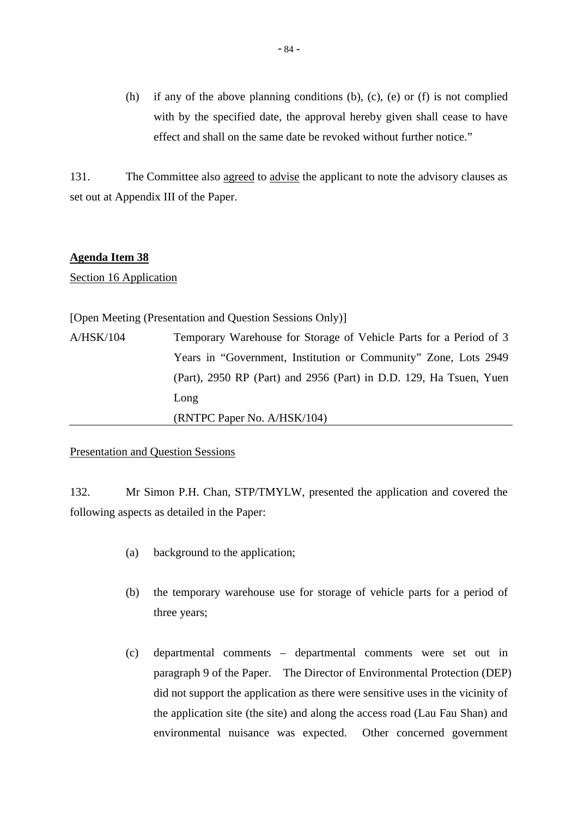(h) if any of the above planning conditions (b), (c), (e) or (f) is not complied with by the specified date, the approval hereby given shall cease to have effect and shall on the same date be revoked without further notice."

131. The Committee also agreed to advise the applicant to note the advisory clauses as set out at Appendix III of the Paper.

## **Agenda Item 38**

Section 16 Application

[Open Meeting (Presentation and Question Sessions Only)] A/HSK/104 Temporary Warehouse for Storage of Vehicle Parts for a Period of 3 Years in "Government, Institution or Community" Zone, Lots 2949 (Part), 2950 RP (Part) and 2956 (Part) in D.D. 129, Ha Tsuen, Yuen Long (RNTPC Paper No. A/HSK/104)

### Presentation and Question Sessions

132. Mr Simon P.H. Chan, STP/TMYLW, presented the application and covered the following aspects as detailed in the Paper:

- (a) background to the application;
- (b) the temporary warehouse use for storage of vehicle parts for a period of three years;
- (c) departmental comments departmental comments were set out in paragraph 9 of the Paper. The Director of Environmental Protection (DEP) did not support the application as there were sensitive uses in the vicinity of the application site (the site) and along the access road (Lau Fau Shan) and environmental nuisance was expected. Other concerned government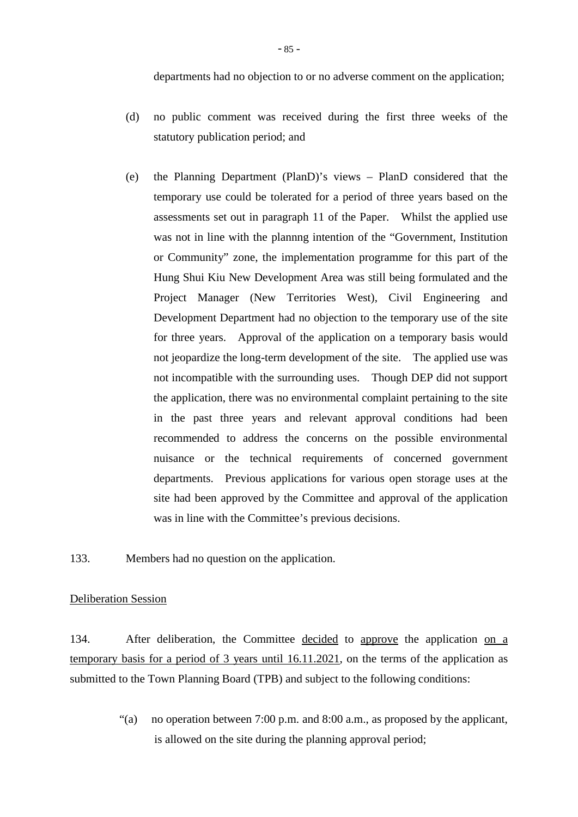- (d) no public comment was received during the first three weeks of the statutory publication period; and
- (e) the Planning Department (PlanD)'s views PlanD considered that the temporary use could be tolerated for a period of three years based on the assessments set out in paragraph 11 of the Paper. Whilst the applied use was not in line with the plannng intention of the "Government, Institution or Community" zone, the implementation programme for this part of the Hung Shui Kiu New Development Area was still being formulated and the Project Manager (New Territories West), Civil Engineering and Development Department had no objection to the temporary use of the site for three years. Approval of the application on a temporary basis would not jeopardize the long-term development of the site. The applied use was not incompatible with the surrounding uses. Though DEP did not support the application, there was no environmental complaint pertaining to the site in the past three years and relevant approval conditions had been recommended to address the concerns on the possible environmental nuisance or the technical requirements of concerned government departments. Previous applications for various open storage uses at the site had been approved by the Committee and approval of the application was in line with the Committee's previous decisions.

133. Members had no question on the application.

### Deliberation Session

134. After deliberation, the Committee decided to approve the application on a temporary basis for a period of 3 years until 16.11.2021, on the terms of the application as submitted to the Town Planning Board (TPB) and subject to the following conditions:

> "(a) no operation between 7:00 p.m. and 8:00 a.m., as proposed by the applicant, is allowed on the site during the planning approval period;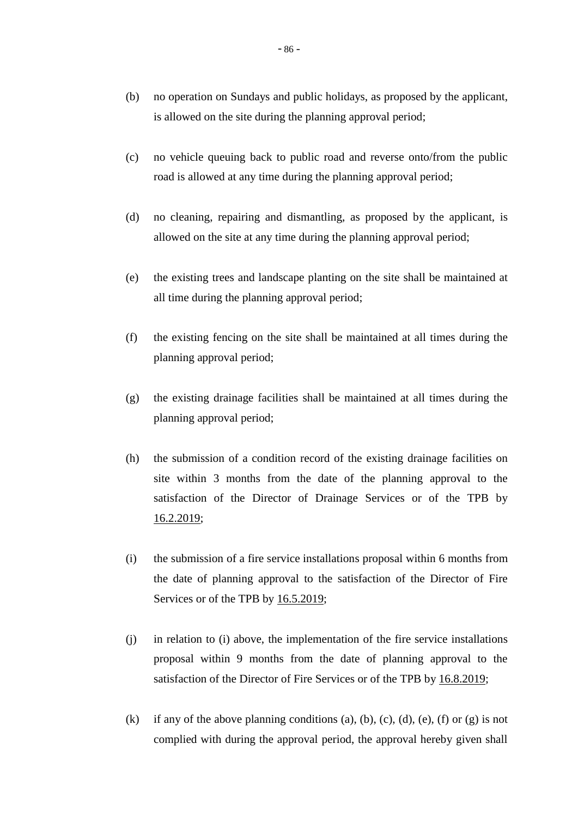- (b) no operation on Sundays and public holidays, as proposed by the applicant, is allowed on the site during the planning approval period;
- (c) no vehicle queuing back to public road and reverse onto/from the public road is allowed at any time during the planning approval period;
- (d) no cleaning, repairing and dismantling, as proposed by the applicant, is allowed on the site at any time during the planning approval period;
- (e) the existing trees and landscape planting on the site shall be maintained at all time during the planning approval period;
- (f) the existing fencing on the site shall be maintained at all times during the planning approval period;
- (g) the existing drainage facilities shall be maintained at all times during the planning approval period;
- (h) the submission of a condition record of the existing drainage facilities on site within 3 months from the date of the planning approval to the satisfaction of the Director of Drainage Services or of the TPB by 16.2.2019;
- (i) the submission of a fire service installations proposal within 6 months from the date of planning approval to the satisfaction of the Director of Fire Services or of the TPB by  $16.5.2019$ ;
- (j) in relation to (i) above, the implementation of the fire service installations proposal within 9 months from the date of planning approval to the satisfaction of the Director of Fire Services or of the TPB by 16.8.2019;
- (k) if any of the above planning conditions (a), (b), (c), (d), (e), (f) or (g) is not complied with during the approval period, the approval hereby given shall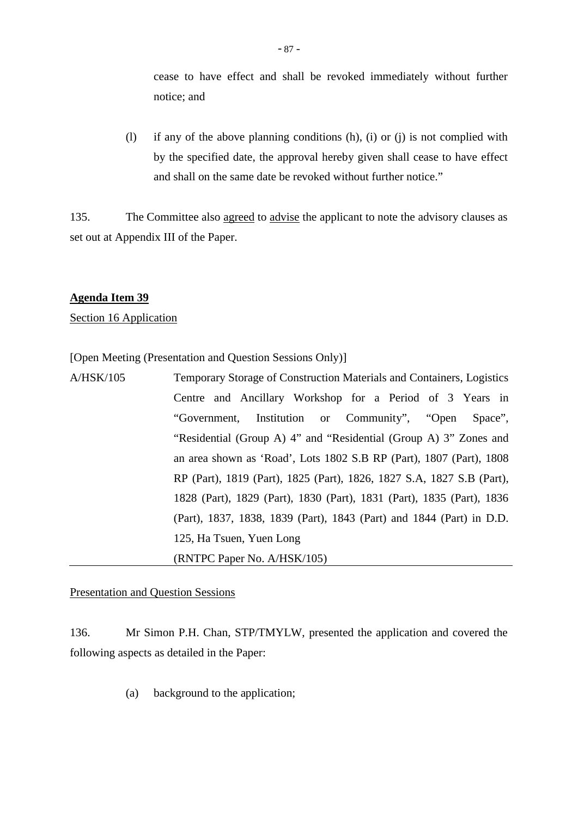cease to have effect and shall be revoked immediately without further notice; and

(l) if any of the above planning conditions (h), (i) or (j) is not complied with by the specified date, the approval hereby given shall cease to have effect and shall on the same date be revoked without further notice."

135. The Committee also agreed to advise the applicant to note the advisory clauses as set out at Appendix III of the Paper.

## **Agenda Item 39**

Section 16 Application

[Open Meeting (Presentation and Question Sessions Only)]

A/HSK/105 Temporary Storage of Construction Materials and Containers, Logistics Centre and Ancillary Workshop for a Period of 3 Years in "Government, Institution or Community", "Open Space", "Residential (Group A) 4" and "Residential (Group A) 3" Zones and an area shown as 'Road', Lots 1802 S.B RP (Part), 1807 (Part), 1808 RP (Part), 1819 (Part), 1825 (Part), 1826, 1827 S.A, 1827 S.B (Part), 1828 (Part), 1829 (Part), 1830 (Part), 1831 (Part), 1835 (Part), 1836 (Part), 1837, 1838, 1839 (Part), 1843 (Part) and 1844 (Part) in D.D. 125, Ha Tsuen, Yuen Long (RNTPC Paper No. A/HSK/105)

Presentation and Question Sessions

136. Mr Simon P.H. Chan, STP/TMYLW, presented the application and covered the following aspects as detailed in the Paper:

(a) background to the application;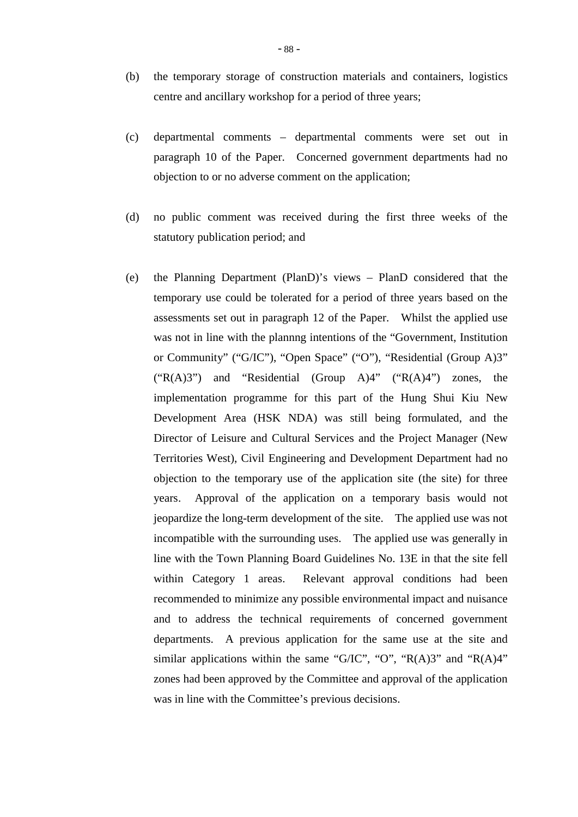- (b) the temporary storage of construction materials and containers, logistics centre and ancillary workshop for a period of three years;
- (c) departmental comments departmental comments were set out in paragraph 10 of the Paper. Concerned government departments had no objection to or no adverse comment on the application;
- (d) no public comment was received during the first three weeks of the statutory publication period; and
- (e) the Planning Department (PlanD)'s views PlanD considered that the temporary use could be tolerated for a period of three years based on the assessments set out in paragraph 12 of the Paper. Whilst the applied use was not in line with the plannng intentions of the "Government, Institution or Community" ("G/IC"), "Open Space" ("O"), "Residential (Group A)3"  $("R(A)3")$  and "Residential (Group A)4"  $("R(A)4")$  zones, the implementation programme for this part of the Hung Shui Kiu New Development Area (HSK NDA) was still being formulated, and the Director of Leisure and Cultural Services and the Project Manager (New Territories West), Civil Engineering and Development Department had no objection to the temporary use of the application site (the site) for three years. Approval of the application on a temporary basis would not jeopardize the long-term development of the site. The applied use was not incompatible with the surrounding uses. The applied use was generally in line with the Town Planning Board Guidelines No. 13E in that the site fell within Category 1 areas. Relevant approval conditions had been recommended to minimize any possible environmental impact and nuisance and to address the technical requirements of concerned government departments. A previous application for the same use at the site and similar applications within the same "G/IC", "O", "R(A)3" and "R(A)4" zones had been approved by the Committee and approval of the application was in line with the Committee's previous decisions.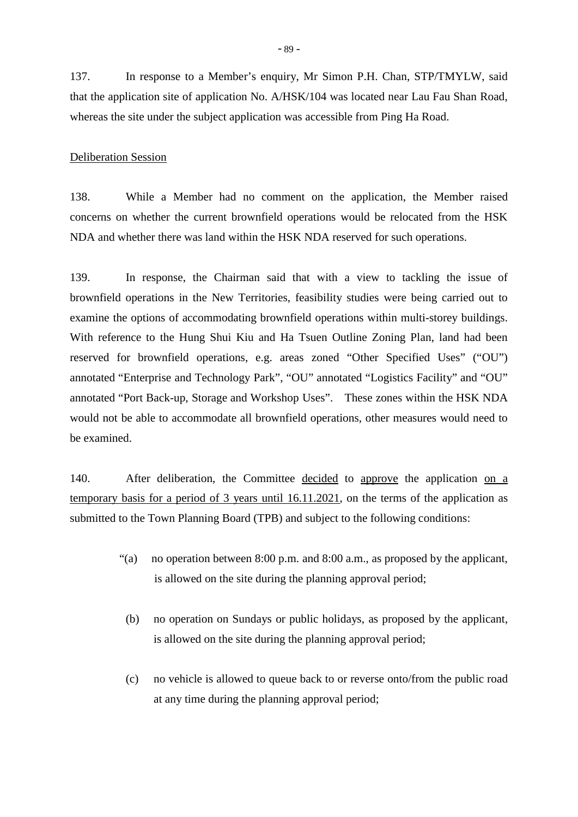137. In response to a Member's enquiry, Mr Simon P.H. Chan, STP/TMYLW, said that the application site of application No. A/HSK/104 was located near Lau Fau Shan Road, whereas the site under the subject application was accessible from Ping Ha Road.

#### Deliberation Session

138. While a Member had no comment on the application, the Member raised concerns on whether the current brownfield operations would be relocated from the HSK NDA and whether there was land within the HSK NDA reserved for such operations.

139. In response, the Chairman said that with a view to tackling the issue of brownfield operations in the New Territories, feasibility studies were being carried out to examine the options of accommodating brownfield operations within multi-storey buildings. With reference to the Hung Shui Kiu and Ha Tsuen Outline Zoning Plan, land had been reserved for brownfield operations, e.g. areas zoned "Other Specified Uses" ("OU") annotated "Enterprise and Technology Park", "OU" annotated "Logistics Facility" and "OU" annotated "Port Back-up, Storage and Workshop Uses". These zones within the HSK NDA would not be able to accommodate all brownfield operations, other measures would need to be examined.

140. After deliberation, the Committee decided to approve the application on a temporary basis for a period of 3 years until 16.11.2021, on the terms of the application as submitted to the Town Planning Board (TPB) and subject to the following conditions:

- "(a) no operation between 8:00 p.m. and 8:00 a.m., as proposed by the applicant, is allowed on the site during the planning approval period;
	- (b) no operation on Sundays or public holidays, as proposed by the applicant, is allowed on the site during the planning approval period;
	- (c) no vehicle is allowed to queue back to or reverse onto/from the public road at any time during the planning approval period;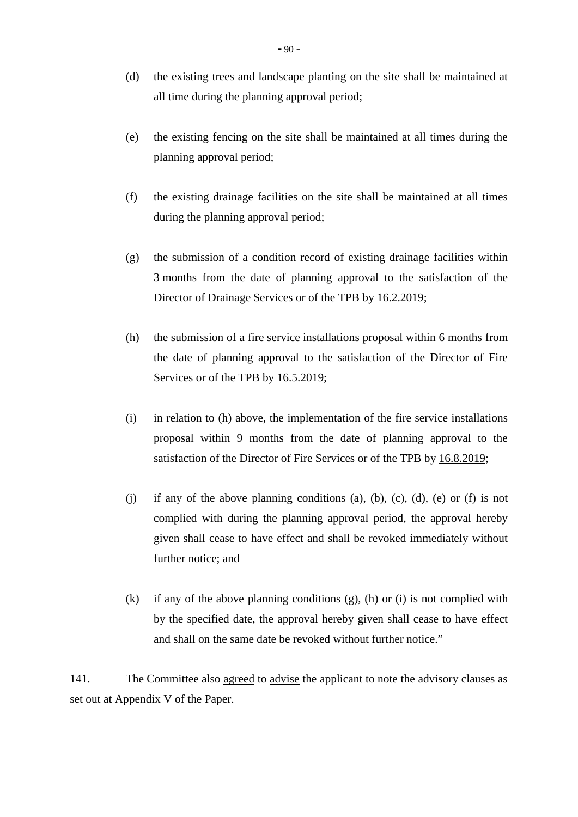- (d) the existing trees and landscape planting on the site shall be maintained at all time during the planning approval period;
- (e) the existing fencing on the site shall be maintained at all times during the planning approval period;
- (f) the existing drainage facilities on the site shall be maintained at all times during the planning approval period;
- (g) the submission of a condition record of existing drainage facilities within 3 months from the date of planning approval to the satisfaction of the Director of Drainage Services or of the TPB by 16.2.2019;
- (h) the submission of a fire service installations proposal within 6 months from the date of planning approval to the satisfaction of the Director of Fire Services or of the TPB by 16.5.2019;
- (i) in relation to (h) above, the implementation of the fire service installations proposal within 9 months from the date of planning approval to the satisfaction of the Director of Fire Services or of the TPB by 16.8.2019;
- (i) if any of the above planning conditions (a), (b), (c), (d), (e) or (f) is not complied with during the planning approval period, the approval hereby given shall cease to have effect and shall be revoked immediately without further notice; and
- (k) if any of the above planning conditions (g), (h) or (i) is not complied with by the specified date, the approval hereby given shall cease to have effect and shall on the same date be revoked without further notice."

141. The Committee also agreed to advise the applicant to note the advisory clauses as set out at Appendix V of the Paper.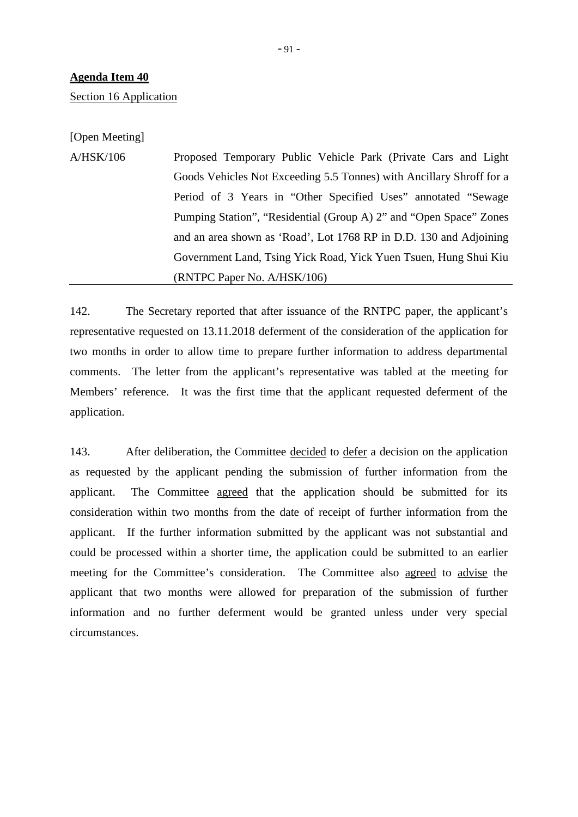Section 16 Application

[Open Meeting]

A/HSK/106 Proposed Temporary Public Vehicle Park (Private Cars and Light Goods Vehicles Not Exceeding 5.5 Tonnes) with Ancillary Shroff for a Period of 3 Years in "Other Specified Uses" annotated "Sewage Pumping Station", "Residential (Group A) 2" and "Open Space" Zones and an area shown as 'Road', Lot 1768 RP in D.D. 130 and Adjoining Government Land, Tsing Yick Road, Yick Yuen Tsuen, Hung Shui Kiu (RNTPC Paper No. A/HSK/106)

142. The Secretary reported that after issuance of the RNTPC paper, the applicant's representative requested on 13.11.2018 deferment of the consideration of the application for two months in order to allow time to prepare further information to address departmental comments. The letter from the applicant's representative was tabled at the meeting for Members' reference. It was the first time that the applicant requested deferment of the application.

143. After deliberation, the Committee decided to defer a decision on the application as requested by the applicant pending the submission of further information from the applicant. The Committee agreed that the application should be submitted for its consideration within two months from the date of receipt of further information from the applicant. If the further information submitted by the applicant was not substantial and could be processed within a shorter time, the application could be submitted to an earlier meeting for the Committee's consideration. The Committee also agreed to advise the applicant that two months were allowed for preparation of the submission of further information and no further deferment would be granted unless under very special circumstances.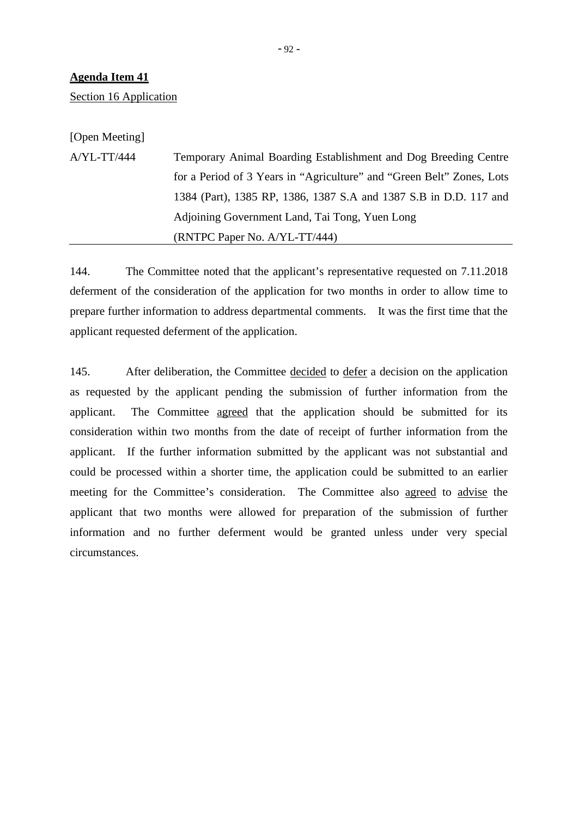Section 16 Application

[Open Meeting]

A/YL-TT/444 Temporary Animal Boarding Establishment and Dog Breeding Centre for a Period of 3 Years in "Agriculture" and "Green Belt" Zones, Lots 1384 (Part), 1385 RP, 1386, 1387 S.A and 1387 S.B in D.D. 117 and Adjoining Government Land, Tai Tong, Yuen Long (RNTPC Paper No. A/YL-TT/444)

144. The Committee noted that the applicant's representative requested on 7.11.2018 deferment of the consideration of the application for two months in order to allow time to prepare further information to address departmental comments. It was the first time that the applicant requested deferment of the application.

145. After deliberation, the Committee decided to defer a decision on the application as requested by the applicant pending the submission of further information from the applicant. The Committee agreed that the application should be submitted for its consideration within two months from the date of receipt of further information from the applicant. If the further information submitted by the applicant was not substantial and could be processed within a shorter time, the application could be submitted to an earlier meeting for the Committee's consideration. The Committee also agreed to advise the applicant that two months were allowed for preparation of the submission of further information and no further deferment would be granted unless under very special circumstances.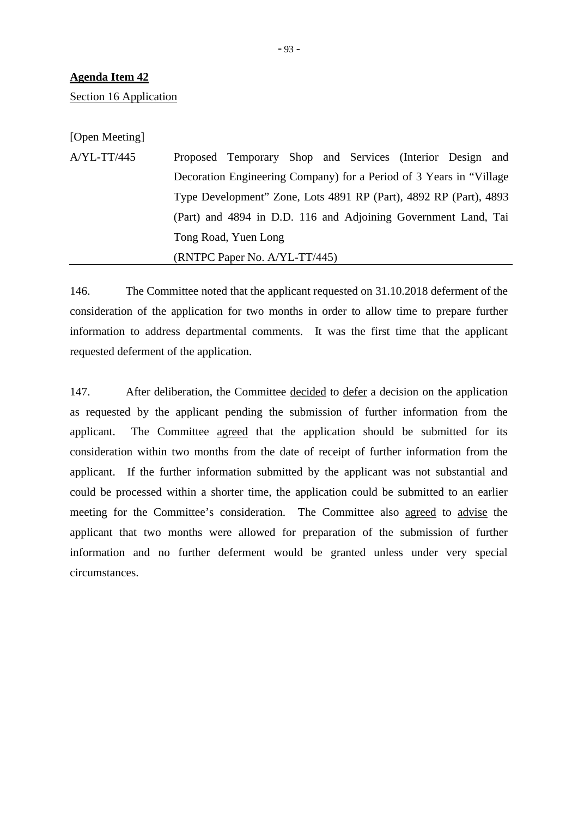Section 16 Application

[Open Meeting]

A/YL-TT/445 Proposed Temporary Shop and Services (Interior Design and Decoration Engineering Company) for a Period of 3 Years in "Village Type Development" Zone, Lots 4891 RP (Part), 4892 RP (Part), 4893 (Part) and 4894 in D.D. 116 and Adjoining Government Land, Tai Tong Road, Yuen Long (RNTPC Paper No. A/YL-TT/445)

146. The Committee noted that the applicant requested on 31.10.2018 deferment of the consideration of the application for two months in order to allow time to prepare further information to address departmental comments. It was the first time that the applicant requested deferment of the application.

147. After deliberation, the Committee decided to defer a decision on the application as requested by the applicant pending the submission of further information from the applicant. The Committee agreed that the application should be submitted for its consideration within two months from the date of receipt of further information from the applicant. If the further information submitted by the applicant was not substantial and could be processed within a shorter time, the application could be submitted to an earlier meeting for the Committee's consideration. The Committee also agreed to advise the applicant that two months were allowed for preparation of the submission of further information and no further deferment would be granted unless under very special circumstances.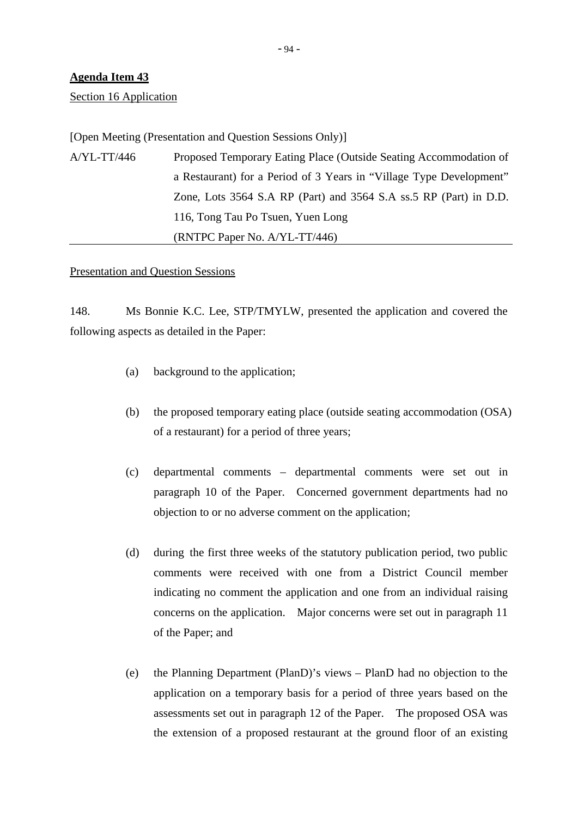Section 16 Application

[Open Meeting (Presentation and Question Sessions Only)]

A/YL-TT/446 Proposed Temporary Eating Place (Outside Seating Accommodation of a Restaurant) for a Period of 3 Years in "Village Type Development" Zone, Lots 3564 S.A RP (Part) and 3564 S.A ss.5 RP (Part) in D.D. 116, Tong Tau Po Tsuen, Yuen Long (RNTPC Paper No. A/YL-TT/446)

### Presentation and Question Sessions

148. Ms Bonnie K.C. Lee, STP/TMYLW, presented the application and covered the following aspects as detailed in the Paper:

- (a) background to the application;
- (b) the proposed temporary eating place (outside seating accommodation (OSA) of a restaurant) for a period of three years;
- (c) departmental comments departmental comments were set out in paragraph 10 of the Paper. Concerned government departments had no objection to or no adverse comment on the application;
- (d) during the first three weeks of the statutory publication period, two public comments were received with one from a District Council member indicating no comment the application and one from an individual raising concerns on the application. Major concerns were set out in paragraph 11 of the Paper; and
- (e) the Planning Department (PlanD)'s views PlanD had no objection to the application on a temporary basis for a period of three years based on the assessments set out in paragraph 12 of the Paper. The proposed OSA was the extension of a proposed restaurant at the ground floor of an existing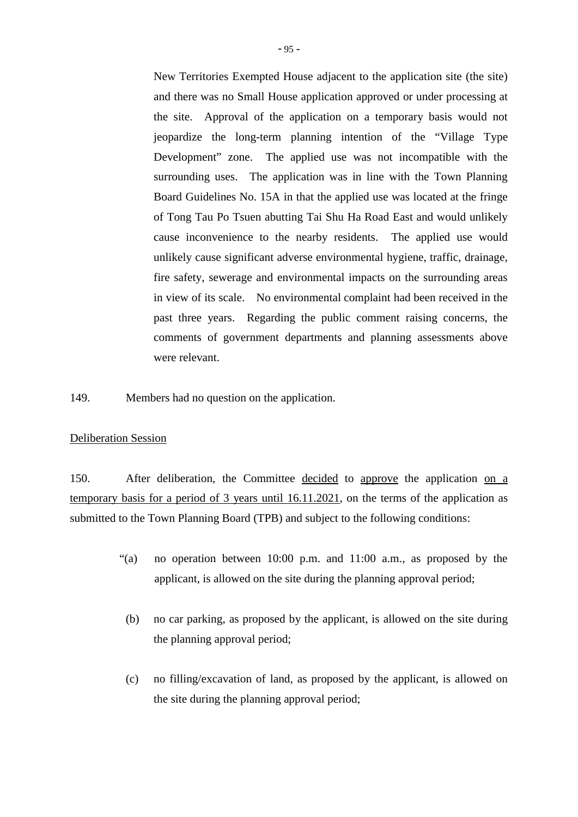New Territories Exempted House adjacent to the application site (the site) and there was no Small House application approved or under processing at the site. Approval of the application on a temporary basis would not jeopardize the long-term planning intention of the "Village Type Development" zone. The applied use was not incompatible with the surrounding uses. The application was in line with the Town Planning Board Guidelines No. 15A in that the applied use was located at the fringe of Tong Tau Po Tsuen abutting Tai Shu Ha Road East and would unlikely cause inconvenience to the nearby residents. The applied use would unlikely cause significant adverse environmental hygiene, traffic, drainage, fire safety, sewerage and environmental impacts on the surrounding areas in view of its scale. No environmental complaint had been received in the past three years. Regarding the public comment raising concerns, the comments of government departments and planning assessments above were relevant.

149. Members had no question on the application.

### Deliberation Session

150. After deliberation, the Committee decided to approve the application on a temporary basis for a period of 3 years until 16.11.2021, on the terms of the application as submitted to the Town Planning Board (TPB) and subject to the following conditions:

- "(a) no operation between 10:00 p.m. and 11:00 a.m., as proposed by the applicant, is allowed on the site during the planning approval period;
- (b) no car parking, as proposed by the applicant, is allowed on the site during the planning approval period;
- (c) no filling/excavation of land, as proposed by the applicant, is allowed on the site during the planning approval period;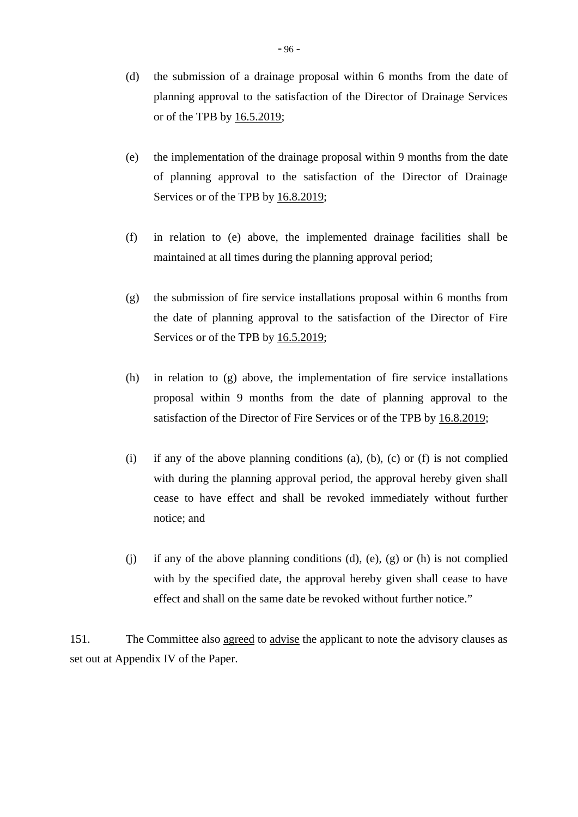- (d) the submission of a drainage proposal within 6 months from the date of planning approval to the satisfaction of the Director of Drainage Services or of the TPB by 16.5.2019;
- (e) the implementation of the drainage proposal within 9 months from the date of planning approval to the satisfaction of the Director of Drainage Services or of the TPB by 16.8.2019;
- (f) in relation to (e) above, the implemented drainage facilities shall be maintained at all times during the planning approval period;
- (g) the submission of fire service installations proposal within 6 months from the date of planning approval to the satisfaction of the Director of Fire Services or of the TPB by 16.5.2019;
- (h) in relation to (g) above, the implementation of fire service installations proposal within 9 months from the date of planning approval to the satisfaction of the Director of Fire Services or of the TPB by  $16.8.2019$ ;
- (i) if any of the above planning conditions (a), (b), (c) or (f) is not complied with during the planning approval period, the approval hereby given shall cease to have effect and shall be revoked immediately without further notice; and
- (i) if any of the above planning conditions  $(d)$ ,  $(e)$ ,  $(g)$  or  $(h)$  is not complied with by the specified date, the approval hereby given shall cease to have effect and shall on the same date be revoked without further notice."

151. The Committee also agreed to advise the applicant to note the advisory clauses as set out at Appendix IV of the Paper.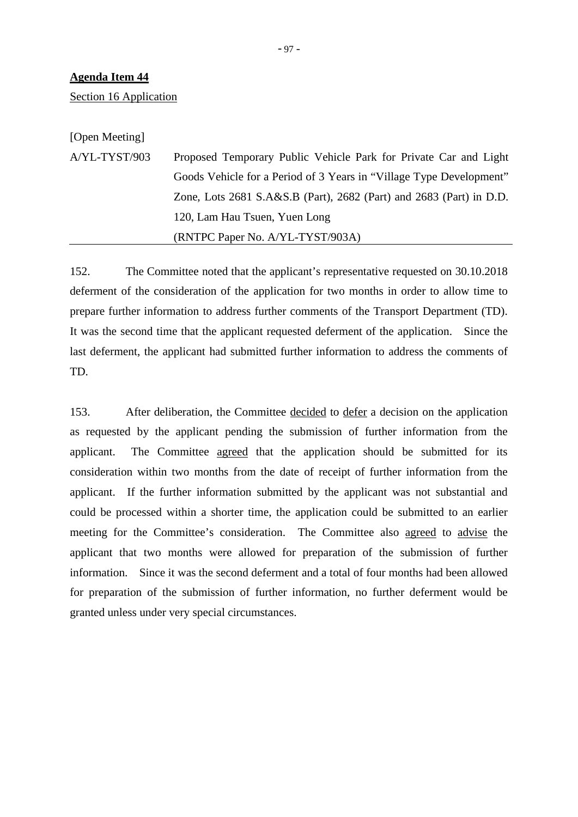Section 16 Application

[Open Meeting]

A/YL-TYST/903 Proposed Temporary Public Vehicle Park for Private Car and Light Goods Vehicle for a Period of 3 Years in "Village Type Development" Zone, Lots 2681 S.A&S.B (Part), 2682 (Part) and 2683 (Part) in D.D. 120, Lam Hau Tsuen, Yuen Long (RNTPC Paper No. A/YL-TYST/903A)

152. The Committee noted that the applicant's representative requested on 30.10.2018 deferment of the consideration of the application for two months in order to allow time to prepare further information to address further comments of the Transport Department (TD). It was the second time that the applicant requested deferment of the application. Since the last deferment, the applicant had submitted further information to address the comments of TD.

153. After deliberation, the Committee decided to defer a decision on the application as requested by the applicant pending the submission of further information from the applicant. The Committee agreed that the application should be submitted for its consideration within two months from the date of receipt of further information from the applicant. If the further information submitted by the applicant was not substantial and could be processed within a shorter time, the application could be submitted to an earlier meeting for the Committee's consideration. The Committee also agreed to advise the applicant that two months were allowed for preparation of the submission of further information. Since it was the second deferment and a total of four months had been allowed for preparation of the submission of further information, no further deferment would be granted unless under very special circumstances.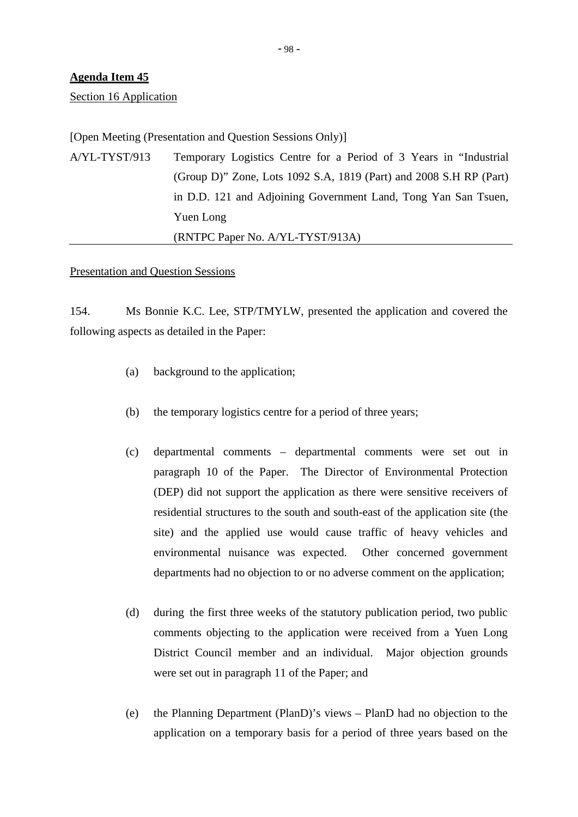Section 16 Application

[Open Meeting (Presentation and Question Sessions Only)]

A/YL-TYST/913 Temporary Logistics Centre for a Period of 3 Years in "Industrial (Group D)" Zone, Lots 1092 S.A, 1819 (Part) and 2008 S.H RP (Part) in D.D. 121 and Adjoining Government Land, Tong Yan San Tsuen, Yuen Long (RNTPC Paper No. A/YL-TYST/913A)

## Presentation and Question Sessions

154. Ms Bonnie K.C. Lee, STP/TMYLW, presented the application and covered the following aspects as detailed in the Paper:

- (a) background to the application;
- (b) the temporary logistics centre for a period of three years;
- (c) departmental comments departmental comments were set out in paragraph 10 of the Paper. The Director of Environmental Protection (DEP) did not support the application as there were sensitive receivers of residential structures to the south and south-east of the application site (the site) and the applied use would cause traffic of heavy vehicles and environmental nuisance was expected. Other concerned government departments had no objection to or no adverse comment on the application;
- (d) during the first three weeks of the statutory publication period, two public comments objecting to the application were received from a Yuen Long District Council member and an individual. Major objection grounds were set out in paragraph 11 of the Paper; and
- (e) the Planning Department (PlanD)'s views PlanD had no objection to the application on a temporary basis for a period of three years based on the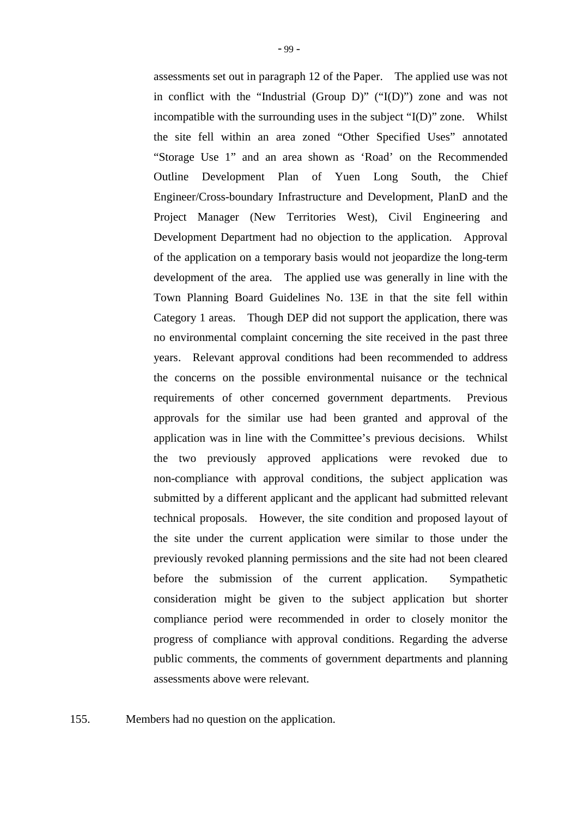assessments set out in paragraph 12 of the Paper. The applied use was not in conflict with the "Industrial (Group D)" ("I(D)") zone and was not incompatible with the surrounding uses in the subject "I(D)" zone. Whilst the site fell within an area zoned "Other Specified Uses" annotated "Storage Use 1" and an area shown as 'Road' on the Recommended Outline Development Plan of Yuen Long South, the Chief Engineer/Cross-boundary Infrastructure and Development, PlanD and the Project Manager (New Territories West), Civil Engineering and Development Department had no objection to the application. Approval of the application on a temporary basis would not jeopardize the long-term development of the area. The applied use was generally in line with the Town Planning Board Guidelines No. 13E in that the site fell within Category 1 areas. Though DEP did not support the application, there was no environmental complaint concerning the site received in the past three years. Relevant approval conditions had been recommended to address the concerns on the possible environmental nuisance or the technical requirements of other concerned government departments. Previous approvals for the similar use had been granted and approval of the application was in line with the Committee's previous decisions. Whilst the two previously approved applications were revoked due to non-compliance with approval conditions, the subject application was submitted by a different applicant and the applicant had submitted relevant technical proposals. However, the site condition and proposed layout of the site under the current application were similar to those under the previously revoked planning permissions and the site had not been cleared before the submission of the current application. Sympathetic consideration might be given to the subject application but shorter compliance period were recommended in order to closely monitor the progress of compliance with approval conditions. Regarding the adverse public comments, the comments of government departments and planning assessments above were relevant.

155. Members had no question on the application.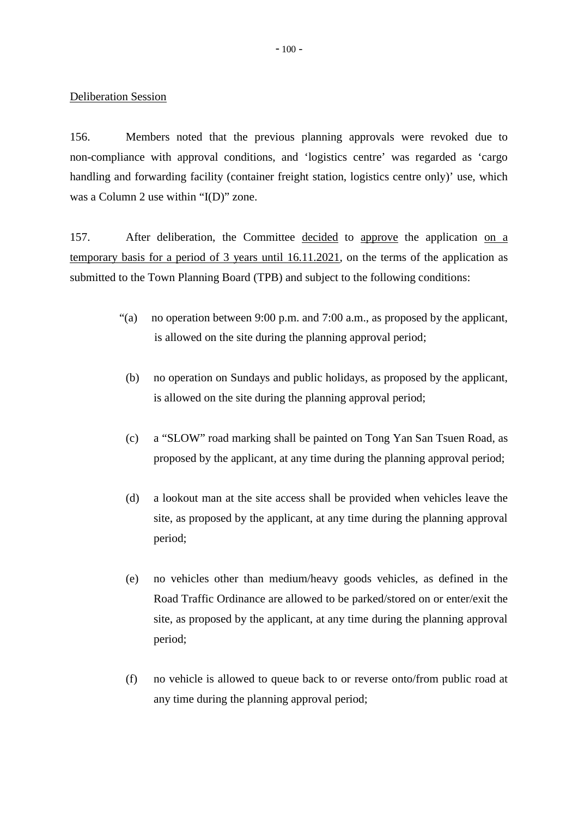## Deliberation Session

156. Members noted that the previous planning approvals were revoked due to non-compliance with approval conditions, and 'logistics centre' was regarded as 'cargo handling and forwarding facility (container freight station, logistics centre only)' use, which was a Column 2 use within "I(D)" zone.

157. After deliberation, the Committee decided to approve the application on a temporary basis for a period of 3 years until 16.11.2021, on the terms of the application as submitted to the Town Planning Board (TPB) and subject to the following conditions:

- "(a) no operation between 9:00 p.m. and 7:00 a.m., as proposed by the applicant, is allowed on the site during the planning approval period;
- (b) no operation on Sundays and public holidays, as proposed by the applicant, is allowed on the site during the planning approval period;
- (c) a "SLOW" road marking shall be painted on Tong Yan San Tsuen Road, as proposed by the applicant, at any time during the planning approval period;
- (d) a lookout man at the site access shall be provided when vehicles leave the site, as proposed by the applicant, at any time during the planning approval period;
- (e) no vehicles other than medium/heavy goods vehicles, as defined in the Road Traffic Ordinance are allowed to be parked/stored on or enter/exit the site, as proposed by the applicant, at any time during the planning approval period;
- (f) no vehicle is allowed to queue back to or reverse onto/from public road at any time during the planning approval period;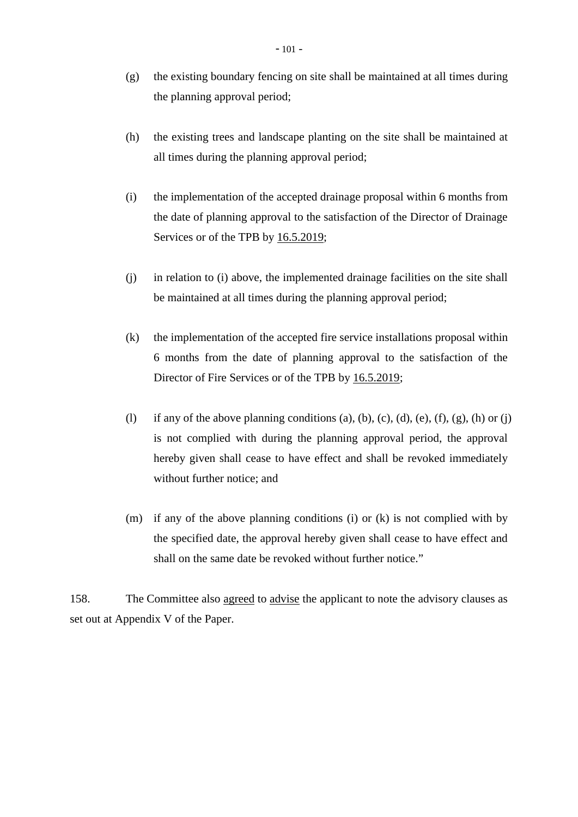- (g) the existing boundary fencing on site shall be maintained at all times during the planning approval period;
- (h) the existing trees and landscape planting on the site shall be maintained at all times during the planning approval period;
- (i) the implementation of the accepted drainage proposal within 6 months from the date of planning approval to the satisfaction of the Director of Drainage Services or of the TPB by 16.5.2019;
- (j) in relation to (i) above, the implemented drainage facilities on the site shall be maintained at all times during the planning approval period;
- (k) the implementation of the accepted fire service installations proposal within 6 months from the date of planning approval to the satisfaction of the Director of Fire Services or of the TPB by 16.5.2019;
- (l) if any of the above planning conditions (a), (b), (c), (d), (e), (f), (g), (h) or (j) is not complied with during the planning approval period, the approval hereby given shall cease to have effect and shall be revoked immediately without further notice; and
- (m) if any of the above planning conditions (i) or (k) is not complied with by the specified date, the approval hereby given shall cease to have effect and shall on the same date be revoked without further notice."

158. The Committee also agreed to advise the applicant to note the advisory clauses as set out at Appendix V of the Paper.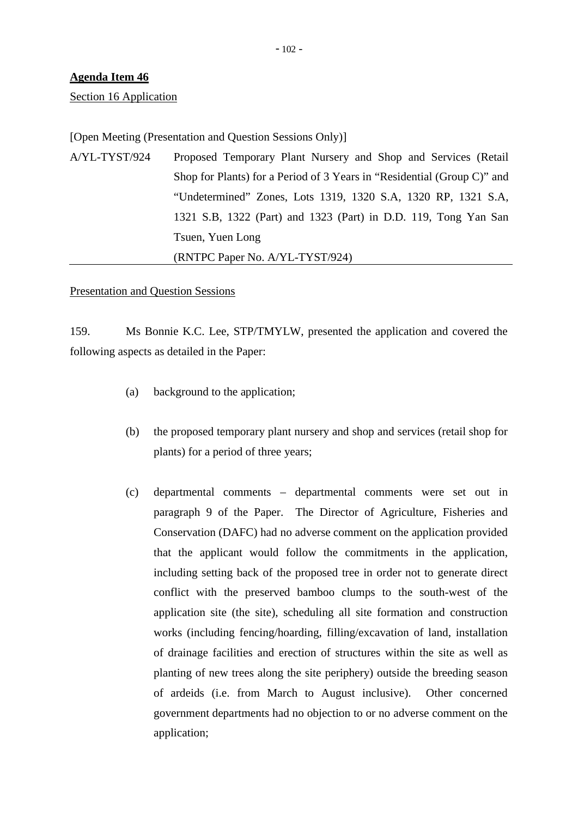Section 16 Application

## [Open Meeting (Presentation and Question Sessions Only)]

A/YL-TYST/924 Proposed Temporary Plant Nursery and Shop and Services (Retail Shop for Plants) for a Period of 3 Years in "Residential (Group C)" and "Undetermined" Zones, Lots 1319, 1320 S.A, 1320 RP, 1321 S.A, 1321 S.B, 1322 (Part) and 1323 (Part) in D.D. 119, Tong Yan San Tsuen, Yuen Long (RNTPC Paper No. A/YL-TYST/924)

## Presentation and Question Sessions

159. Ms Bonnie K.C. Lee, STP/TMYLW, presented the application and covered the following aspects as detailed in the Paper:

- (a) background to the application;
- (b) the proposed temporary plant nursery and shop and services (retail shop for plants) for a period of three years;
- (c) departmental comments departmental comments were set out in paragraph 9 of the Paper. The Director of Agriculture, Fisheries and Conservation (DAFC) had no adverse comment on the application provided that the applicant would follow the commitments in the application, including setting back of the proposed tree in order not to generate direct conflict with the preserved bamboo clumps to the south-west of the application site (the site), scheduling all site formation and construction works (including fencing/hoarding, filling/excavation of land, installation of drainage facilities and erection of structures within the site as well as planting of new trees along the site periphery) outside the breeding season of ardeids (i.e. from March to August inclusive). Other concerned government departments had no objection to or no adverse comment on the application;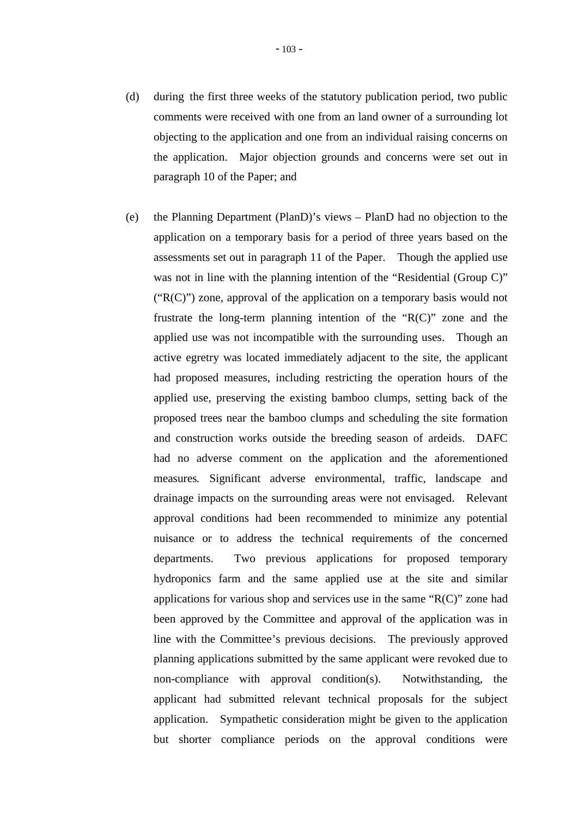- (d) during the first three weeks of the statutory publication period, two public comments were received with one from an land owner of a surrounding lot objecting to the application and one from an individual raising concerns on the application. Major objection grounds and concerns were set out in paragraph 10 of the Paper; and
- (e) the Planning Department (PlanD)'s views PlanD had no objection to the application on a temporary basis for a period of three years based on the assessments set out in paragraph 11 of the Paper. Though the applied use was not in line with the planning intention of the "Residential (Group C)"  $("R(C)")$  zone, approval of the application on a temporary basis would not frustrate the long-term planning intention of the "R(C)" zone and the applied use was not incompatible with the surrounding uses. Though an active egretry was located immediately adjacent to the site, the applicant had proposed measures, including restricting the operation hours of the applied use, preserving the existing bamboo clumps, setting back of the proposed trees near the bamboo clumps and scheduling the site formation and construction works outside the breeding season of ardeids. DAFC had no adverse comment on the application and the aforementioned measures*.* Significant adverse environmental, traffic, landscape and drainage impacts on the surrounding areas were not envisaged. Relevant approval conditions had been recommended to minimize any potential nuisance or to address the technical requirements of the concerned departments. Two previous applications for proposed temporary hydroponics farm and the same applied use at the site and similar applications for various shop and services use in the same " $R(C)$ " zone had been approved by the Committee and approval of the application was in line with the Committee's previous decisions. The previously approved planning applications submitted by the same applicant were revoked due to non-compliance with approval condition(s). Notwithstanding, the applicant had submitted relevant technical proposals for the subject application. Sympathetic consideration might be given to the application but shorter compliance periods on the approval conditions were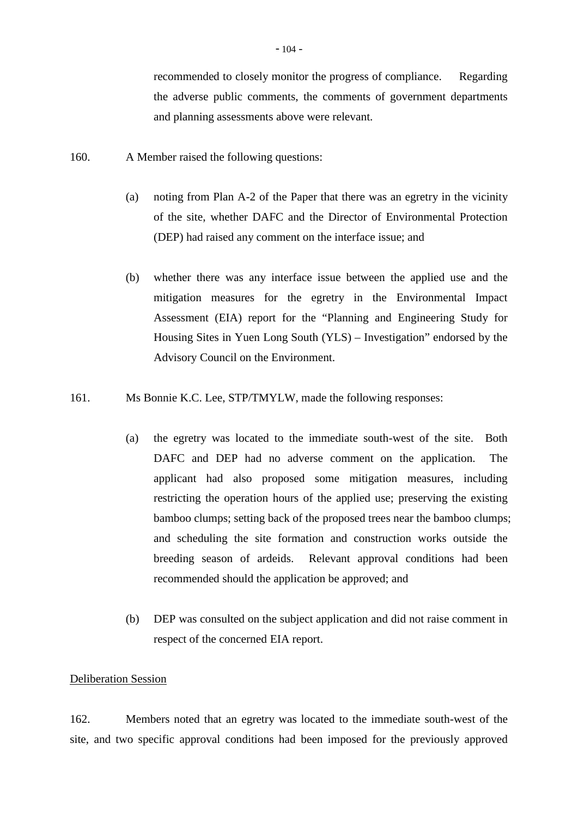recommended to closely monitor the progress of compliance. Regarding the adverse public comments, the comments of government departments and planning assessments above were relevant.

- 160. A Member raised the following questions:
	- (a) noting from Plan A-2 of the Paper that there was an egretry in the vicinity of the site, whether DAFC and the Director of Environmental Protection (DEP) had raised any comment on the interface issue; and
	- (b) whether there was any interface issue between the applied use and the mitigation measures for the egretry in the Environmental Impact Assessment (EIA) report for the "Planning and Engineering Study for Housing Sites in Yuen Long South (YLS) – Investigation" endorsed by the Advisory Council on the Environment.
- 161. Ms Bonnie K.C. Lee, STP/TMYLW, made the following responses:
	- (a) the egretry was located to the immediate south-west of the site. Both DAFC and DEP had no adverse comment on the application. The applicant had also proposed some mitigation measures, including restricting the operation hours of the applied use; preserving the existing bamboo clumps; setting back of the proposed trees near the bamboo clumps; and scheduling the site formation and construction works outside the breeding season of ardeids. Relevant approval conditions had been recommended should the application be approved; and
	- (b) DEP was consulted on the subject application and did not raise comment in respect of the concerned EIA report.

## Deliberation Session

162. Members noted that an egretry was located to the immediate south-west of the site, and two specific approval conditions had been imposed for the previously approved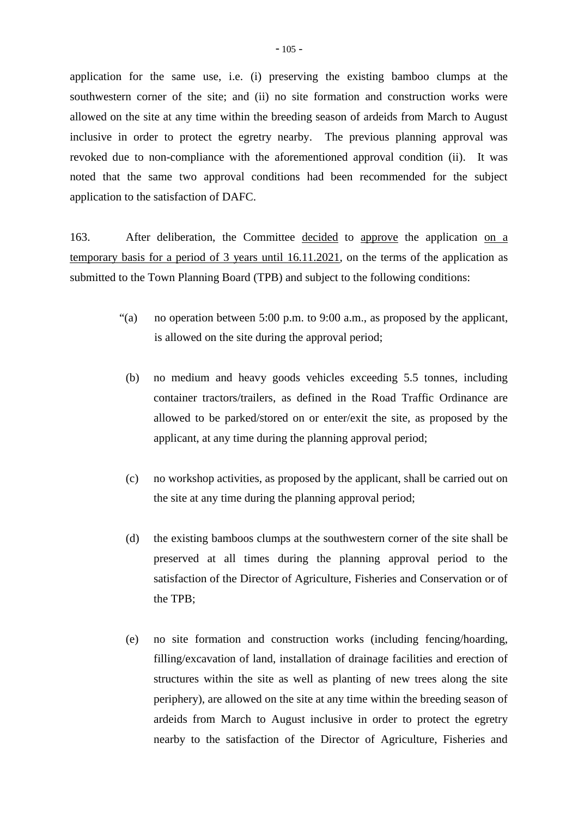application for the same use, i.e. (i) preserving the existing bamboo clumps at the southwestern corner of the site; and (ii) no site formation and construction works were allowed on the site at any time within the breeding season of ardeids from March to August inclusive in order to protect the egretry nearby. The previous planning approval was revoked due to non-compliance with the aforementioned approval condition (ii). It was noted that the same two approval conditions had been recommended for the subject application to the satisfaction of DAFC.

163. After deliberation, the Committee decided to approve the application on a temporary basis for a period of 3 years until 16.11.2021, on the terms of the application as submitted to the Town Planning Board (TPB) and subject to the following conditions:

- "(a) no operation between 5:00 p.m. to 9:00 a.m., as proposed by the applicant, is allowed on the site during the approval period;
- (b) no medium and heavy goods vehicles exceeding 5.5 tonnes, including container tractors/trailers, as defined in the Road Traffic Ordinance are allowed to be parked/stored on or enter/exit the site, as proposed by the applicant, at any time during the planning approval period;
- (c) no workshop activities, as proposed by the applicant, shall be carried out on the site at any time during the planning approval period;
- (d) the existing bamboos clumps at the southwestern corner of the site shall be preserved at all times during the planning approval period to the satisfaction of the Director of Agriculture, Fisheries and Conservation or of the TPB;
- (e) no site formation and construction works (including fencing/hoarding, filling/excavation of land, installation of drainage facilities and erection of structures within the site as well as planting of new trees along the site periphery), are allowed on the site at any time within the breeding season of ardeids from March to August inclusive in order to protect the egretry nearby to the satisfaction of the Director of Agriculture, Fisheries and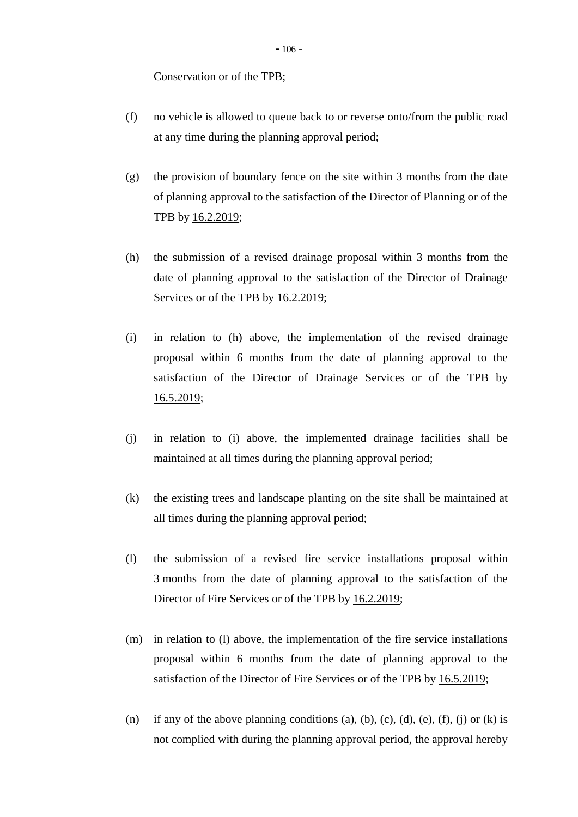Conservation or of the TPB;

- (f) no vehicle is allowed to queue back to or reverse onto/from the public road at any time during the planning approval period;
- (g) the provision of boundary fence on the site within 3 months from the date of planning approval to the satisfaction of the Director of Planning or of the TPB by 16.2.2019;
- (h) the submission of a revised drainage proposal within 3 months from the date of planning approval to the satisfaction of the Director of Drainage Services or of the TPB by 16.2.2019;
- (i) in relation to (h) above, the implementation of the revised drainage proposal within 6 months from the date of planning approval to the satisfaction of the Director of Drainage Services or of the TPB by 16.5.2019;
- (j) in relation to (i) above, the implemented drainage facilities shall be maintained at all times during the planning approval period;
- (k) the existing trees and landscape planting on the site shall be maintained at all times during the planning approval period;
- (l) the submission of a revised fire service installations proposal within 3 months from the date of planning approval to the satisfaction of the Director of Fire Services or of the TPB by 16.2.2019;
- (m) in relation to (l) above, the implementation of the fire service installations proposal within 6 months from the date of planning approval to the satisfaction of the Director of Fire Services or of the TPB by 16.5.2019;
- (n) if any of the above planning conditions (a), (b), (c), (d), (e), (f), (j) or (k) is not complied with during the planning approval period, the approval hereby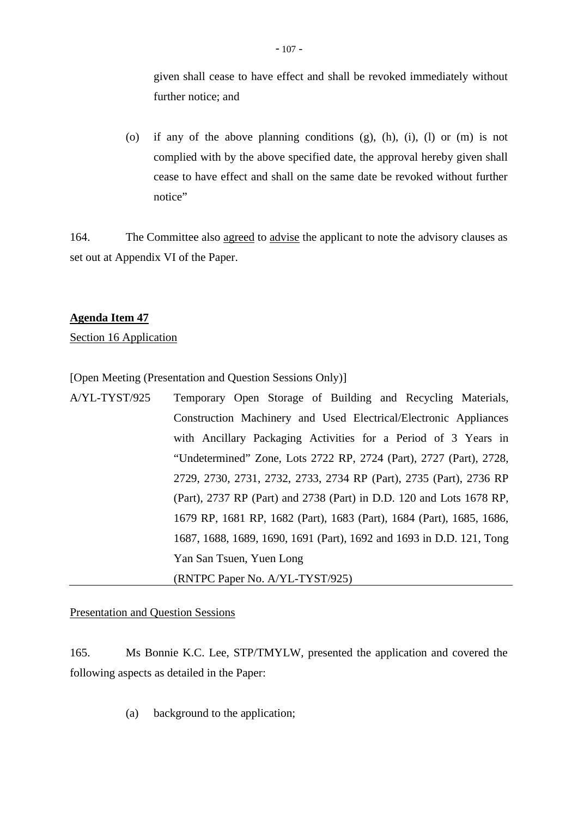given shall cease to have effect and shall be revoked immediately without further notice; and

(o) if any of the above planning conditions (g), (h), (i), (l) or (m) is not complied with by the above specified date, the approval hereby given shall cease to have effect and shall on the same date be revoked without further notice"

164. The Committee also agreed to advise the applicant to note the advisory clauses as set out at Appendix VI of the Paper.

## **Agenda Item 47**

Section 16 Application

[Open Meeting (Presentation and Question Sessions Only)]

A/YL-TYST/925 Temporary Open Storage of Building and Recycling Materials, Construction Machinery and Used Electrical/Electronic Appliances with Ancillary Packaging Activities for a Period of 3 Years in "Undetermined" Zone, Lots 2722 RP, 2724 (Part), 2727 (Part), 2728, 2729, 2730, 2731, 2732, 2733, 2734 RP (Part), 2735 (Part), 2736 RP (Part), 2737 RP (Part) and 2738 (Part) in D.D. 120 and Lots 1678 RP, 1679 RP, 1681 RP, 1682 (Part), 1683 (Part), 1684 (Part), 1685, 1686, 1687, 1688, 1689, 1690, 1691 (Part), 1692 and 1693 in D.D. 121, Tong Yan San Tsuen, Yuen Long (RNTPC Paper No. A/YL-TYST/925)

Presentation and Question Sessions

165. Ms Bonnie K.C. Lee, STP/TMYLW, presented the application and covered the following aspects as detailed in the Paper:

(a) background to the application;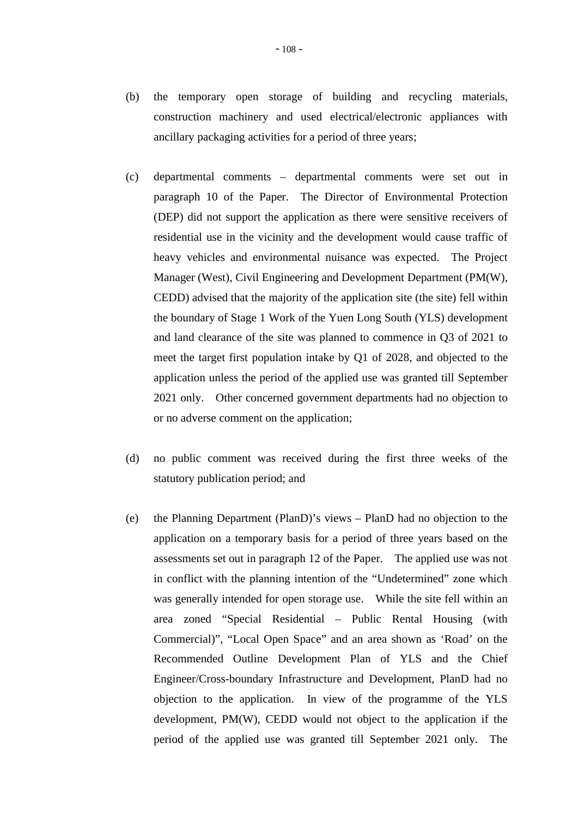- (c) departmental comments departmental comments were set out in paragraph 10 of the Paper. The Director of Environmental Protection (DEP) did not support the application as there were sensitive receivers of residential use in the vicinity and the development would cause traffic of heavy vehicles and environmental nuisance was expected. The Project Manager (West), Civil Engineering and Development Department (PM(W), CEDD) advised that the majority of the application site (the site) fell within the boundary of Stage 1 Work of the Yuen Long South (YLS) development and land clearance of the site was planned to commence in Q3 of 2021 to meet the target first population intake by Q1 of 2028, and objected to the application unless the period of the applied use was granted till September 2021 only. Other concerned government departments had no objection to or no adverse comment on the application;
- (d) no public comment was received during the first three weeks of the statutory publication period; and
- (e) the Planning Department (PlanD)'s views PlanD had no objection to the application on a temporary basis for a period of three years based on the assessments set out in paragraph 12 of the Paper. The applied use was not in conflict with the planning intention of the "Undetermined" zone which was generally intended for open storage use. While the site fell within an area zoned "Special Residential – Public Rental Housing (with Commercial)", "Local Open Space" and an area shown as 'Road' on the Recommended Outline Development Plan of YLS and the Chief Engineer/Cross-boundary Infrastructure and Development, PlanD had no objection to the application. In view of the programme of the YLS development, PM(W), CEDD would not object to the application if the period of the applied use was granted till September 2021 only. The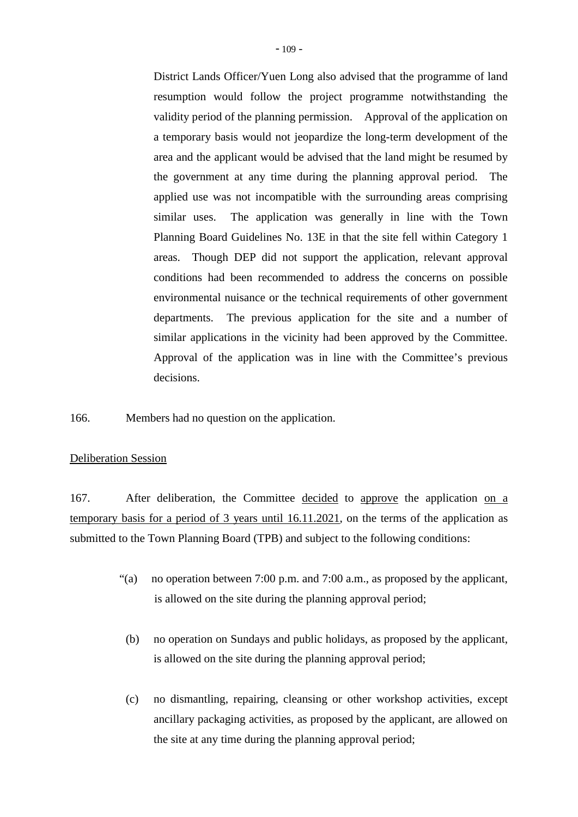District Lands Officer/Yuen Long also advised that the programme of land resumption would follow the project programme notwithstanding the validity period of the planning permission. Approval of the application on a temporary basis would not jeopardize the long-term development of the area and the applicant would be advised that the land might be resumed by the government at any time during the planning approval period. The applied use was not incompatible with the surrounding areas comprising similar uses. The application was generally in line with the Town Planning Board Guidelines No. 13E in that the site fell within Category 1 areas. Though DEP did not support the application, relevant approval conditions had been recommended to address the concerns on possible environmental nuisance or the technical requirements of other government departments. The previous application for the site and a number of similar applications in the vicinity had been approved by the Committee. Approval of the application was in line with the Committee's previous decisions.

166. Members had no question on the application.

## Deliberation Session

167. After deliberation, the Committee decided to approve the application on a temporary basis for a period of 3 years until 16.11.2021, on the terms of the application as submitted to the Town Planning Board (TPB) and subject to the following conditions:

- "(a) no operation between 7:00 p.m. and 7:00 a.m., as proposed by the applicant, is allowed on the site during the planning approval period;
	- (b) no operation on Sundays and public holidays, as proposed by the applicant, is allowed on the site during the planning approval period;
- (c) no dismantling, repairing, cleansing or other workshop activities, except ancillary packaging activities, as proposed by the applicant, are allowed on the site at any time during the planning approval period;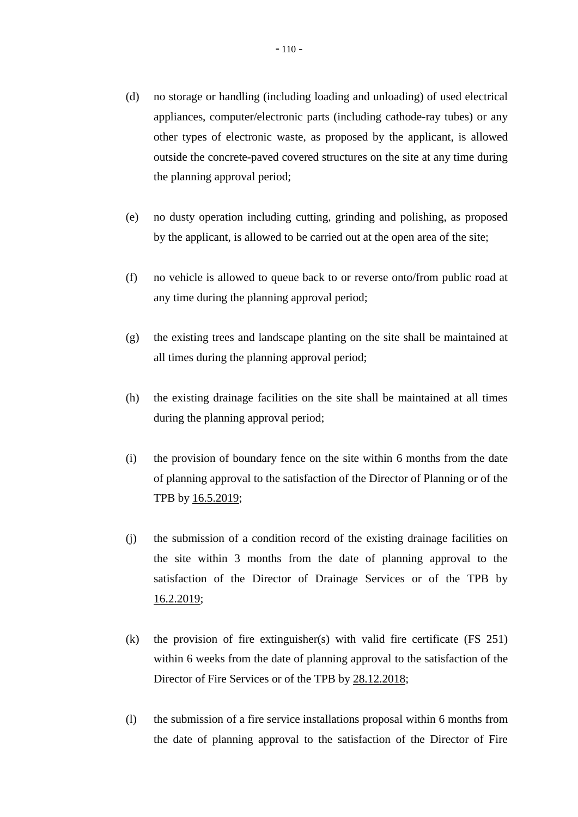- (d) no storage or handling (including loading and unloading) of used electrical appliances, computer/electronic parts (including cathode-ray tubes) or any other types of electronic waste, as proposed by the applicant, is allowed outside the concrete-paved covered structures on the site at any time during the planning approval period;
- (e) no dusty operation including cutting, grinding and polishing, as proposed by the applicant, is allowed to be carried out at the open area of the site;
- (f) no vehicle is allowed to queue back to or reverse onto/from public road at any time during the planning approval period;
- (g) the existing trees and landscape planting on the site shall be maintained at all times during the planning approval period;
- (h) the existing drainage facilities on the site shall be maintained at all times during the planning approval period;
- (i) the provision of boundary fence on the site within 6 months from the date of planning approval to the satisfaction of the Director of Planning or of the TPB by 16.5.2019;
- (j) the submission of a condition record of the existing drainage facilities on the site within 3 months from the date of planning approval to the satisfaction of the Director of Drainage Services or of the TPB by 16.2.2019;
- (k) the provision of fire extinguisher(s) with valid fire certificate (FS 251) within 6 weeks from the date of planning approval to the satisfaction of the Director of Fire Services or of the TPB by 28.12.2018;
- (l) the submission of a fire service installations proposal within 6 months from the date of planning approval to the satisfaction of the Director of Fire